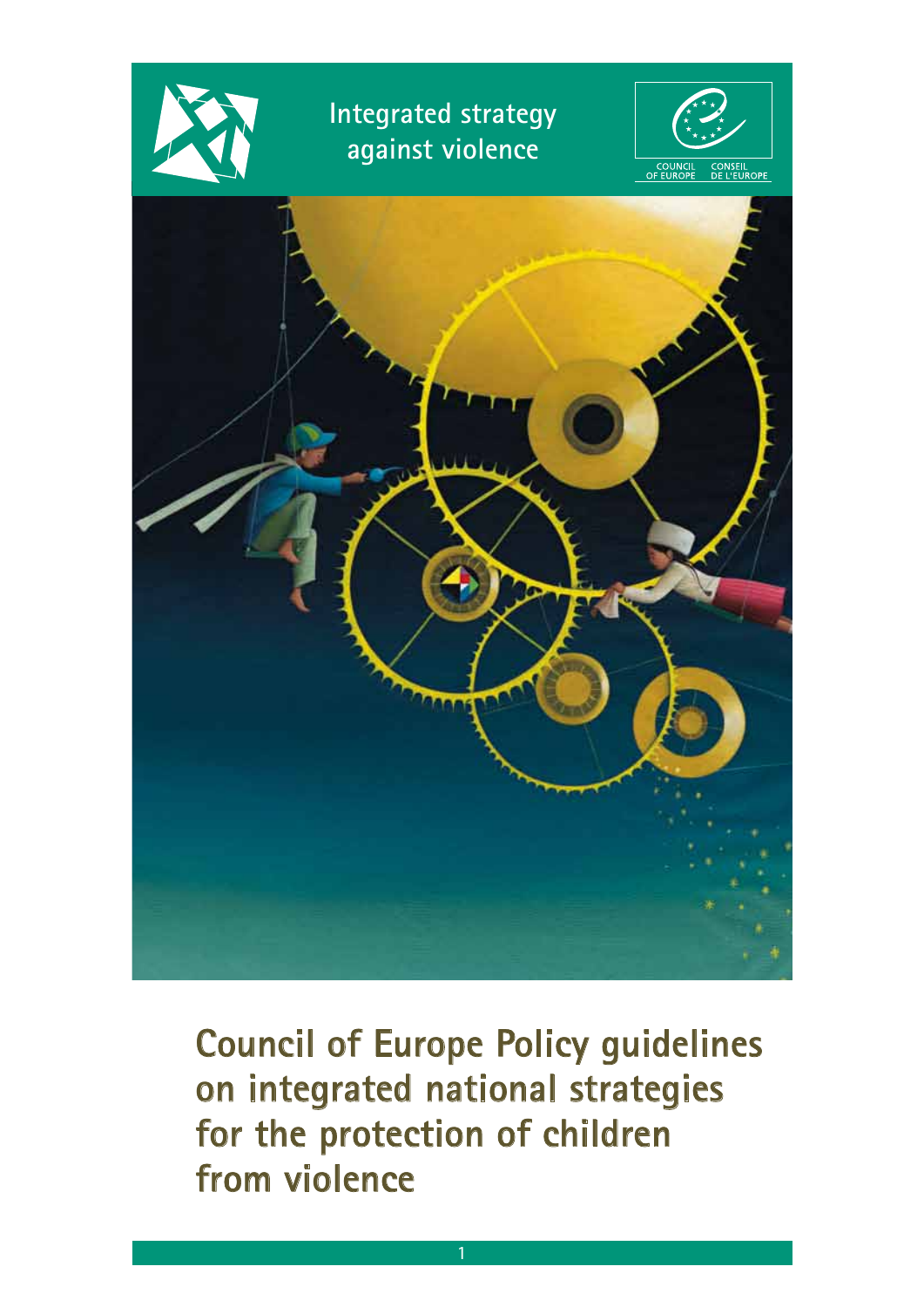

**Council of Europe Policy guidelines on integrated national strategies for the protection of children from violence**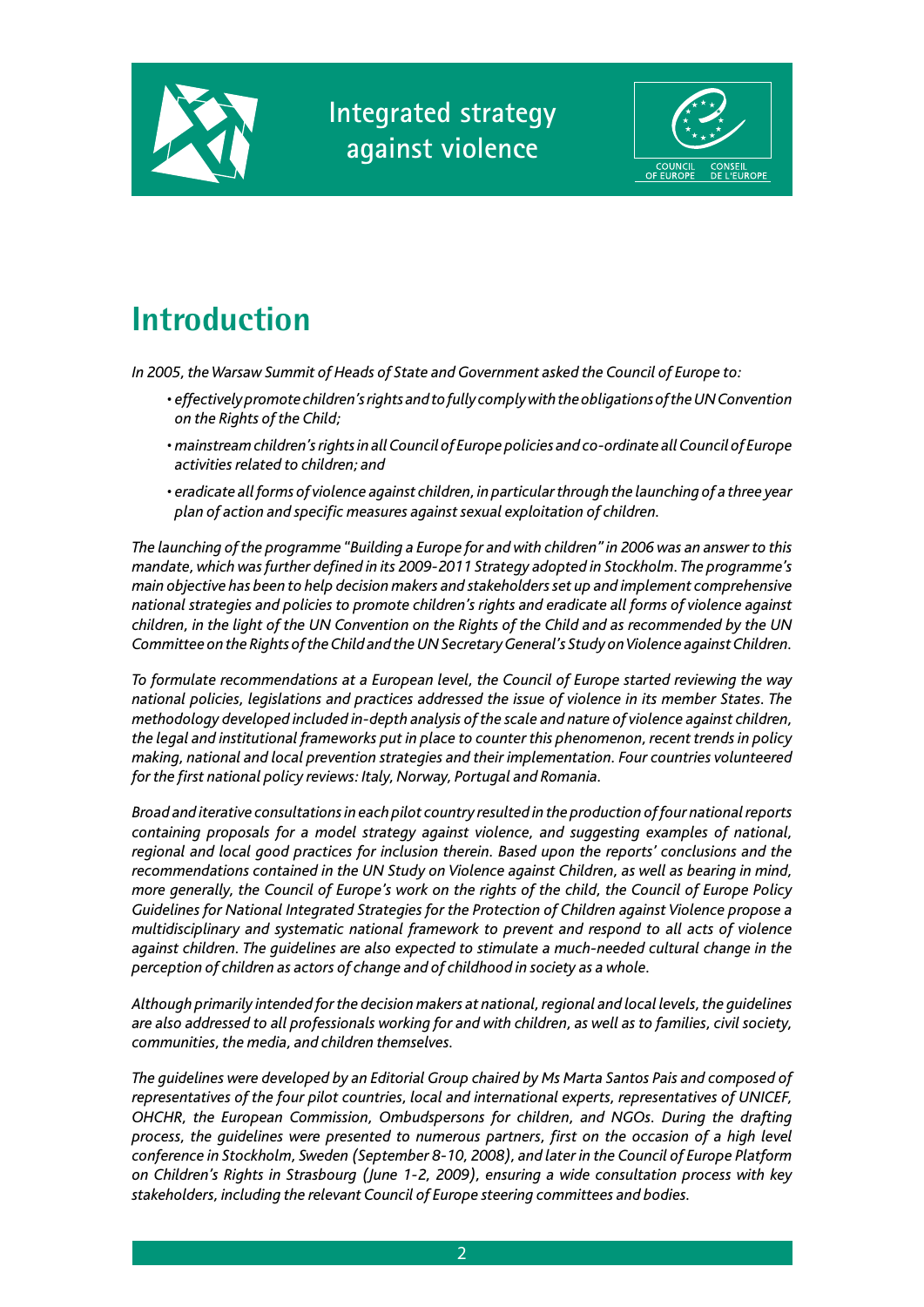



# **Introduction**

*In 2005, the Warsaw Summit of Heads of State and Government asked the Council of Europe to:*

- *effectively promote children's rights and to fully comply with the obligations of the UN Convention on the Rights of the Child;*
- *mainstream children's rights in all Council of Europe policies and co-ordinate all Council of Europe activities related to children; and*
- *eradicate all forms of violence against children, in particular through the launching of a three year plan of action and specific measures against sexual exploitation of children.*

*The launching of the programme "Building a Europe for and with children" in 2006 was an answer to this mandate, which was further defined in its 2009-2011 Strategy adopted in Stockholm. The programme's main objective has been to help decision makers and stakeholders set up and implement comprehensive national strategies and policies to promote children's rights and eradicate all forms of violence against children, in the light of the UN Convention on the Rights of the Child and as recommended by the UN Committee on the Rights of the Child and the UN Secretary General's Study on Violence against Children.*

*To formulate recommendations at a European level, the Council of Europe started reviewing the way national policies, legislations and practices addressed the issue of violence in its member States. The methodology developed included in-depth analysis of the scale and nature of violence against children, the legal and institutional frameworks put in place to counter this phenomenon, recent trends in policy making, national and local prevention strategies and their implementation. Four countries volunteered for the first national policy reviews: Italy, Norway, Portugal and Romania.*

*Broad and iterative consultations in each pilot country resulted in the production of four national reports containing proposals for a model strategy against violence, and suggesting examples of national, regional and local good practices for inclusion therein. Based upon the reports' conclusions and the recommendations contained in the UN Study on Violence against Children, as well as bearing in mind, more generally, the Council of Europe's work on the rights of the child, the Council of Europe Policy Guidelines for National Integrated Strategies for the Protection of Children against Violence propose a multidisciplinary and systematic national framework to prevent and respond to all acts of violence against children. The guidelines are also expected to stimulate a much-needed cultural change in the perception of children as actors of change and of childhood in society as a whole.*

*Although primarily intended for the decision makers at national, regional and local levels, the guidelines are also addressed to all professionals working for and with children, as well as to families, civil society, communities, the media, and children themselves.*

*The guidelines were developed by an Editorial Group chaired by Ms Marta Santos Pais and composed of representatives of the four pilot countries, local and international experts, representatives of UNICEF, OHCHR, the European Commission, Ombudspersons for children, and NGOs. During the drafting process, the guidelines were presented to numerous partners, first on the occasion of a high level conference in Stockholm, Sweden (September 8-10, 2008), and later in the Council of Europe Platform on Children's Rights in Strasbourg (June 1-2, 2009), ensuring a wide consultation process with key stakeholders, including the relevant Council of Europe steering committees and bodies.*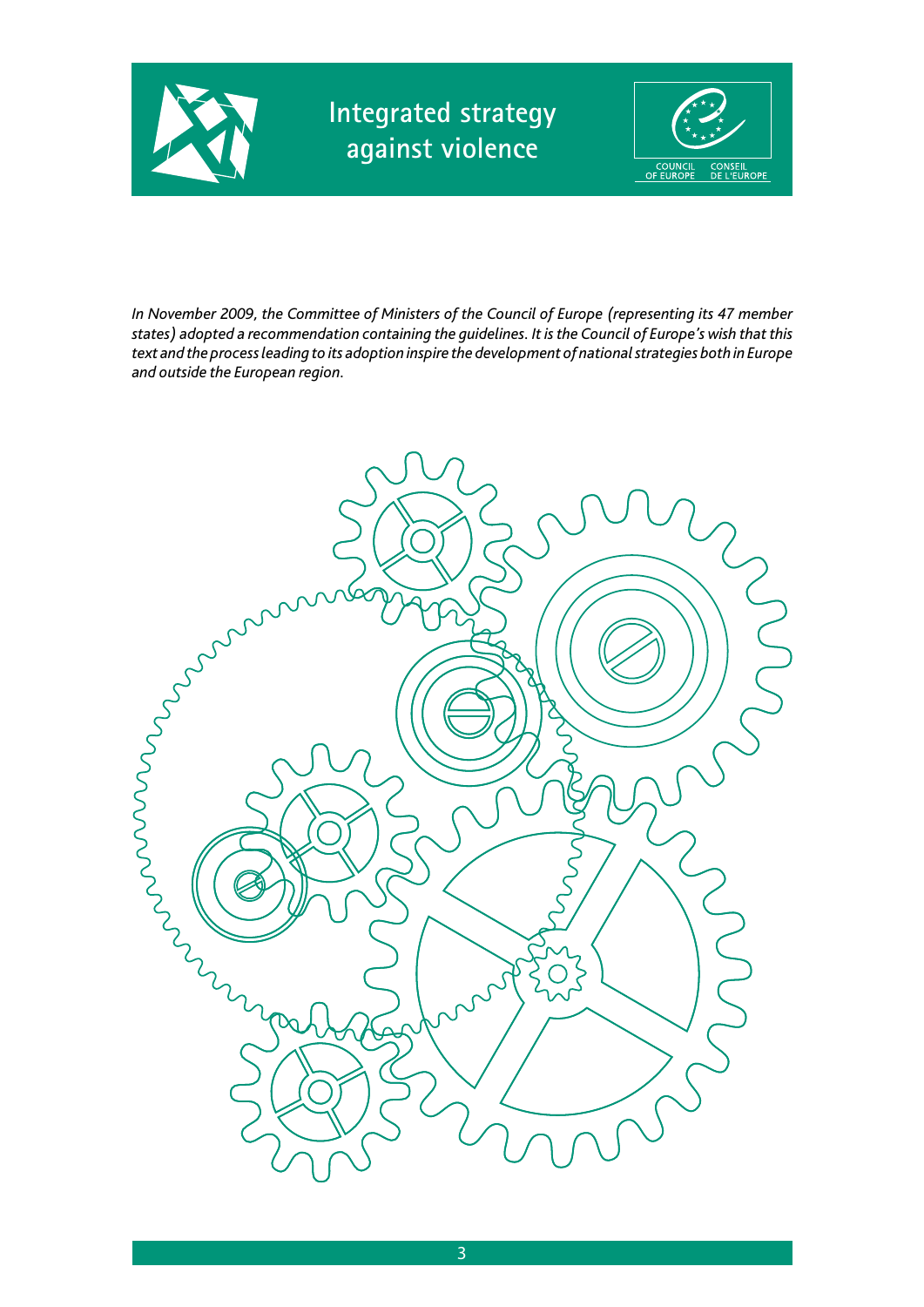



*In November 2009, the Committee of Ministers of the Council of Europe (representing its 47 member states) adopted a recommendation containing the guidelines. It is the Council of Europe's wish that this text and the process leading to its adoption inspire the development of national strategies both in Europe and outside the European region.* 

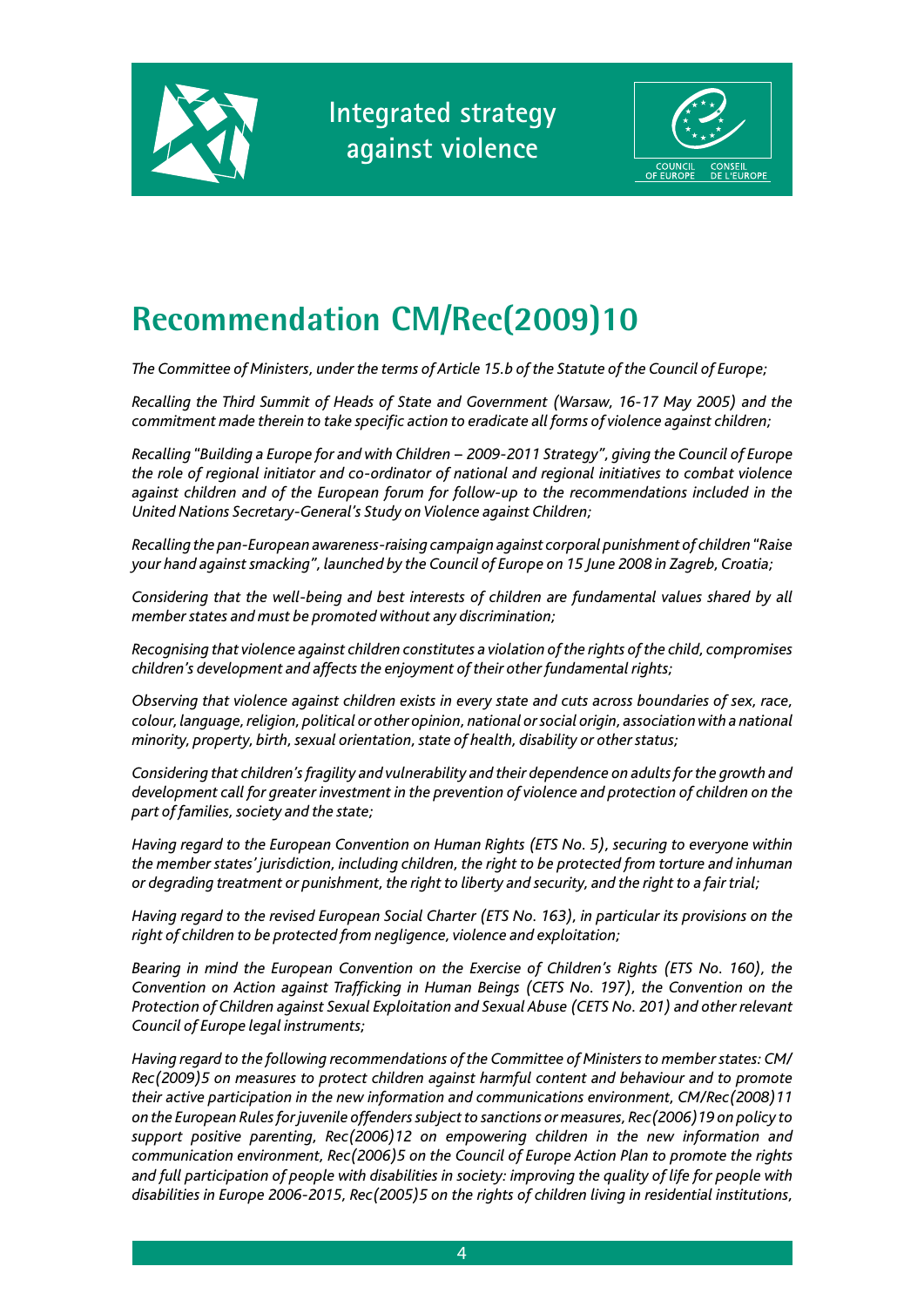



# **Recommendation CM/Rec(2009)10**

*The Committee of Ministers, under the terms of Article 15.b of the Statute of the Council of Europe;*

*Recalling the Third Summit of Heads of State and Government (Warsaw, 16-17 May 2005) and the commitment made therein to take specific action to eradicate all forms of violence against children;*

*Recalling "Building a Europe for and with Children − 2009-2011 Strategy", giving the Council of Europe the role of regional initiator and co-ordinator of national and regional initiatives to combat violence against children and of the European forum for follow-up to the recommendations included in the United Nations Secretary-General's Study on Violence against Children;*

*Recalling the pan-European awareness-raising campaign against corporal punishment of children "Raise your hand against smacking", launched by the Council of Europe on 15 June 2008 in Zagreb, Croatia;*

*Considering that the well-being and best interests of children are fundamental values shared by all member states and must be promoted without any discrimination;*

*Recognising that violence against children constitutes a violation of the rights of the child, compromises children's development and affects the enjoyment of their other fundamental rights;*

*Observing that violence against children exists in every state and cuts across boundaries of sex, race, colour, language, religion, political or other opinion, national or social origin, association with a national minority, property, birth, sexual orientation, state of health, disability or other status;*

*Considering that children's fragility and vulnerability and their dependence on adults for the growth and development call for greater investment in the prevention of violence and protection of children on the part of families, society and the state;*

*Having regard to the European Convention on Human Rights (ETS No. 5), securing to everyone within the member states' jurisdiction, including children, the right to be protected from torture and inhuman or degrading treatment or punishment, the right to liberty and security, and the right to a fair trial;*

*Having regard to the revised European Social Charter (ETS No. 163), in particular its provisions on the right of children to be protected from negligence, violence and exploitation;*

*Bearing in mind the European Convention on the Exercise of Children's Rights (ETS No. 160), the Convention on Action against Trafficking in Human Beings (CETS No. 197), the Convention on the Protection of Children against Sexual Exploitation and Sexual Abuse (CETS No. 201) and other relevant Council of Europe legal instruments;*

*Having regard to the following recommendations of the Committee of Ministers to member states: CM/ Rec(2009)5 on measures to protect children against harmful content and behaviour and to promote their active participation in the new information and communications environment, CM/Rec(2008)11 on the European Rules for juvenile offenders subject to sanctions or measures, Rec(2006)19 on policy to support positive parenting, Rec(2006)12 on empowering children in the new information and communication environment, Rec(2006)5 on the Council of Europe Action Plan to promote the rights and full participation of people with disabilities in society: improving the quality of life for people with disabilities in Europe 2006-2015, Rec(2005)5 on the rights of children living in residential institutions,*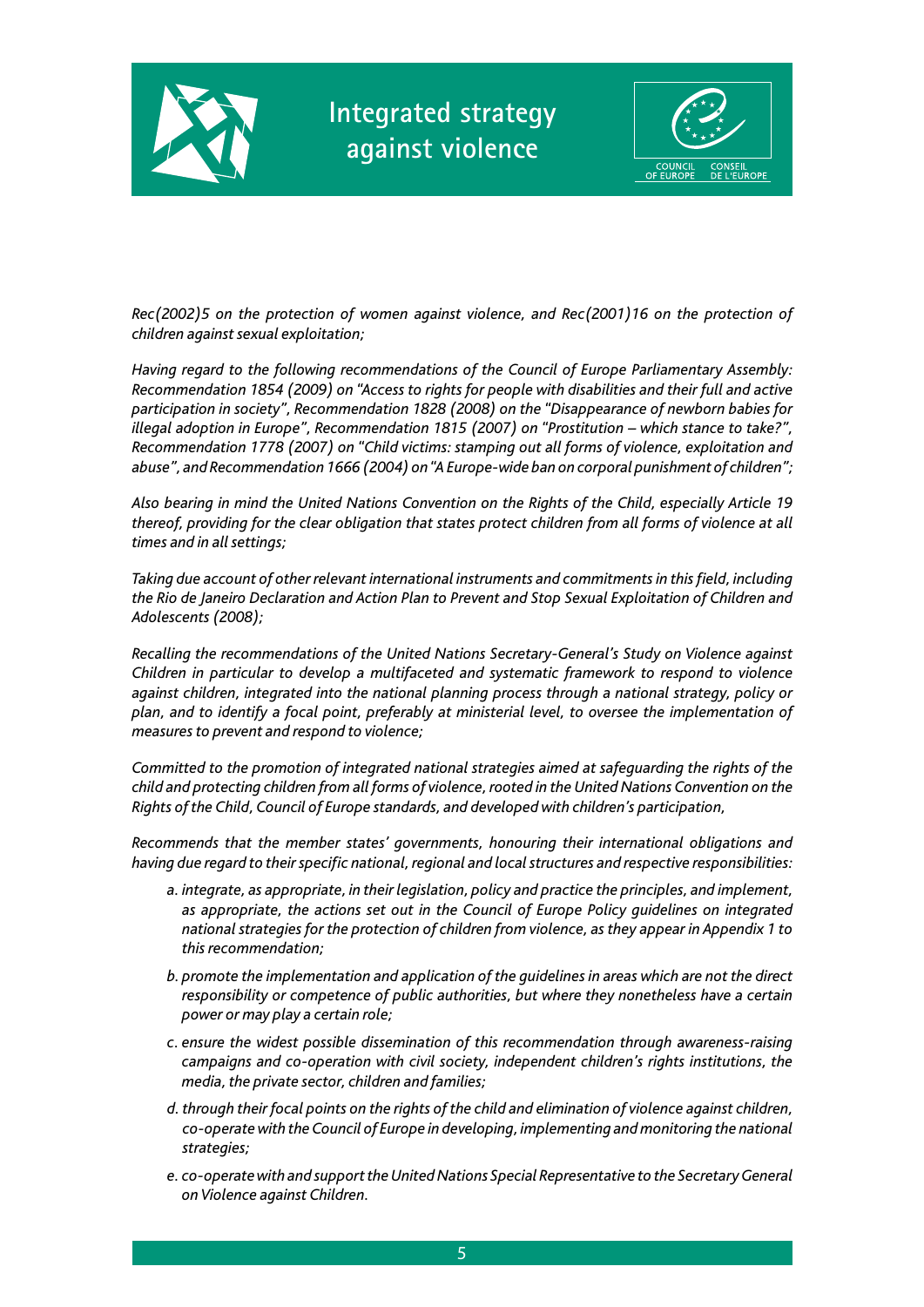



*Rec(2002)5 on the protection of women against violence, and Rec(2001)16 on the protection of children against sexual exploitation;*

*Having regard to the following recommendations of the Council of Europe Parliamentary Assembly: Recommendation 1854 (2009) on "Access to rights for people with disabilities and their full and active participation in society", Recommendation 1828 (2008) on the "Disappearance of newborn babies for illegal adoption in Europe", Recommendation 1815 (2007) on "Prostitution – which stance to take?", Recommendation 1778 (2007) on "Child victims: stamping out all forms of violence, exploitation and abuse", and Recommendation 1666 (2004) on "A Europe-wide ban on corporal punishment of children";*

*Also bearing in mind the United Nations Convention on the Rights of the Child, especially Article 19 thereof, providing for the clear obligation that states protect children from all forms of violence at all times and in all settings;*

*Taking due account of other relevant international instruments and commitments in this field, including the Rio de Janeiro Declaration and Action Plan to Prevent and Stop Sexual Exploitation of Children and Adolescents (2008);*

*Recalling the recommendations of the United Nations Secretary-General's Study on Violence against Children in particular to develop a multifaceted and systematic framework to respond to violence against children, integrated into the national planning process through a national strategy, policy or plan, and to identify a focal point, preferably at ministerial level, to oversee the implementation of measures to prevent and respond to violence;*

*Committed to the promotion of integrated national strategies aimed at safeguarding the rights of the child and protecting children from all forms of violence, rooted in the United Nations Convention on the Rights of the Child, Council of Europe standards, and developed with children's participation,*

*Recommends that the member states' governments, honouring their international obligations and having due regard to their specific national, regional and local structures and respective responsibilities:*

- *a. integrate, as appropriate, in their legislation, policy and practice the principles, and implement, as appropriate, the actions set out in the Council of Europe Policy guidelines on integrated national strategies for the protection of children from violence, as they appear in Appendix 1 to this recommendation;*
- *b. promote the implementation and application of the guidelines in areas which are not the direct responsibility or competence of public authorities, but where they nonetheless have a certain power or may play a certain role;*
- *c. ensure the widest possible dissemination of this recommendation through awareness-raising campaigns and co-operation with civil society, independent children's rights institutions, the media, the private sector, children and families;*
- *d. through their focal points on the rights of the child and elimination of violence against children, co-operate with the Council of Europe in developing, implementing and monitoring the national strategies;*
- *e. co-operate with and support the United Nations Special Representative to the Secretary General on Violence against Children.*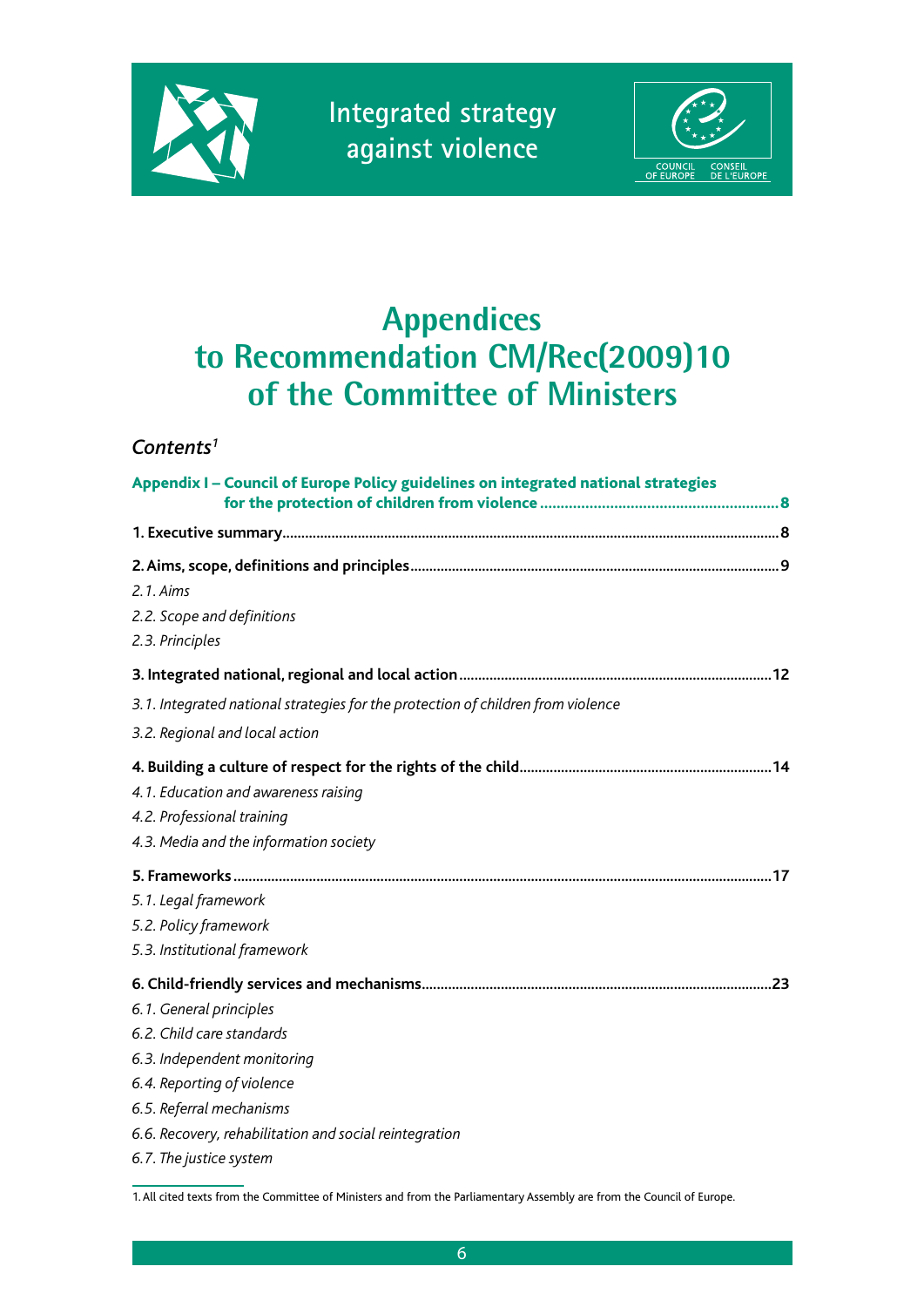



# **Appendices to Recommendation CM/Rec(2009)10 of the Committee of Ministers**

### *Contents1*

| Appendix I - Council of Europe Policy guidelines on integrated national strategies                           |
|--------------------------------------------------------------------------------------------------------------|
|                                                                                                              |
|                                                                                                              |
| 2.1. Aims                                                                                                    |
| 2.2. Scope and definitions                                                                                   |
| 2.3. Principles                                                                                              |
|                                                                                                              |
| 3.1. Integrated national strategies for the protection of children from violence                             |
| 3.2. Regional and local action                                                                               |
| 4.1. Education and awareness raising<br>4.2. Professional training<br>4.3. Media and the information society |
|                                                                                                              |
| 5.1. Legal framework                                                                                         |
| 5.2. Policy framework                                                                                        |
| 5.3. Institutional framework                                                                                 |
|                                                                                                              |
| 6.1. General principles                                                                                      |
| 6.2. Child care standards                                                                                    |
| 6.3. Independent monitoring                                                                                  |
| 6.4. Reporting of violence                                                                                   |
| 6.5. Referral mechanisms                                                                                     |
| 6.6. Recovery, rehabilitation and social reintegration                                                       |
| 6.7. The justice system                                                                                      |

<sup>1.</sup> All cited texts from the Committee of Ministers and from the Parliamentary Assembly are from the Council of Europe.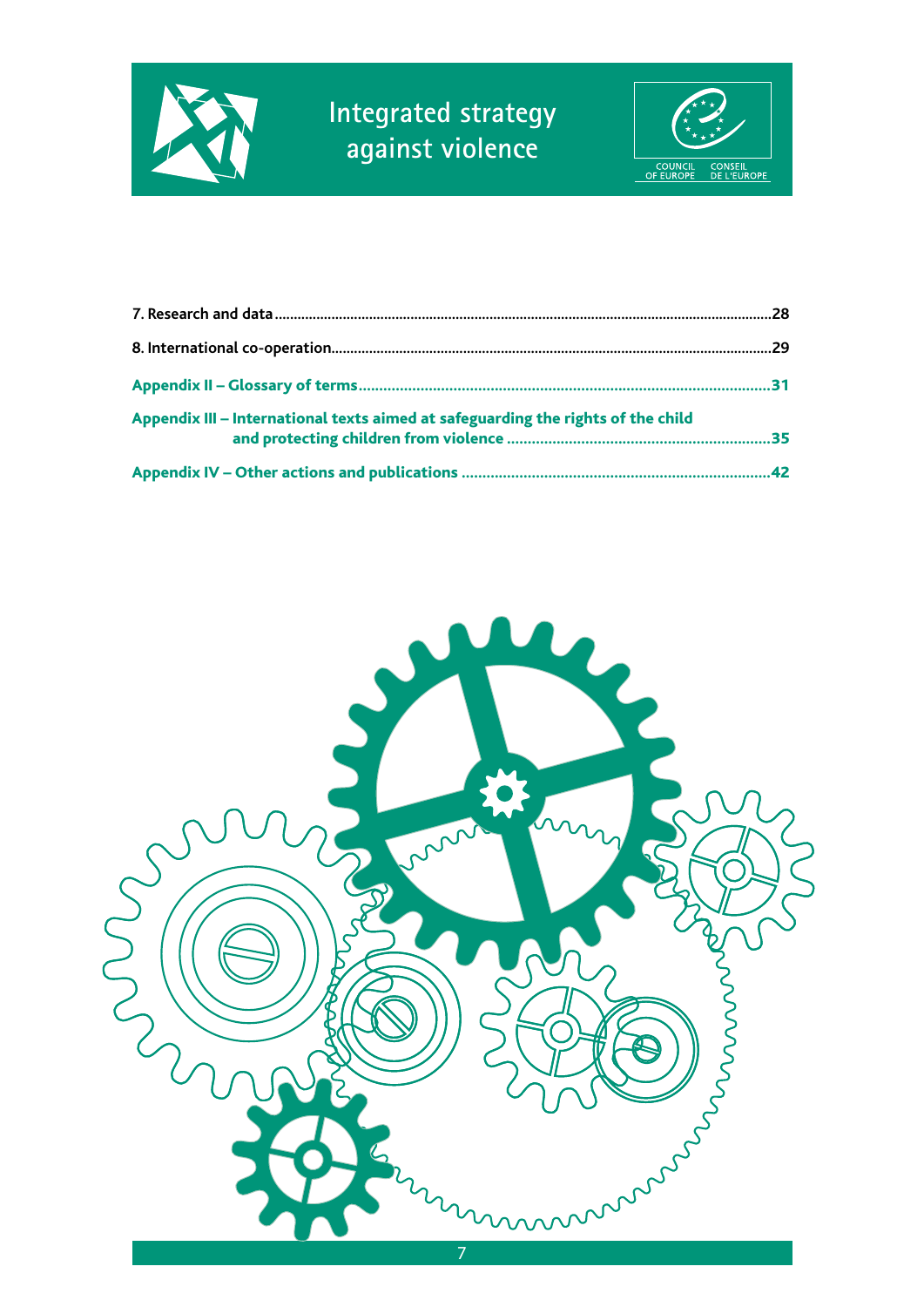



| Appendix III - International texts aimed at safeguarding the rights of the child |  |
|----------------------------------------------------------------------------------|--|
|                                                                                  |  |

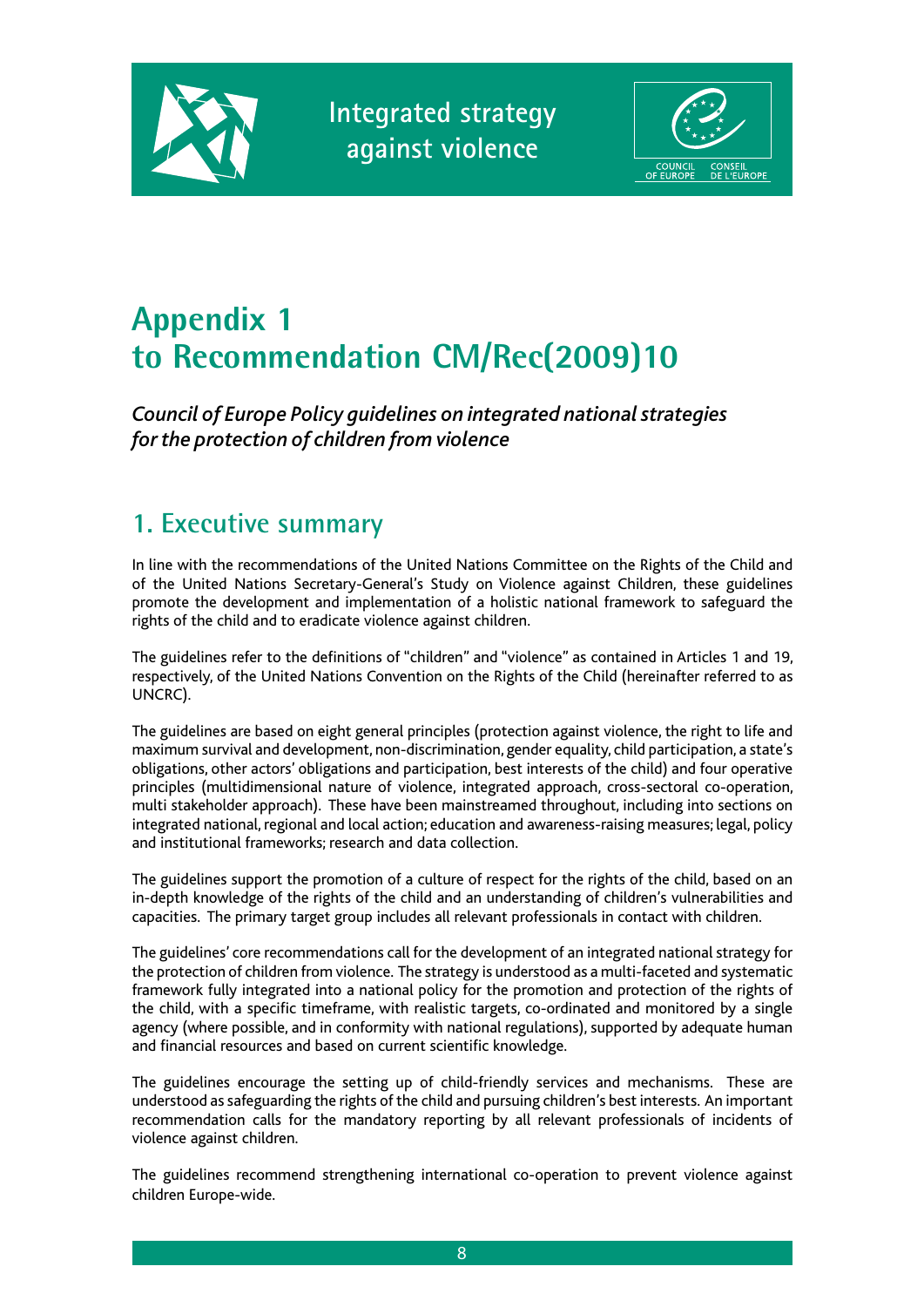



# **Appendix 1 to Recommendation CM/Rec(2009)10**

*Council of Europe Policy guidelines on integrated national strategies for the protection of children from violence*

## **1. Executive summary**

In line with the recommendations of the United Nations Committee on the Rights of the Child and of the United Nations Secretary-General's Study on Violence against Children, these guidelines promote the development and implementation of a holistic national framework to safeguard the rights of the child and to eradicate violence against children.

The guidelines refer to the definitions of "children" and "violence" as contained in Articles 1 and 19, respectively, of the United Nations Convention on the Rights of the Child (hereinafter referred to as UNCRC).

The guidelines are based on eight general principles (protection against violence, the right to life and maximum survival and development, non-discrimination, gender equality, child participation, a state's obligations, other actors' obligations and participation, best interests of the child) and four operative principles (multidimensional nature of violence, integrated approach, cross-sectoral co-operation, multi stakeholder approach). These have been mainstreamed throughout, including into sections on integrated national, regional and local action; education and awareness-raising measures; legal, policy and institutional frameworks; research and data collection.

The guidelines support the promotion of a culture of respect for the rights of the child, based on an in-depth knowledge of the rights of the child and an understanding of children's vulnerabilities and capacities. The primary target group includes all relevant professionals in contact with children.

The guidelines' core recommendations call for the development of an integrated national strategy for the protection of children from violence. The strategy is understood as a multi-faceted and systematic framework fully integrated into a national policy for the promotion and protection of the rights of the child, with a specific timeframe, with realistic targets, co-ordinated and monitored by a single agency (where possible, and in conformity with national regulations), supported by adequate human and financial resources and based on current scientific knowledge.

The guidelines encourage the setting up of child-friendly services and mechanisms. These are understood as safeguarding the rights of the child and pursuing children's best interests. An important recommendation calls for the mandatory reporting by all relevant professionals of incidents of violence against children.

The guidelines recommend strengthening international co-operation to prevent violence against children Europe-wide.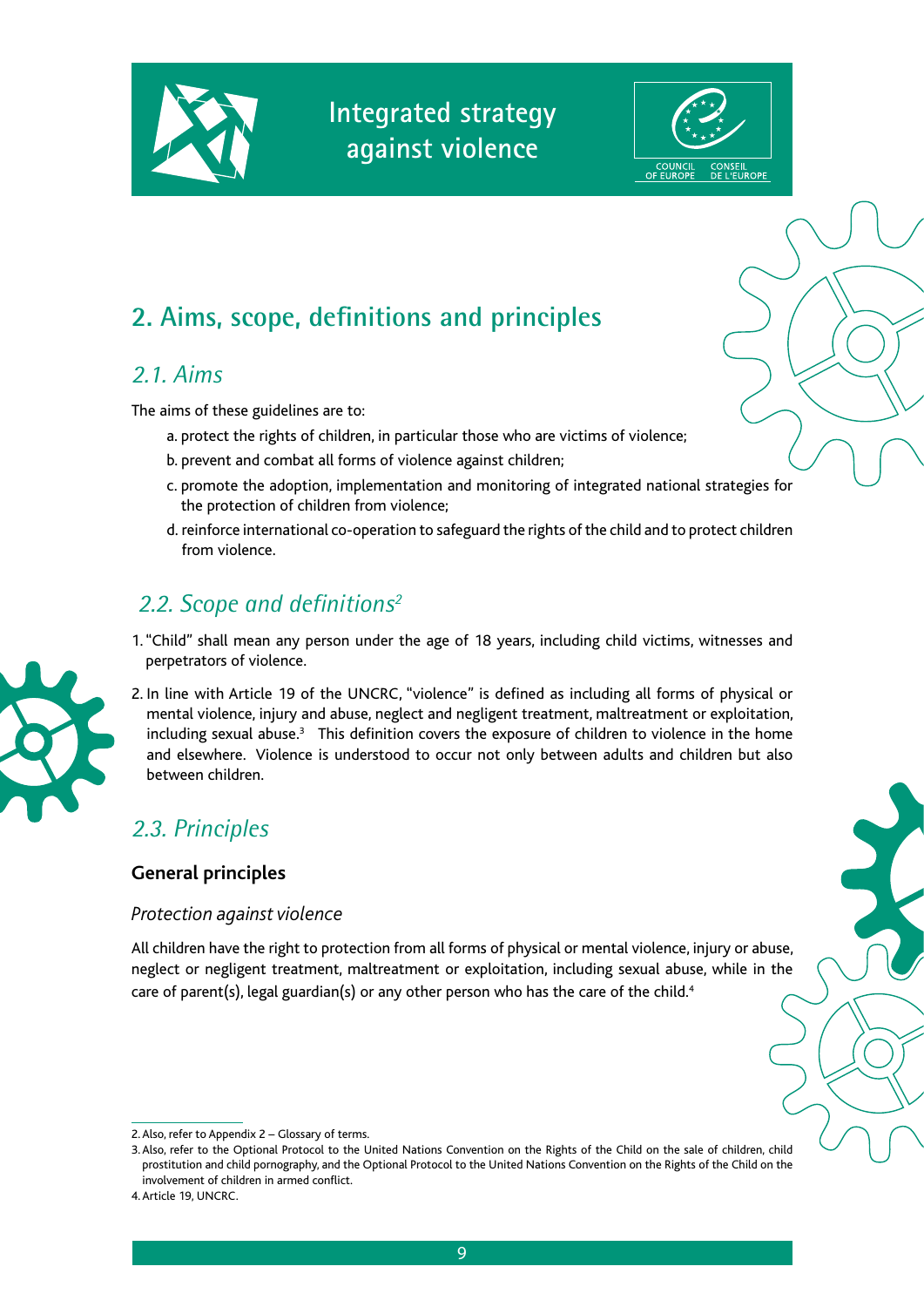



## **2. Aims, scope, definitions and principles**

### *2.1. Aims*

The aims of these guidelines are to:

- a. protect the rights of children, in particular those who are victims of violence;
- b. prevent and combat all forms of violence against children;
- c. promote the adoption, implementation and monitoring of integrated national strategies for the protection of children from violence;
- d. reinforce international co-operation to safeguard the rights of the child and to protect children from violence.

### *2.2. Scope and definitions2*

1. "Child" shall mean any person under the age of 18 years, including child victims, witnesses and perpetrators of violence.



2. In line with Article 19 of the UNCRC, "violence" is defined as including all forms of physical or mental violence, injury and abuse, neglect and negligent treatment, maltreatment or exploitation, including sexual abuse.<sup>3</sup> This definition covers the exposure of children to violence in the home and elsewhere. Violence is understood to occur not only between adults and children but also between children.

### *2.3. Principles*

#### **General principles**

#### *Protection against violence*

All children have the right to protection from all forms of physical or mental violence, injury or abuse, neglect or negligent treatment, maltreatment or exploitation, including sexual abuse, while in the care of parent(s), legal guardian(s) or any other person who has the care of the child.<sup>4</sup>

<sup>2.</sup> Also, refer to Appendix 2 – Glossary of terms.

<sup>3.</sup> Also, refer to the Optional Protocol to the United Nations Convention on the Rights of the Child on the sale of children, child prostitution and child pornography, and the Optional Protocol to the United Nations Convention on the Rights of the Child on the involvement of children in armed conflict.

<sup>4.</sup> Article 19, UNCRC.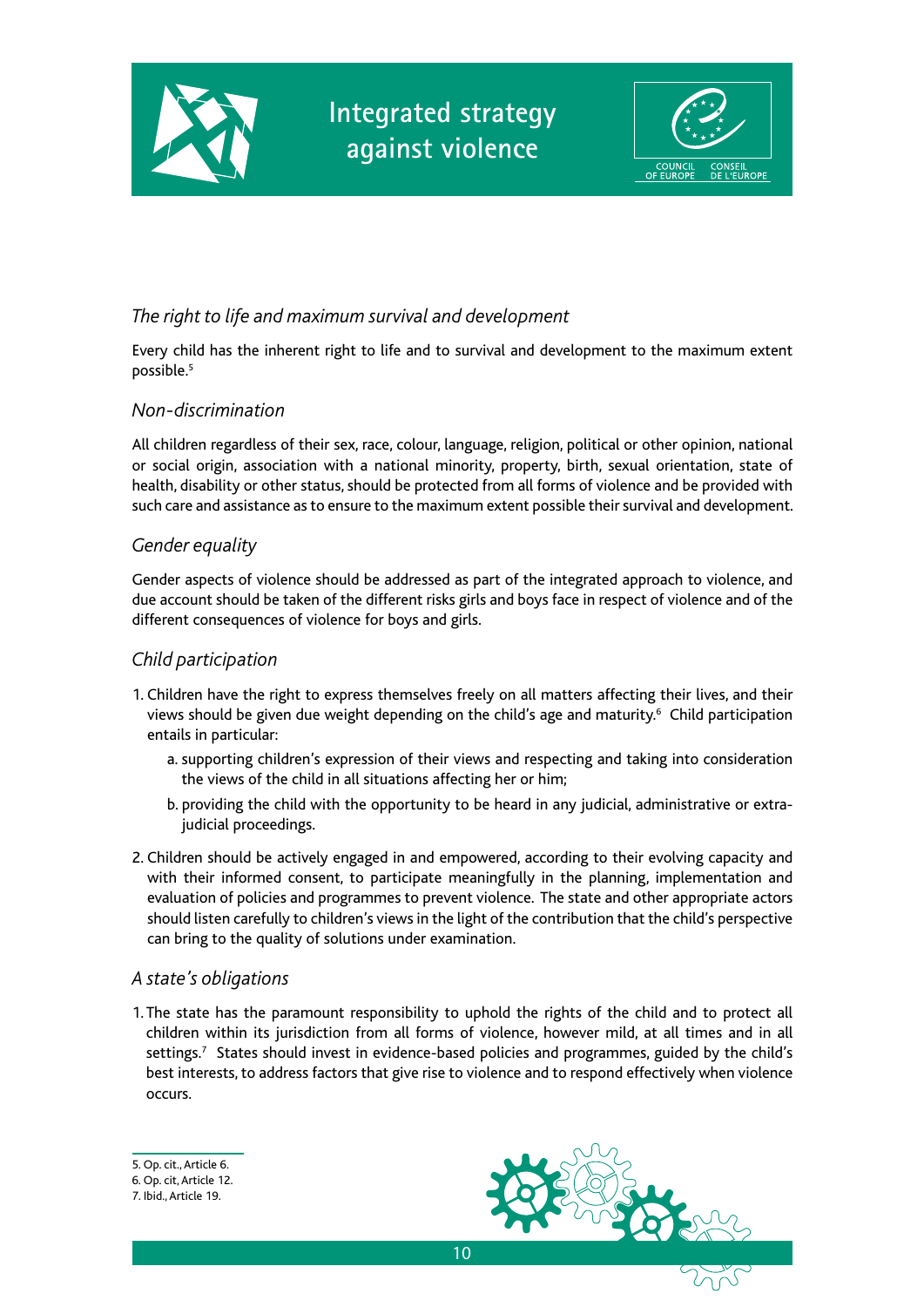



#### *The right to life and maximum survival and development*

Every child has the inherent right to life and to survival and development to the maximum extent possible.5

#### *Non-discrimination*

All children regardless of their sex, race, colour, language, religion, political or other opinion, national or social origin, association with a national minority, property, birth, sexual orientation, state of health, disability or other status, should be protected from all forms of violence and be provided with such care and assistance as to ensure to the maximum extent possible their survival and development.

#### *Gender equality*

Gender aspects of violence should be addressed as part of the integrated approach to violence, and due account should be taken of the different risks girls and boys face in respect of violence and of the different consequences of violence for boys and girls.

#### *Child participation*

- 1. Children have the right to express themselves freely on all matters affecting their lives, and their views should be given due weight depending on the child's age and maturity.<sup>6</sup> Child participation entails in particular:
	- a. supporting children's expression of their views and respecting and taking into consideration the views of the child in all situations affecting her or him;
	- b. providing the child with the opportunity to be heard in any judicial, administrative or extrajudicial proceedings.
- 2. Children should be actively engaged in and empowered, according to their evolving capacity and with their informed consent, to participate meaningfully in the planning, implementation and evaluation of policies and programmes to prevent violence. The state and other appropriate actors should listen carefully to children's views in the light of the contribution that the child's perspective can bring to the quality of solutions under examination.

#### *A state's obligations*

1. The state has the paramount responsibility to uphold the rights of the child and to protect all children within its jurisdiction from all forms of violence, however mild, at all times and in all settings.<sup>7</sup> States should invest in evidence-based policies and programmes, guided by the child's best interests, to address factors that give rise to violence and to respond effectively when violence occurs.

#### 5. Op. cit., Article 6.



<sup>6.</sup> Op. cit, Article 12.

<sup>7.</sup> Ibid., Article 19.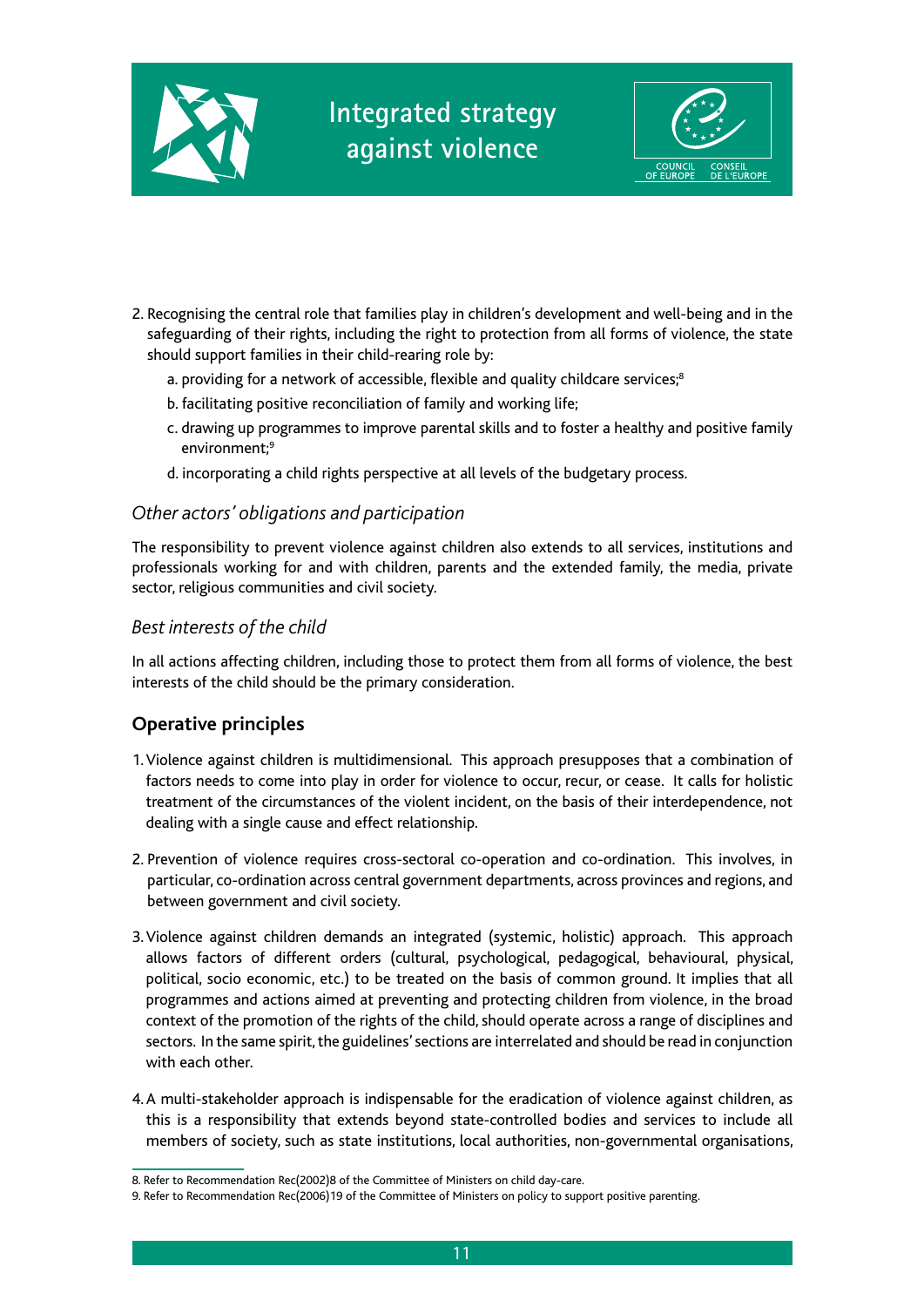



- 2. Recognising the central role that families play in children's development and well-being and in the safeguarding of their rights, including the right to protection from all forms of violence, the state should support families in their child-rearing role by:
	- a. providing for a network of accessible, flexible and quality childcare services;<sup>8</sup>
	- b. facilitating positive reconciliation of family and working life;
	- c. drawing up programmes to improve parental skills and to foster a healthy and positive family environment;<sup>9</sup>
	- d. incorporating a child rights perspective at all levels of the budgetary process.

#### *Other actors' obligations and participation*

The responsibility to prevent violence against children also extends to all services, institutions and professionals working for and with children, parents and the extended family, the media, private sector, religious communities and civil society.

#### *Best interests of the child*

In all actions affecting children, including those to protect them from all forms of violence, the best interests of the child should be the primary consideration.

#### **Operative principles**

- 1. Violence against children is multidimensional. This approach presupposes that a combination of factors needs to come into play in order for violence to occur, recur, or cease. It calls for holistic treatment of the circumstances of the violent incident, on the basis of their interdependence, not dealing with a single cause and effect relationship.
- 2. Prevention of violence requires cross-sectoral co-operation and co-ordination. This involves, in particular, co-ordination across central government departments, across provinces and regions, and between government and civil society.
- 3. Violence against children demands an integrated (systemic, holistic) approach. This approach allows factors of different orders (cultural, psychological, pedagogical, behavioural, physical, political, socio economic, etc.) to be treated on the basis of common ground. It implies that all programmes and actions aimed at preventing and protecting children from violence, in the broad context of the promotion of the rights of the child, should operate across a range of disciplines and sectors. In the same spirit, the guidelines' sections are interrelated and should be read in conjunction with each other.
- 4. A multi-stakeholder approach is indispensable for the eradication of violence against children, as this is a responsibility that extends beyond state-controlled bodies and services to include all members of society, such as state institutions, local authorities, non-governmental organisations,

<sup>8.</sup> Refer to Recommendation Rec(2002)8 of the Committee of Ministers on child day-care.

<sup>9.</sup> Refer to Recommendation Rec(2006)19 of the Committee of Ministers on policy to support positive parenting.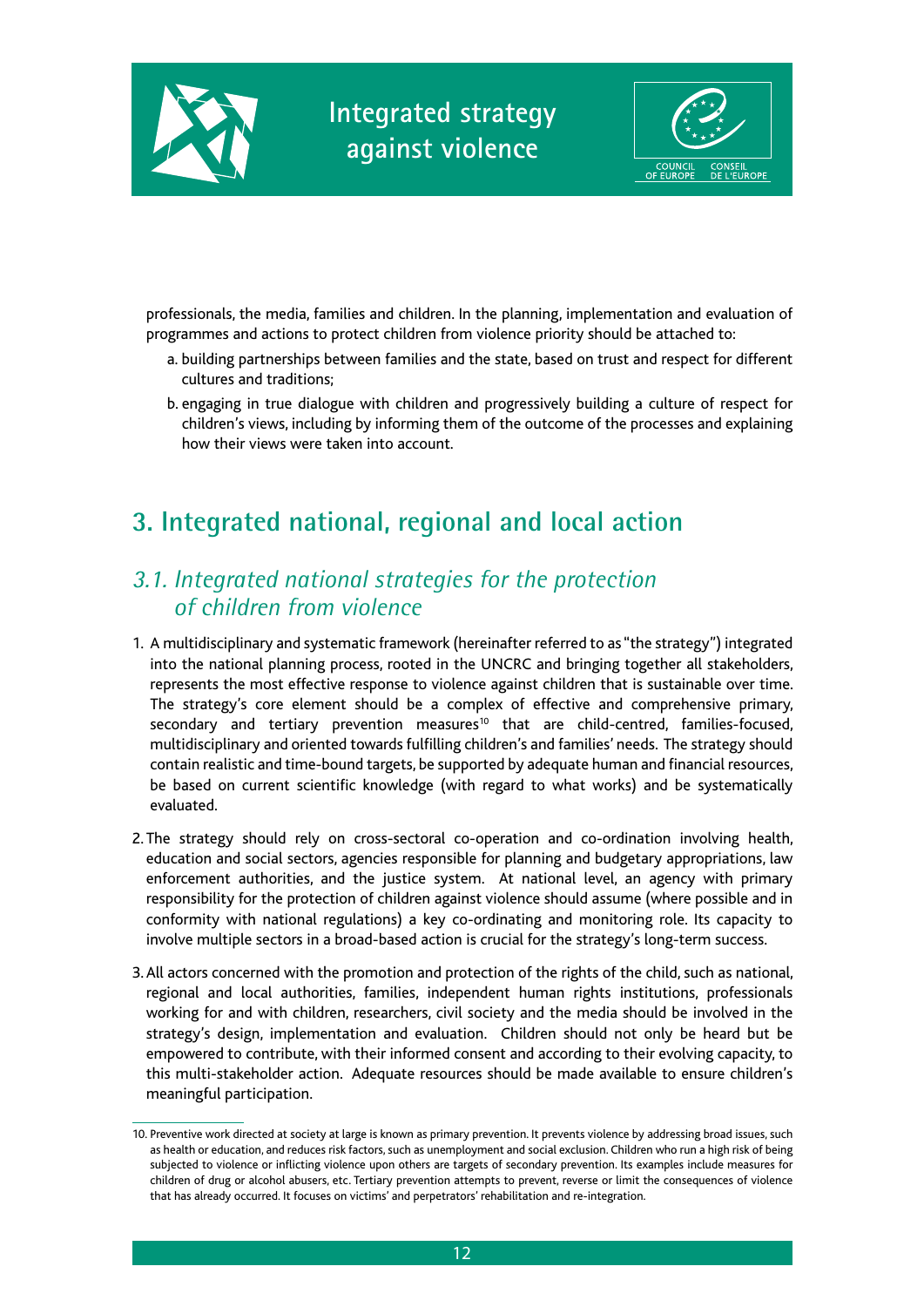



professionals, the media, families and children. In the planning, implementation and evaluation of programmes and actions to protect children from violence priority should be attached to:

- a. building partnerships between families and the state, based on trust and respect for different cultures and traditions;
- b. engaging in true dialogue with children and progressively building a culture of respect for children's views, including by informing them of the outcome of the processes and explaining how their views were taken into account.

## **3. Integrated national, regional and local action**

### *3.1. Integrated national strategies for the protection of children from violence*

- 1. A multidisciplinary and systematic framework (hereinafter referred to as "the strategy") integrated into the national planning process, rooted in the UNCRC and bringing together all stakeholders, represents the most effective response to violence against children that is sustainable over time. The strategy's core element should be a complex of effective and comprehensive primary, secondary and tertiary prevention measures<sup>10</sup> that are child-centred, families-focused, multidisciplinary and oriented towards fulfilling children's and families' needs. The strategy should contain realistic and time-bound targets, be supported by adequate human and financial resources, be based on current scientific knowledge (with regard to what works) and be systematically evaluated.
- 2. The strategy should rely on cross-sectoral co-operation and co-ordination involving health, education and social sectors, agencies responsible for planning and budgetary appropriations, law enforcement authorities, and the justice system. At national level, an agency with primary responsibility for the protection of children against violence should assume (where possible and in conformity with national regulations) a key co-ordinating and monitoring role. Its capacity to involve multiple sectors in a broad-based action is crucial for the strategy's long-term success.
- 3. All actors concerned with the promotion and protection of the rights of the child, such as national, regional and local authorities, families, independent human rights institutions, professionals working for and with children, researchers, civil society and the media should be involved in the strategy's design, implementation and evaluation. Children should not only be heard but be empowered to contribute, with their informed consent and according to their evolving capacity, to this multi-stakeholder action. Adequate resources should be made available to ensure children's meaningful participation.

<sup>10.</sup> Preventive work directed at society at large is known as primary prevention. It prevents violence by addressing broad issues, such as health or education, and reduces risk factors, such as unemployment and social exclusion. Children who run a high risk of being subjected to violence or inflicting violence upon others are targets of secondary prevention. Its examples include measures for children of drug or alcohol abusers, etc. Tertiary prevention attempts to prevent, reverse or limit the consequences of violence that has already occurred. It focuses on victims' and perpetrators' rehabilitation and re-integration.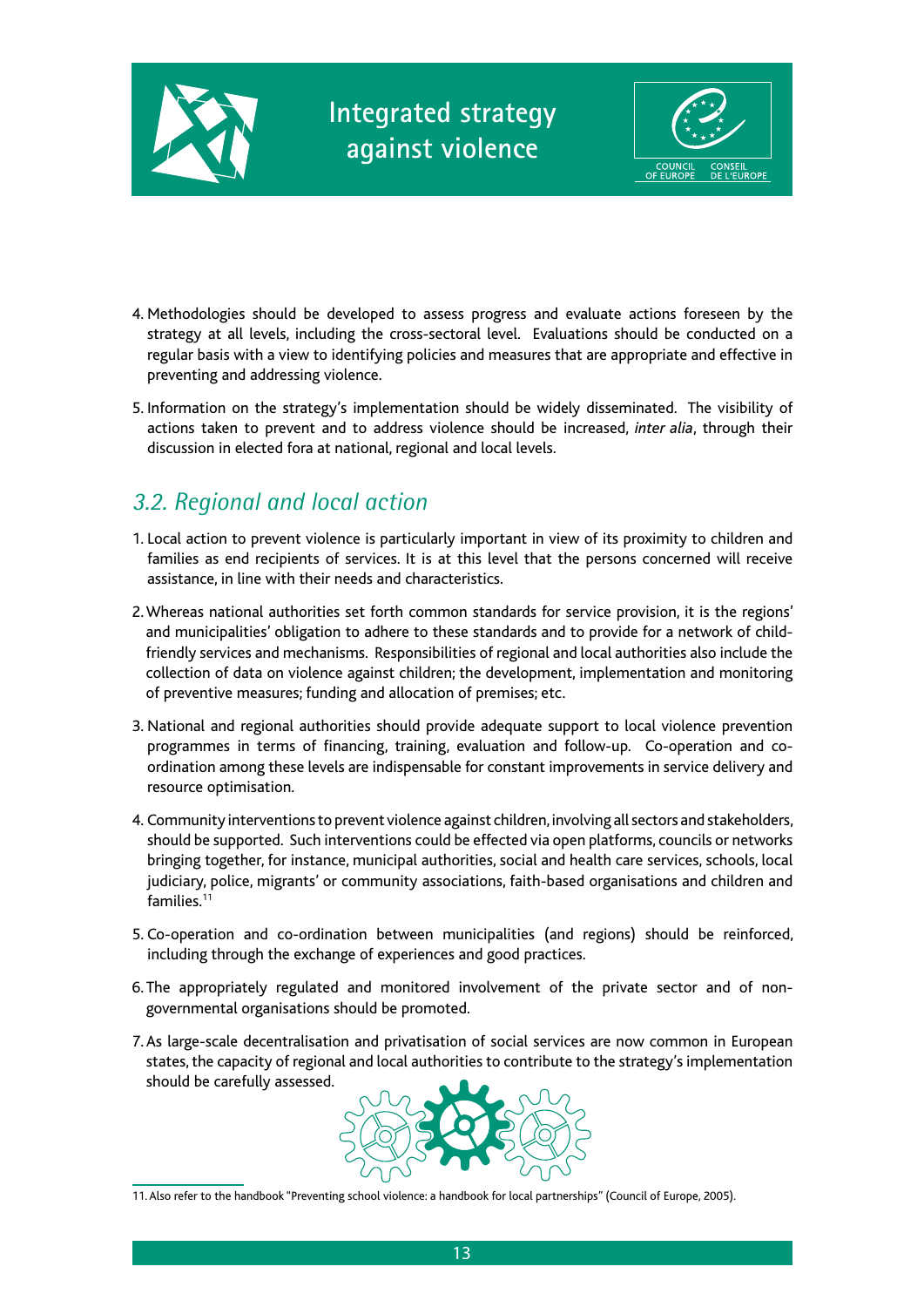



- 4. Methodologies should be developed to assess progress and evaluate actions foreseen by the strategy at all levels, including the cross-sectoral level. Evaluations should be conducted on a regular basis with a view to identifying policies and measures that are appropriate and effective in preventing and addressing violence.
- 5. Information on the strategy's implementation should be widely disseminated. The visibility of actions taken to prevent and to address violence should be increased, *inter alia*, through their discussion in elected fora at national, regional and local levels.

### *3.2. Regional and local action*

- 1. Local action to prevent violence is particularly important in view of its proximity to children and families as end recipients of services. It is at this level that the persons concerned will receive assistance, in line with their needs and characteristics.
- 2. Whereas national authorities set forth common standards for service provision, it is the regions' and municipalities' obligation to adhere to these standards and to provide for a network of childfriendly services and mechanisms. Responsibilities of regional and local authorities also include the collection of data on violence against children; the development, implementation and monitoring of preventive measures; funding and allocation of premises; etc.
- 3. National and regional authorities should provide adequate support to local violence prevention programmes in terms of financing, training, evaluation and follow-up. Co-operation and coordination among these levels are indispensable for constant improvements in service delivery and resource optimisation.
- 4. Community interventions to prevent violence against children, involving all sectors and stakeholders, should be supported. Such interventions could be effected via open platforms, councils or networks bringing together, for instance, municipal authorities, social and health care services, schools, local judiciary, police, migrants' or community associations, faith-based organisations and children and families.11
- 5. Co-operation and co-ordination between municipalities (and regions) should be reinforced, including through the exchange of experiences and good practices.
- 6. The appropriately regulated and monitored involvement of the private sector and of nongovernmental organisations should be promoted.
- 7. As large-scale decentralisation and privatisation of social services are now common in European states, the capacity of regional and local authorities to contribute to the strategy's implementation should be carefully assessed.



<sup>11.</sup> Also refer to the handbook "Preventing school violence: a handbook for local partnerships" (Council of Europe, 2005).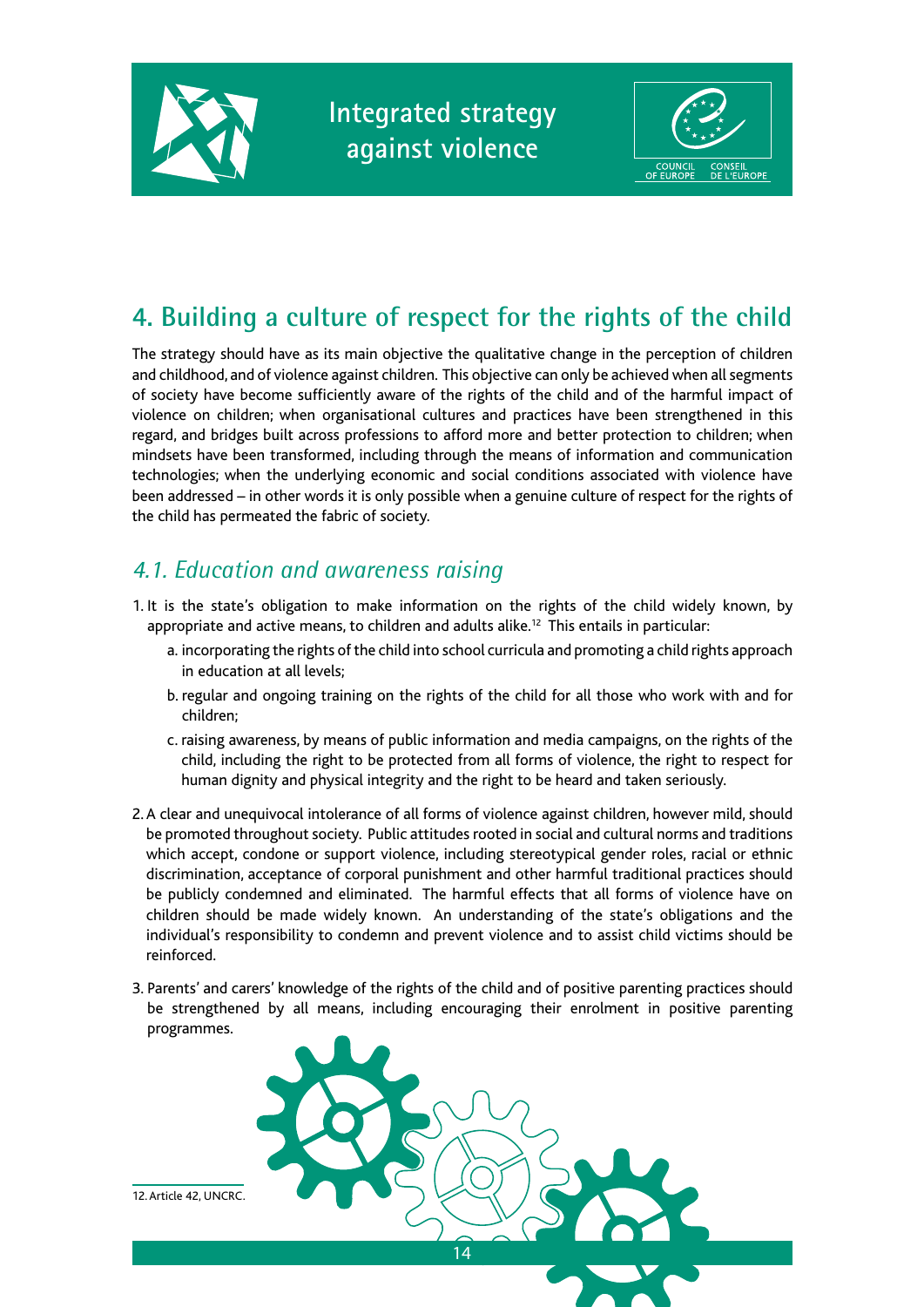



## **4. Building a culture of respect for the rights of the child**

The strategy should have as its main objective the qualitative change in the perception of children and childhood, and of violence against children. This objective can only be achieved when all segments of society have become sufficiently aware of the rights of the child and of the harmful impact of violence on children; when organisational cultures and practices have been strengthened in this regard, and bridges built across professions to afford more and better protection to children; when mindsets have been transformed, including through the means of information and communication technologies; when the underlying economic and social conditions associated with violence have been addressed – in other words it is only possible when a genuine culture of respect for the rights of the child has permeated the fabric of society.

### *4.1. Education and awareness raising*

- 1. It is the state's obligation to make information on the rights of the child widely known, by appropriate and active means, to children and adults alike.<sup>12</sup> This entails in particular:
	- a. incorporating the rights of the child into school curricula and promoting a child rights approach in education at all levels;
	- b. regular and ongoing training on the rights of the child for all those who work with and for children;
	- c. raising awareness, by means of public information and media campaigns, on the rights of the child, including the right to be protected from all forms of violence, the right to respect for human dignity and physical integrity and the right to be heard and taken seriously.
- 2. A clear and unequivocal intolerance of all forms of violence against children, however mild, should be promoted throughout society. Public attitudes rooted in social and cultural norms and traditions which accept, condone or support violence, including stereotypical gender roles, racial or ethnic discrimination, acceptance of corporal punishment and other harmful traditional practices should be publicly condemned and eliminated. The harmful effects that all forms of violence have on children should be made widely known. An understanding of the state's obligations and the individual's responsibility to condemn and prevent violence and to assist child victims should be reinforced.
- 3. Parents' and carers' knowledge of the rights of the child and of positive parenting practices should be strengthened by all means, including encouraging their enrolment in positive parenting programmes.



12. Article 42, UNCRC.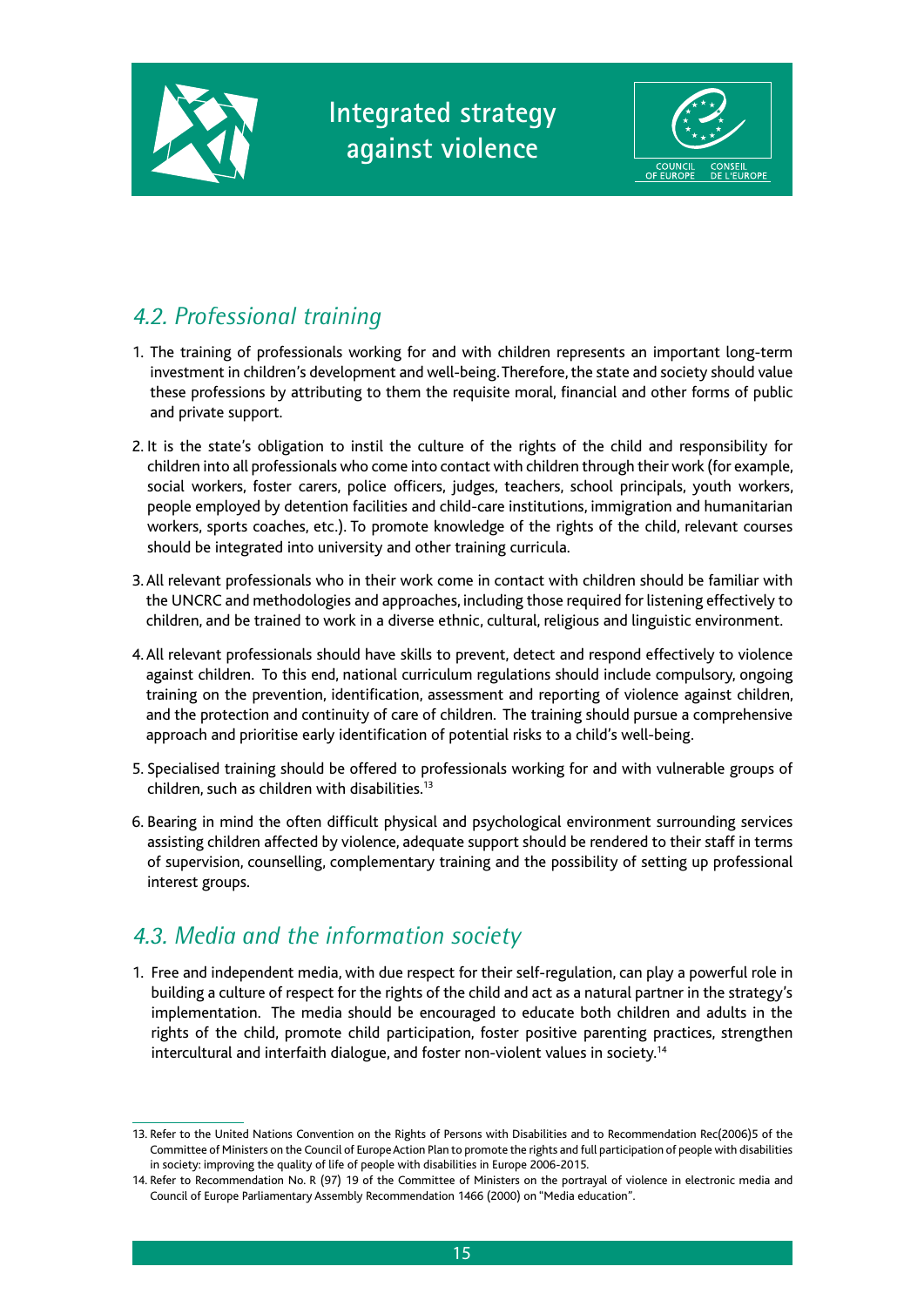



## *4.2. Professional training*

- 1. The training of professionals working for and with children represents an important long-term investment in children's development and well-being. Therefore, the state and society should value these professions by attributing to them the requisite moral, financial and other forms of public and private support.
- 2. It is the state's obligation to instil the culture of the rights of the child and responsibility for children into all professionals who come into contact with children through their work (for example, social workers, foster carers, police officers, judges, teachers, school principals, youth workers, people employed by detention facilities and child-care institutions, immigration and humanitarian workers, sports coaches, etc.). To promote knowledge of the rights of the child, relevant courses should be integrated into university and other training curricula.
- 3. All relevant professionals who in their work come in contact with children should be familiar with the UNCRC and methodologies and approaches, including those required for listening effectively to children, and be trained to work in a diverse ethnic, cultural, religious and linguistic environment.
- 4. All relevant professionals should have skills to prevent, detect and respond effectively to violence against children. To this end, national curriculum regulations should include compulsory, ongoing training on the prevention, identification, assessment and reporting of violence against children, and the protection and continuity of care of children. The training should pursue a comprehensive approach and prioritise early identification of potential risks to a child's well-being.
- 5. Specialised training should be offered to professionals working for and with vulnerable groups of children, such as children with disabilities.13
- 6. Bearing in mind the often difficult physical and psychological environment surrounding services assisting children affected by violence, adequate support should be rendered to their staff in terms of supervision, counselling, complementary training and the possibility of setting up professional interest groups.

### *4.3. Media and the information society*

1. Free and independent media, with due respect for their self-regulation, can play a powerful role in building a culture of respect for the rights of the child and act as a natural partner in the strategy's implementation. The media should be encouraged to educate both children and adults in the rights of the child, promote child participation, foster positive parenting practices, strengthen intercultural and interfaith dialogue, and foster non-violent values in society.14

<sup>13.</sup> Refer to the United Nations Convention on the Rights of Persons with Disabilities and to Recommendation Rec(2006)5 of the Committee of Ministers on the Council of Europe Action Plan to promote the rights and full participation of people with disabilities in society: improving the quality of life of people with disabilities in Europe 2006-2015.

<sup>14.</sup> Refer to Recommendation No. R (97) 19 of the Committee of Ministers on the portrayal of violence in electronic media and Council of Europe Parliamentary Assembly Recommendation 1466 (2000) on "Media education".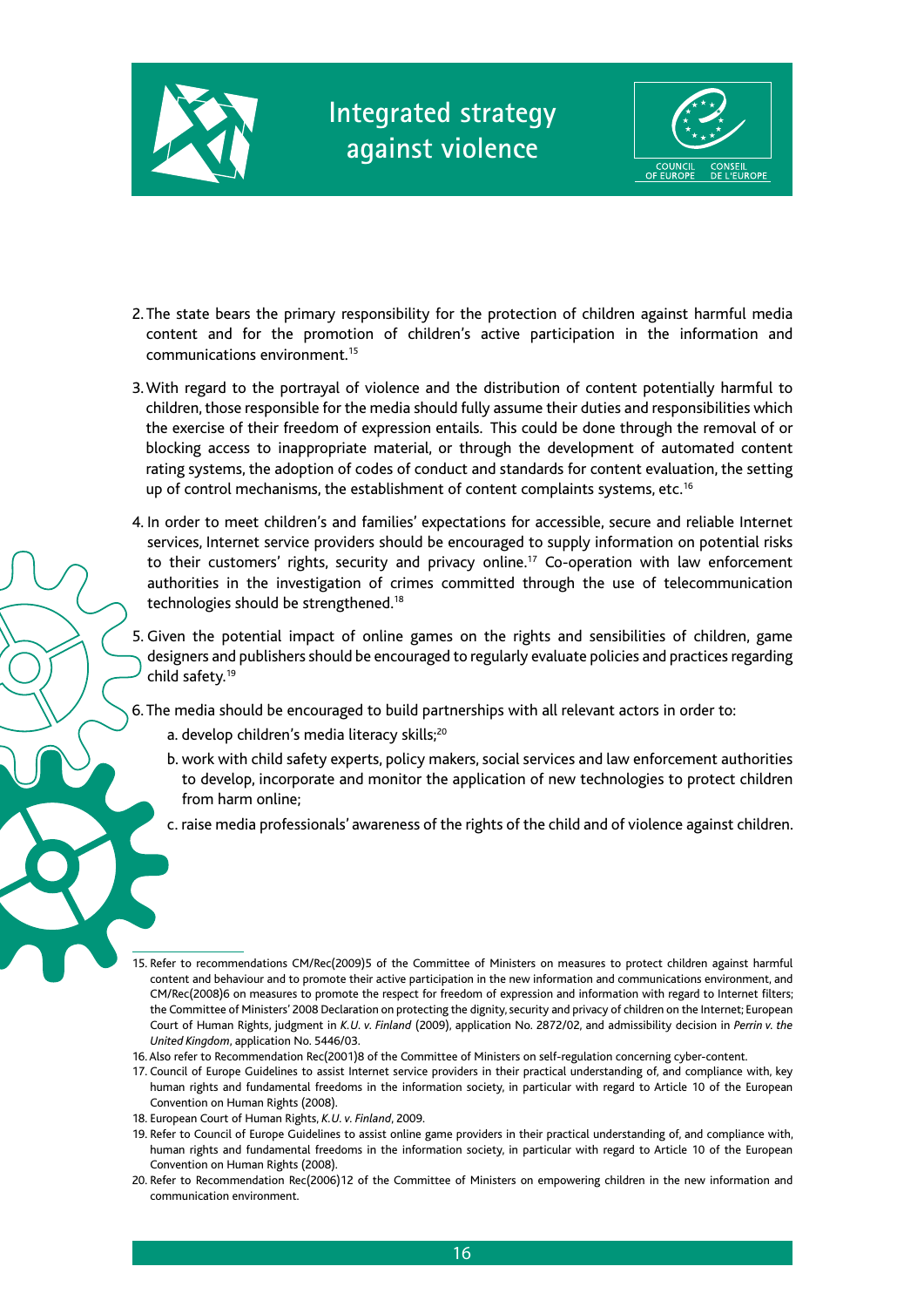



- 2. The state bears the primary responsibility for the protection of children against harmful media content and for the promotion of children's active participation in the information and communications environment<sup>15</sup>
- 3. With regard to the portrayal of violence and the distribution of content potentially harmful to children, those responsible for the media should fully assume their duties and responsibilities which the exercise of their freedom of expression entails. This could be done through the removal of or blocking access to inappropriate material, or through the development of automated content rating systems, the adoption of codes of conduct and standards for content evaluation, the setting up of control mechanisms, the establishment of content complaints systems, etc.<sup>16</sup>
- 4. In order to meet children's and families' expectations for accessible, secure and reliable Internet services, Internet service providers should be encouraged to supply information on potential risks to their customers' rights, security and privacy online.<sup>17</sup> Co-operation with law enforcement authorities in the investigation of crimes committed through the use of telecommunication technologies should be strengthened.18
- 5. Given the potential impact of online games on the rights and sensibilities of children, game designers and publishers should be encouraged to regularly evaluate policies and practices regarding child safety.19
- 6. The media should be encouraged to build partnerships with all relevant actors in order to:
	- a. develop children's media literacy skills;<sup>20</sup>
	- b. work with child safety experts, policy makers, social services and law enforcement authorities to develop, incorporate and monitor the application of new technologies to protect children from harm online;
	- c. raise media professionals' awareness of the rights of the child and of violence against children.
- 15. Refer to recommendations CM/Rec(2009)5 of the Committee of Ministers on measures to protect children against harmful content and behaviour and to promote their active participation in the new information and communications environment, and CM/Rec(2008)6 on measures to promote the respect for freedom of expression and information with regard to Internet filters; the Committee of Ministers' 2008 Declaration on protecting the dignity, security and privacy of children on the Internet; European Court of Human Rights, judgment in *K.U. v. Finland* (2009), application No. 2872/02, and admissibility decision in *Perrin v. the United Kingdom*, application No. 5446/03.
- 16. Also refer to Recommendation Rec(2001)8 of the Committee of Ministers on self-regulation concerning cyber-content.
- 17. Council of Europe Guidelines to assist Internet service providers in their practical understanding of, and compliance with, key human rights and fundamental freedoms in the information society, in particular with regard to Article 10 of the European Convention on Human Rights (2008).
- 18. European Court of Human Rights, *K.U. v. Finland*, 2009.
- 19. Refer to Council of Europe Guidelines to assist online game providers in their practical understanding of, and compliance with, human rights and fundamental freedoms in the information society, in particular with regard to Article 10 of the European Convention on Human Rights (2008).
- 20. Refer to Recommendation Rec(2006)12 of the Committee of Ministers on empowering children in the new information and communication environment.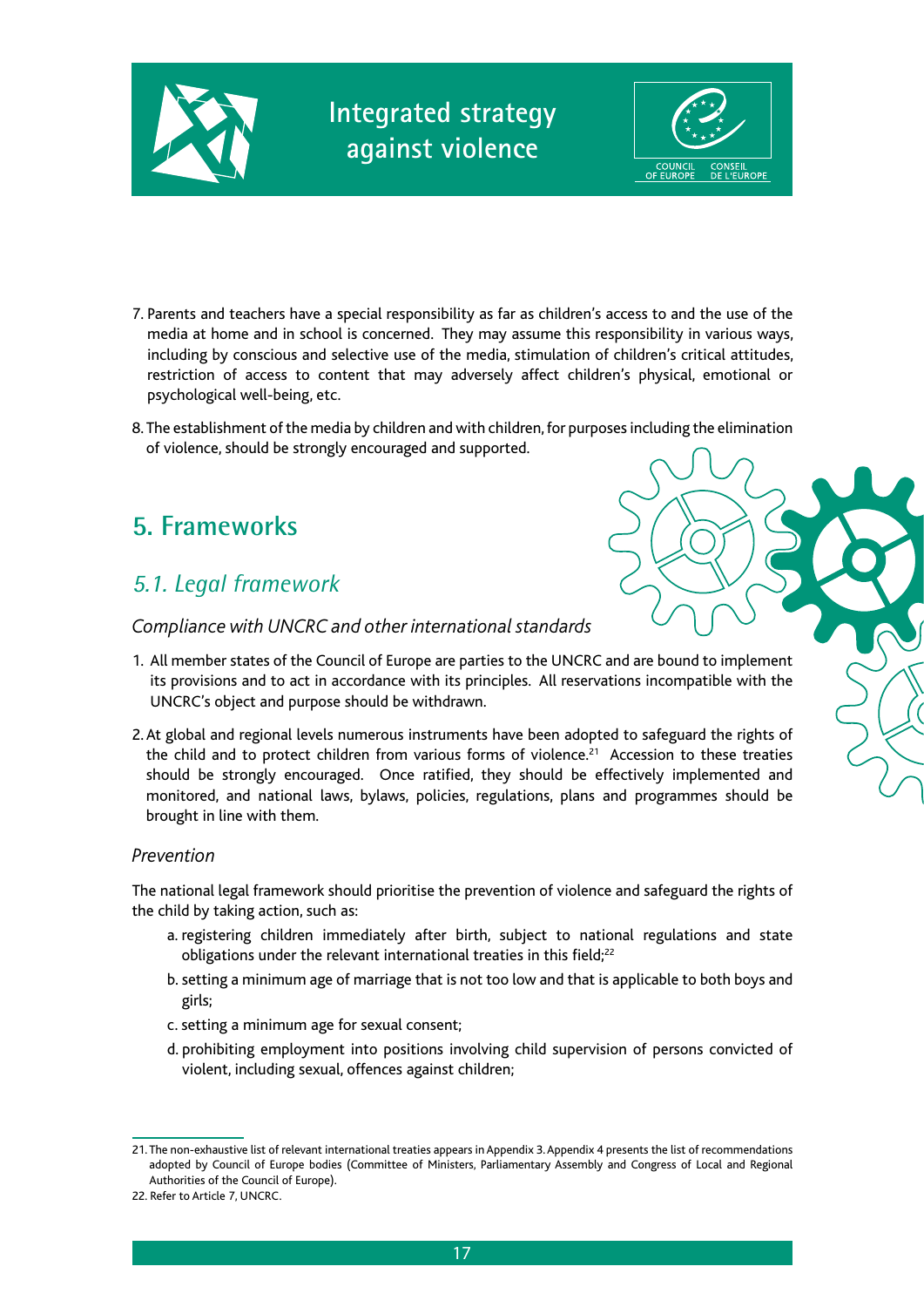



- 7. Parents and teachers have a special responsibility as far as children's access to and the use of the media at home and in school is concerned. They may assume this responsibility in various ways, including by conscious and selective use of the media, stimulation of children's critical attitudes, restriction of access to content that may adversely affect children's physical, emotional or psychological well-being, etc.
- 8. The establishment of the media by children and with children, for purposes including the elimination of violence, should be strongly encouraged and supported.

## **5. Frameworks**

### *5.1. Legal framework*

#### *Compliance with UNCRC and other international standards*

- 1. All member states of the Council of Europe are parties to the UNCRC and are bound to implement its provisions and to act in accordance with its principles. All reservations incompatible with the UNCRC's object and purpose should be withdrawn.
- 2. At global and regional levels numerous instruments have been adopted to safeguard the rights of the child and to protect children from various forms of violence.<sup>21</sup> Accession to these treaties should be strongly encouraged. Once ratified, they should be effectively implemented and monitored, and national laws, bylaws, policies, regulations, plans and programmes should be brought in line with them.

#### *Prevention*

The national legal framework should prioritise the prevention of violence and safeguard the rights of the child by taking action, such as:

- a. registering children immediately after birth, subject to national regulations and state obligations under the relevant international treaties in this field;<sup>22</sup>
- b. setting a minimum age of marriage that is not too low and that is applicable to both boys and girls;
- c. setting a minimum age for sexual consent;
- d. prohibiting employment into positions involving child supervision of persons convicted of violent, including sexual, offences against children;

<sup>21.</sup> The non-exhaustive list of relevant international treaties appears in Appendix 3. Appendix 4 presents the list of recommendations adopted by Council of Europe bodies (Committee of Ministers, Parliamentary Assembly and Congress of Local and Regional Authorities of the Council of Europe).

<sup>22.</sup> Refer to Article 7, UNCRC.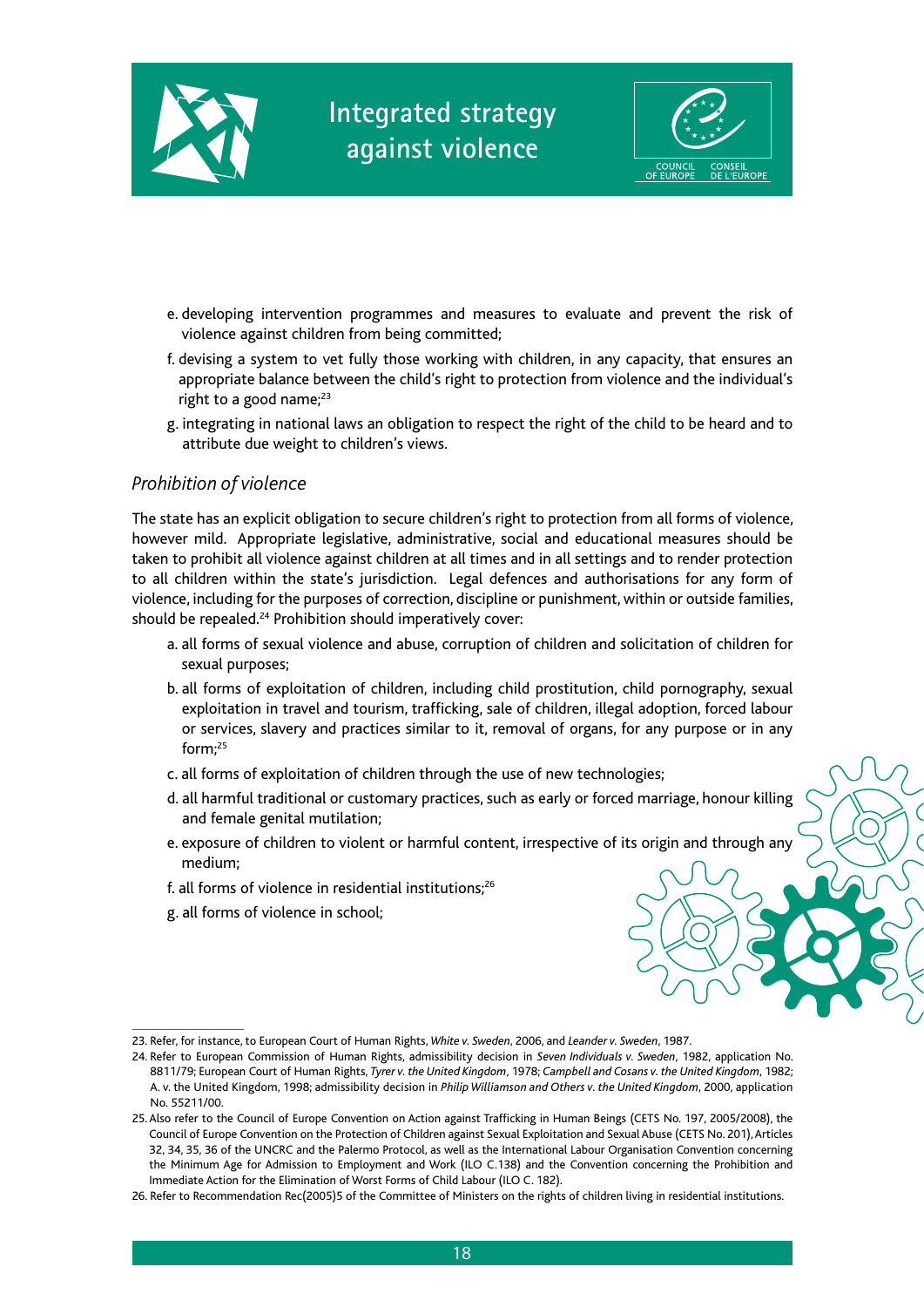



- e. developing intervention programmes and measures to evaluate and prevent the risk of violence against children from being committed;
- f. devising a system to vet fully those working with children, in any capacity, that ensures an appropriate balance between the child's right to protection from violence and the individual's right to a good name; $23$
- g. integrating in national laws an obligation to respect the right of the child to be heard and to attribute due weight to children's views.

#### *Prohibition of violence*

The state has an explicit obligation to secure children's right to protection from all forms of violence, however mild. Appropriate legislative, administrative, social and educational measures should be taken to prohibit all violence against children at all times and in all settings and to render protection to all children within the state's jurisdiction. Legal defences and authorisations for any form of violence, including for the purposes of correction, discipline or punishment, within or outside families, should be repealed.<sup>24</sup> Prohibition should imperatively cover:

- a. all forms of sexual violence and abuse, corruption of children and solicitation of children for sexual purposes;
- b. all forms of exploitation of children, including child prostitution, child pornography, sexual exploitation in travel and tourism, trafficking, sale of children, illegal adoption, forced labour or services, slavery and practices similar to it, removal of organs, for any purpose or in any form;25
- c. all forms of exploitation of children through the use of new technologies;
- d. all harmful traditional or customary practices, such as early or forced marriage, honour killing and female genital mutilation;
- e. exposure of children to violent or harmful content, irrespective of its origin and through any medium;
- f. all forms of violence in residential institutions;26
- g. all forms of violence in school;

<sup>23.</sup> Refer, for instance, to European Court of Human Rights, *White v. Sweden*, 2006, and *Leander v. Sweden*, 1987.

<sup>24.</sup> Refer to European Commission of Human Rights, admissibility decision in *Seven Individuals v. Sweden*, 1982, application No. 8811/79; European Court of Human Rights, *Tyrer v. the United Kingdom*, 1978; *Campbell and Cosans v. the United Kingdom*, 1982; A. v. the United Kingdom, 1998; admissibility decision in *Philip Williamson and Others v. the United Kingdom*, 2000, application No. 55211/00.

<sup>25.</sup> Also refer to the Council of Europe Convention on Action against Trafficking in Human Beings (CETS No. 197, 2005/2008), the Council of Europe Convention on the Protection of Children against Sexual Exploitation and Sexual Abuse (CETS No. 201), Articles 32, 34, 35, 36 of the UNCRC and the Palermo Protocol, as well as the International Labour Organisation Convention concerning the Minimum Age for Admission to Employment and Work (ILO C.138) and the Convention concerning the Prohibition and Immediate Action for the Elimination of Worst Forms of Child Labour (ILO C. 182).

<sup>26.</sup> Refer to Recommendation Rec(2005)5 of the Committee of Ministers on the rights of children living in residential institutions.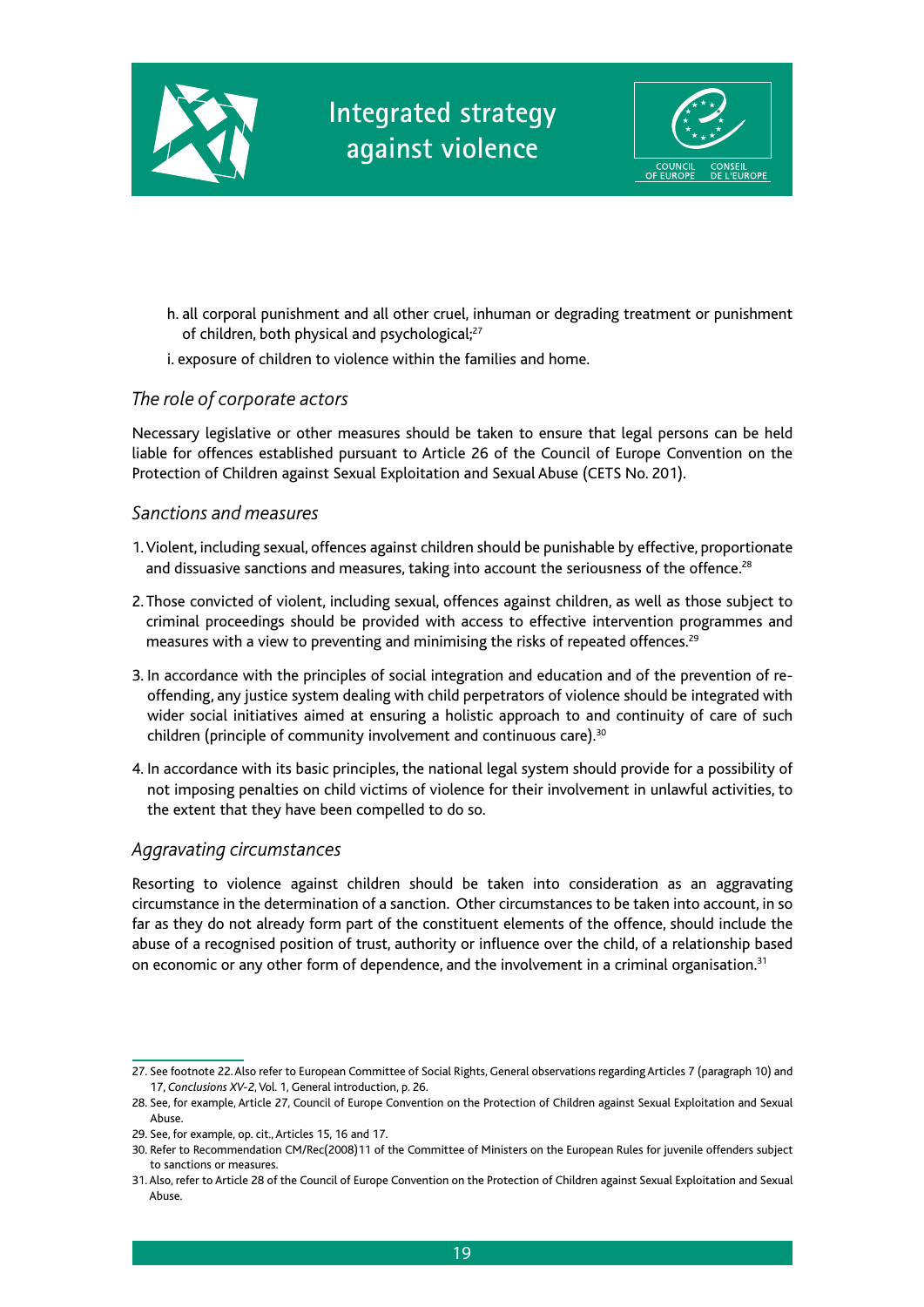



- h. all corporal punishment and all other cruel, inhuman or degrading treatment or punishment of children, both physical and psychological;<sup>27</sup>
- i. exposure of children to violence within the families and home.

#### *The role of corporate actors*

Necessary legislative or other measures should be taken to ensure that legal persons can be held liable for offences established pursuant to Article 26 of the Council of Europe Convention on the Protection of Children against Sexual Exploitation and Sexual Abuse (CETS No. 201).

#### *Sanctions and measures*

- 1. Violent, including sexual, offences against children should be punishable by effective, proportionate and dissuasive sanctions and measures, taking into account the seriousness of the offence.<sup>28</sup>
- 2. Those convicted of violent, including sexual, offences against children, as well as those subject to criminal proceedings should be provided with access to effective intervention programmes and measures with a view to preventing and minimising the risks of repeated offences.29
- 3. In accordance with the principles of social integration and education and of the prevention of reoffending, any justice system dealing with child perpetrators of violence should be integrated with wider social initiatives aimed at ensuring a holistic approach to and continuity of care of such children (principle of community involvement and continuous care).<sup>30</sup>
- 4. In accordance with its basic principles, the national legal system should provide for a possibility of not imposing penalties on child victims of violence for their involvement in unlawful activities, to the extent that they have been compelled to do so.

#### *Aggravating circumstances*

Resorting to violence against children should be taken into consideration as an aggravating circumstance in the determination of a sanction. Other circumstances to be taken into account, in so far as they do not already form part of the constituent elements of the offence, should include the abuse of a recognised position of trust, authority or influence over the child, of a relationship based on economic or any other form of dependence, and the involvement in a criminal organisation. $31$ 

<sup>27.</sup> See footnote 22. Also refer to European Committee of Social Rights, General observations regarding Articles 7 (paragraph 10) and 17, *Conclusions XV-2*, Vol. 1, General introduction, p. 26.

<sup>28.</sup> See, for example, Article 27, Council of Europe Convention on the Protection of Children against Sexual Exploitation and Sexual Abuse.

<sup>29.</sup> See, for example, op. cit., Articles 15, 16 and 17.

<sup>30.</sup> Refer to Recommendation CM/Rec(2008)11 of the Committee of Ministers on the European Rules for juvenile offenders subject to sanctions or measures.

<sup>31.</sup> Also, refer to Article 28 of the Council of Europe Convention on the Protection of Children against Sexual Exploitation and Sexual Abuse.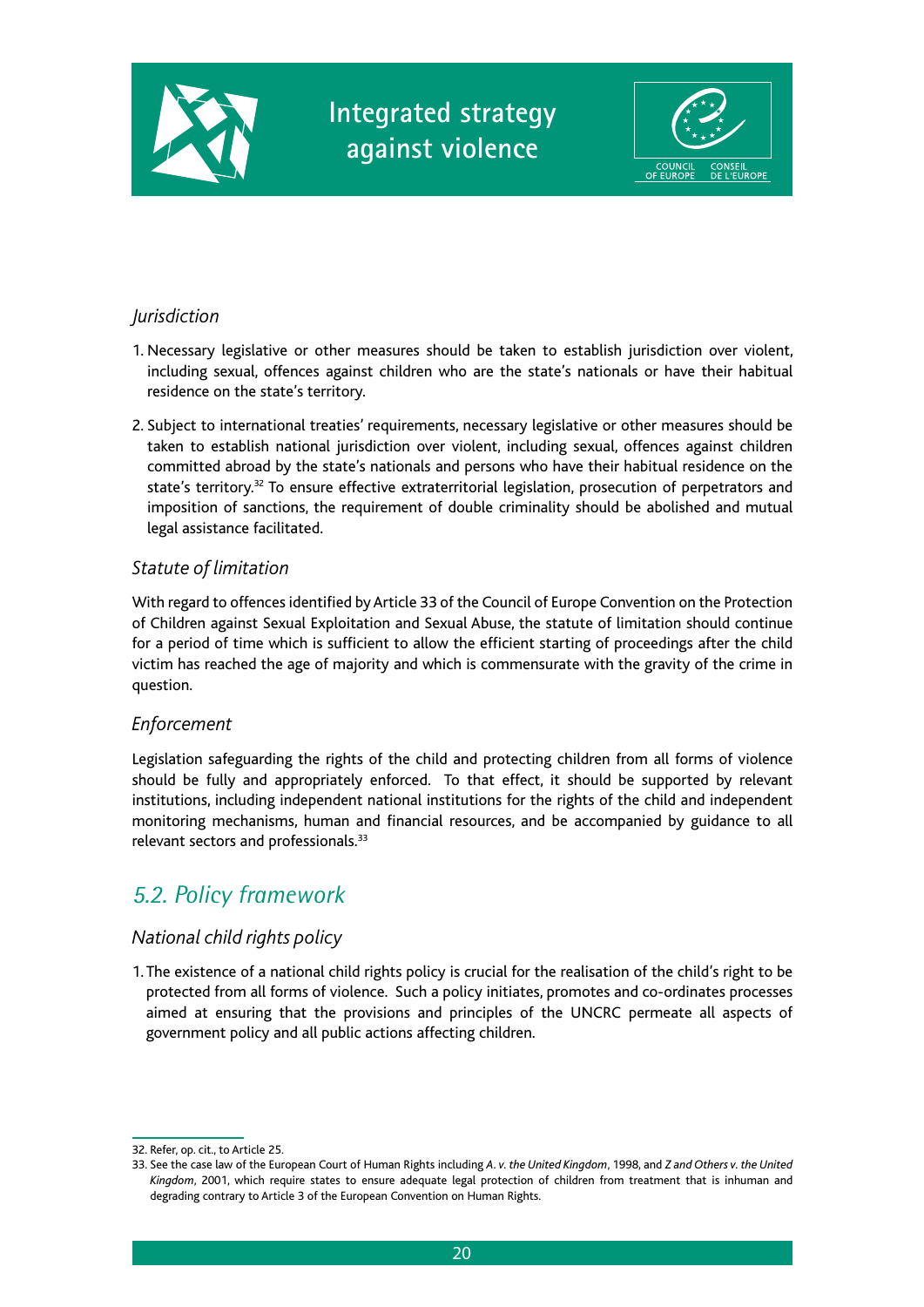



#### *Jurisdiction*

- 1. Necessary legislative or other measures should be taken to establish jurisdiction over violent, including sexual, offences against children who are the state's nationals or have their habitual residence on the state's territory.
- 2. Subject to international treaties' requirements, necessary legislative or other measures should be taken to establish national jurisdiction over violent, including sexual, offences against children committed abroad by the state's nationals and persons who have their habitual residence on the state's territory.32 To ensure effective extraterritorial legislation, prosecution of perpetrators and imposition of sanctions, the requirement of double criminality should be abolished and mutual legal assistance facilitated.

#### *Statute of limitation*

With regard to offences identified by Article 33 of the Council of Europe Convention on the Protection of Children against Sexual Exploitation and Sexual Abuse, the statute of limitation should continue for a period of time which is sufficient to allow the efficient starting of proceedings after the child victim has reached the age of majority and which is commensurate with the gravity of the crime in question.

#### *Enforcement*

Legislation safeguarding the rights of the child and protecting children from all forms of violence should be fully and appropriately enforced. To that effect, it should be supported by relevant institutions, including independent national institutions for the rights of the child and independent monitoring mechanisms, human and financial resources, and be accompanied by guidance to all relevant sectors and professionals.<sup>33</sup>

### *5.2. Policy framework*

#### *National child rights policy*

1. The existence of a national child rights policy is crucial for the realisation of the child's right to be protected from all forms of violence. Such a policy initiates, promotes and co-ordinates processes aimed at ensuring that the provisions and principles of the UNCRC permeate all aspects of government policy and all public actions affecting children.

<sup>32.</sup> Refer, op. cit., to Article 25.

<sup>33.</sup> See the case law of the European Court of Human Rights including *A. v. the United Kingdom*, 1998, and *Z and Others v. the United Kingdom*, 2001, which require states to ensure adequate legal protection of children from treatment that is inhuman and degrading contrary to Article 3 of the European Convention on Human Rights.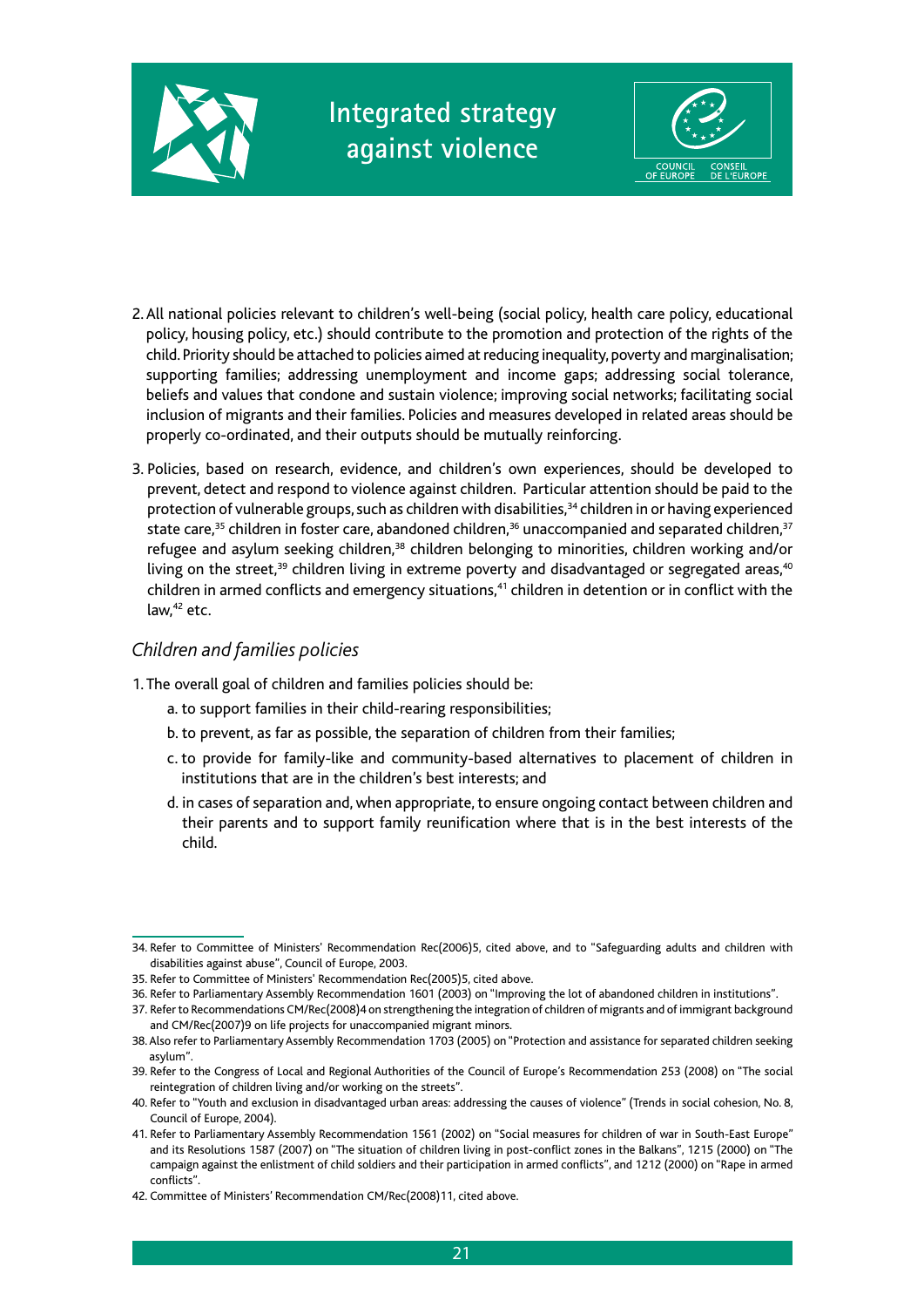



- 2. All national policies relevant to children's well-being (social policy, health care policy, educational policy, housing policy, etc.) should contribute to the promotion and protection of the rights of the child. Priority should be attached to policies aimed at reducing inequality, poverty and marginalisation; supporting families; addressing unemployment and income gaps; addressing social tolerance, beliefs and values that condone and sustain violence; improving social networks; facilitating social inclusion of migrants and their families. Policies and measures developed in related areas should be properly co-ordinated, and their outputs should be mutually reinforcing.
- 3. Policies, based on research, evidence, and children's own experiences, should be developed to prevent, detect and respond to violence against children. Particular attention should be paid to the protection of vulnerable groups, such as children with disabilities,<sup>34</sup> children in or having experienced state care,<sup>35</sup> children in foster care, abandoned children,<sup>36</sup> unaccompanied and separated children,<sup>37</sup> refugee and asylum seeking children,<sup>38</sup> children belonging to minorities, children working and/or living on the street, $39$  children living in extreme poverty and disadvantaged or segregated areas, $40$ children in armed conflicts and emergency situations,<sup>41</sup> children in detention or in conflict with the law,<sup>42</sup> etc.

#### *Children and families policies*

- 1. The overall goal of children and families policies should be:
	- a. to support families in their child-rearing responsibilities;
	- b. to prevent, as far as possible, the separation of children from their families;
	- c. to provide for family-like and community-based alternatives to placement of children in institutions that are in the children's best interests; and
	- d. in cases of separation and, when appropriate, to ensure ongoing contact between children and their parents and to support family reunification where that is in the best interests of the child.

<sup>34.</sup> Refer to Committee of Ministers' Recommendation Rec(2006)5, cited above, and to "Safeguarding adults and children with disabilities against abuse", Council of Europe, 2003.

<sup>35.</sup> Refer to Committee of Ministers' Recommendation Rec(2005)5, cited above.

<sup>36.</sup> Refer to Parliamentary Assembly Recommendation 1601 (2003) on "Improving the lot of abandoned children in institutions".

<sup>37.</sup> Refer to Recommendations CM/Rec(2008)4 on strengthening the integration of children of migrants and of immigrant background and CM/Rec(2007)9 on life projects for unaccompanied migrant minors.

<sup>38.</sup> Also refer to Parliamentary Assembly Recommendation 1703 (2005) on "Protection and assistance for separated children seeking asylum".

<sup>39.</sup> Refer to the Congress of Local and Regional Authorities of the Council of Europe's Recommendation 253 (2008) on "The social reintegration of children living and/or working on the streets".

<sup>40.</sup> Refer to "Youth and exclusion in disadvantaged urban areas: addressing the causes of violence" (Trends in social cohesion, No. 8, Council of Europe, 2004).

<sup>41.</sup> Refer to Parliamentary Assembly Recommendation 1561 (2002) on "Social measures for children of war in South-East Europe" and its Resolutions 1587 (2007) on "The situation of children living in post-conflict zones in the Balkans", 1215 (2000) on "The campaign against the enlistment of child soldiers and their participation in armed conflicts", and 1212 (2000) on "Rape in armed conflicts".

<sup>42.</sup> Committee of Ministers' Recommendation CM/Rec(2008)11, cited above.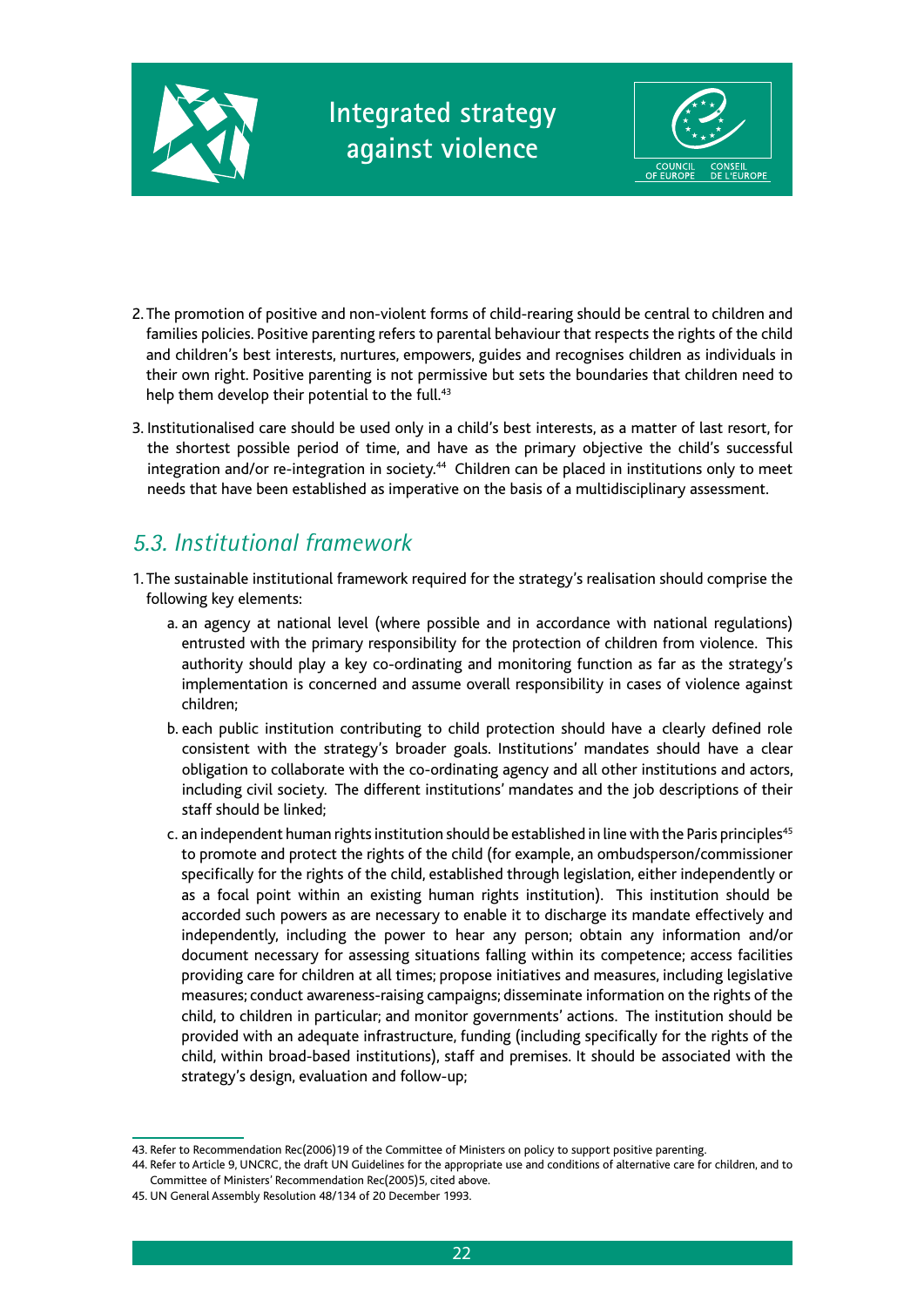



- 2. The promotion of positive and non-violent forms of child-rearing should be central to children and families policies. Positive parenting refers to parental behaviour that respects the rights of the child and children's best interests, nurtures, empowers, guides and recognises children as individuals in their own right. Positive parenting is not permissive but sets the boundaries that children need to help them develop their potential to the full.<sup>43</sup>
- 3. Institutionalised care should be used only in a child's best interests, as a matter of last resort, for the shortest possible period of time, and have as the primary objective the child's successful integration and/or re-integration in society.<sup>44</sup> Children can be placed in institutions only to meet needs that have been established as imperative on the basis of a multidisciplinary assessment.

## *5.3. Institutional framework*

- 1. The sustainable institutional framework required for the strategy's realisation should comprise the following key elements:
	- a. an agency at national level (where possible and in accordance with national regulations) entrusted with the primary responsibility for the protection of children from violence. This authority should play a key co-ordinating and monitoring function as far as the strategy's implementation is concerned and assume overall responsibility in cases of violence against children;
	- b. each public institution contributing to child protection should have a clearly defined role consistent with the strategy's broader goals. Institutions' mandates should have a clear obligation to collaborate with the co-ordinating agency and all other institutions and actors, including civil society. The different institutions' mandates and the job descriptions of their staff should be linked;
	- c. an independent human rights institution should be established in line with the Paris principles<sup>45</sup> to promote and protect the rights of the child (for example, an ombudsperson/commissioner specifically for the rights of the child, established through legislation, either independently or as a focal point within an existing human rights institution). This institution should be accorded such powers as are necessary to enable it to discharge its mandate effectively and independently, including the power to hear any person; obtain any information and/or document necessary for assessing situations falling within its competence; access facilities providing care for children at all times; propose initiatives and measures, including legislative measures; conduct awareness-raising campaigns; disseminate information on the rights of the child, to children in particular; and monitor governments' actions. The institution should be provided with an adequate infrastructure, funding (including specifically for the rights of the child, within broad-based institutions), staff and premises. It should be associated with the strategy's design, evaluation and follow-up;

<sup>43.</sup> Refer to Recommendation Rec(2006)19 of the Committee of Ministers on policy to support positive parenting.

<sup>44.</sup> Refer to Article 9, UNCRC, the draft UN Guidelines for the appropriate use and conditions of alternative care for children, and to Committee of Ministers' Recommendation Rec(2005)5, cited above.

<sup>45.</sup> UN General Assembly Resolution 48/134 of 20 December 1993.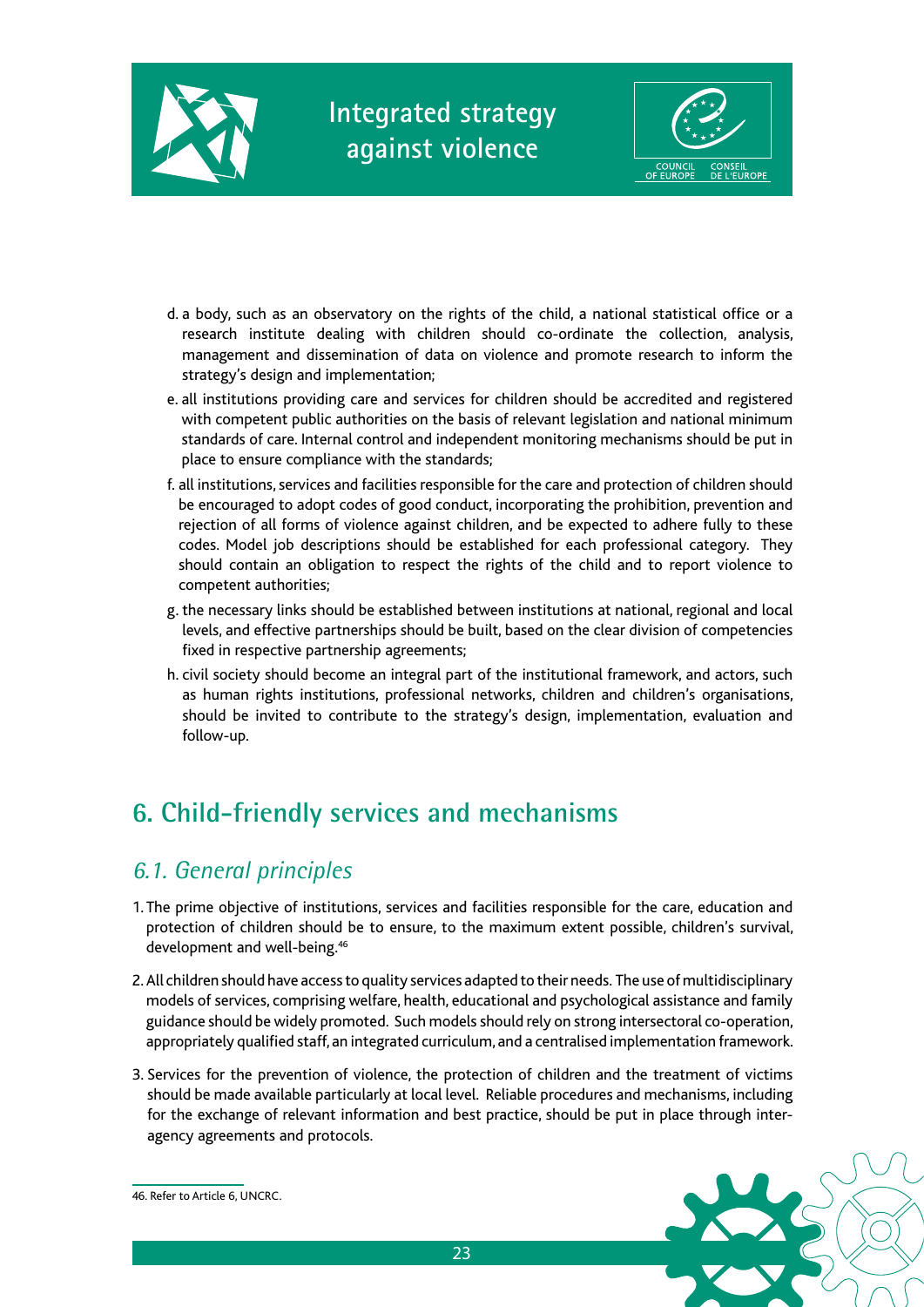



- d. a body, such as an observatory on the rights of the child, a national statistical office or a research institute dealing with children should co-ordinate the collection, analysis, management and dissemination of data on violence and promote research to inform the strategy's design and implementation;
- e. all institutions providing care and services for children should be accredited and registered with competent public authorities on the basis of relevant legislation and national minimum standards of care. Internal control and independent monitoring mechanisms should be put in place to ensure compliance with the standards;
- f. all institutions, services and facilities responsible for the care and protection of children should be encouraged to adopt codes of good conduct, incorporating the prohibition, prevention and rejection of all forms of violence against children, and be expected to adhere fully to these codes. Model job descriptions should be established for each professional category. They should contain an obligation to respect the rights of the child and to report violence to competent authorities;
- g. the necessary links should be established between institutions at national, regional and local levels, and effective partnerships should be built, based on the clear division of competencies fixed in respective partnership agreements;
- h. civil society should become an integral part of the institutional framework, and actors, such as human rights institutions, professional networks, children and children's organisations, should be invited to contribute to the strategy's design, implementation, evaluation and follow-up.

## **6. Child-friendly services and mechanisms**

### *6.1. General principles*

- 1. The prime objective of institutions, services and facilities responsible for the care, education and protection of children should be to ensure, to the maximum extent possible, children's survival, development and well-being.<sup>46</sup>
- 2. All children should have access to quality services adapted to their needs. The use of multidisciplinary models of services, comprising welfare, health, educational and psychological assistance and family guidance should be widely promoted. Such models should rely on strong intersectoral co-operation, appropriately qualified staff, an integrated curriculum, and a centralised implementation framework.
- 3. Services for the prevention of violence, the protection of children and the treatment of victims should be made available particularly at local level. Reliable procedures and mechanisms, including for the exchange of relevant information and best practice, should be put in place through interagency agreements and protocols.



46. Refer to Article 6, UNCRC.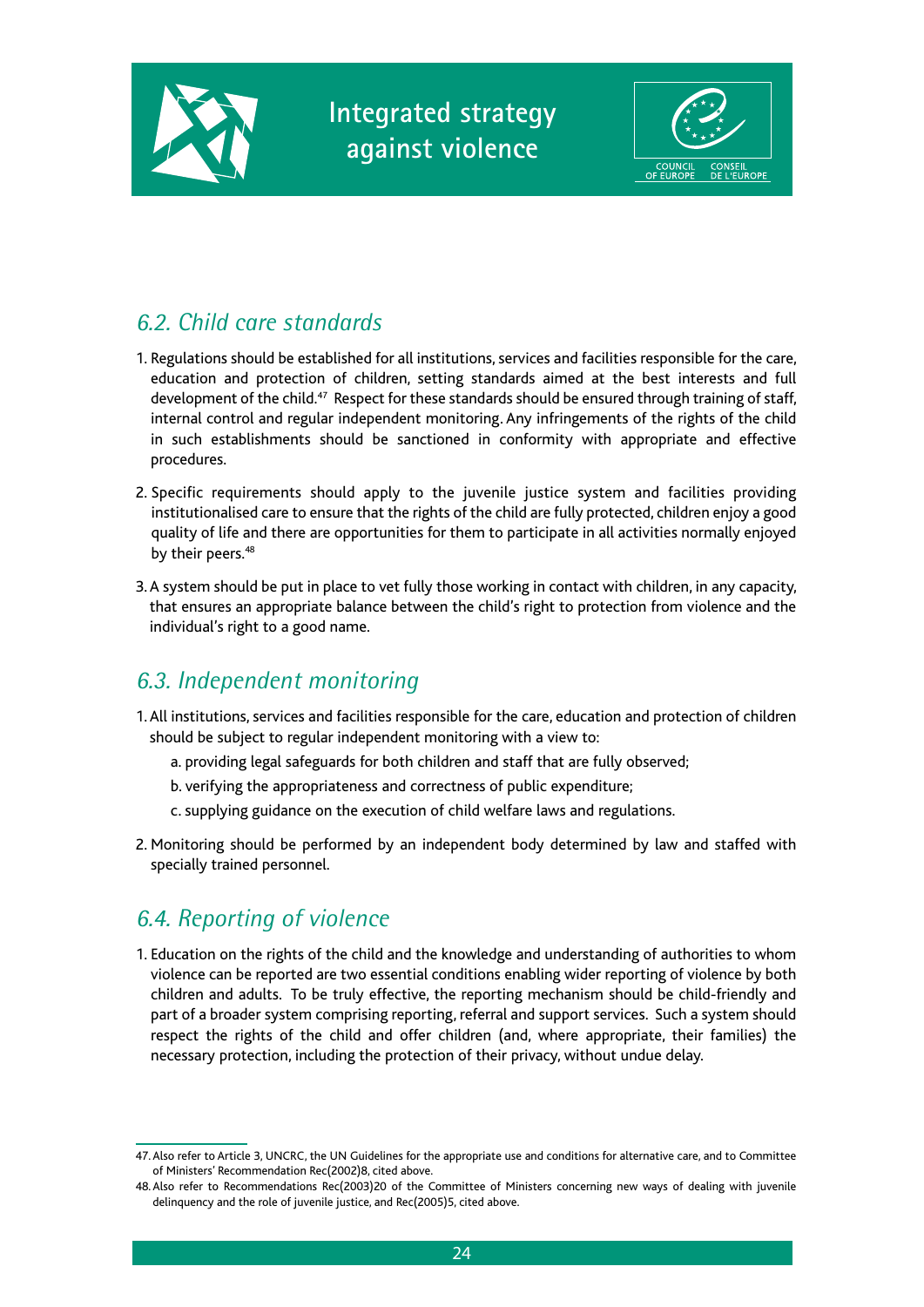



### *6.2. Child care standards*

- 1. Regulations should be established for all institutions, services and facilities responsible for the care, education and protection of children, setting standards aimed at the best interests and full development of the child.<sup>47</sup> Respect for these standards should be ensured through training of staff, internal control and regular independent monitoring. Any infringements of the rights of the child in such establishments should be sanctioned in conformity with appropriate and effective procedures.
- 2. Specific requirements should apply to the juvenile justice system and facilities providing institutionalised care to ensure that the rights of the child are fully protected, children enjoy a good quality of life and there are opportunities for them to participate in all activities normally enjoyed by their peers.<sup>48</sup>
- 3. A system should be put in place to vet fully those working in contact with children, in any capacity, that ensures an appropriate balance between the child's right to protection from violence and the individual's right to a good name.

### *6.3. Independent monitoring*

- 1. All institutions, services and facilities responsible for the care, education and protection of children should be subject to regular independent monitoring with a view to:
	- a. providing legal safeguards for both children and staff that are fully observed;
	- b. verifying the appropriateness and correctness of public expenditure;
	- c. supplying guidance on the execution of child welfare laws and regulations.
- 2. Monitoring should be performed by an independent body determined by law and staffed with specially trained personnel.

## *6.4. Reporting of violence*

1. Education on the rights of the child and the knowledge and understanding of authorities to whom violence can be reported are two essential conditions enabling wider reporting of violence by both children and adults. To be truly effective, the reporting mechanism should be child-friendly and part of a broader system comprising reporting, referral and support services. Such a system should respect the rights of the child and offer children (and, where appropriate, their families) the necessary protection, including the protection of their privacy, without undue delay.

<sup>47.</sup> Also refer to Article 3, UNCRC, the UN Guidelines for the appropriate use and conditions for alternative care, and to Committee of Ministers' Recommendation Rec(2002)8, cited above.

<sup>48.</sup> Also refer to Recommendations Rec(2003)20 of the Committee of Ministers concerning new ways of dealing with juvenile delinquency and the role of juvenile justice, and Rec(2005)5, cited above.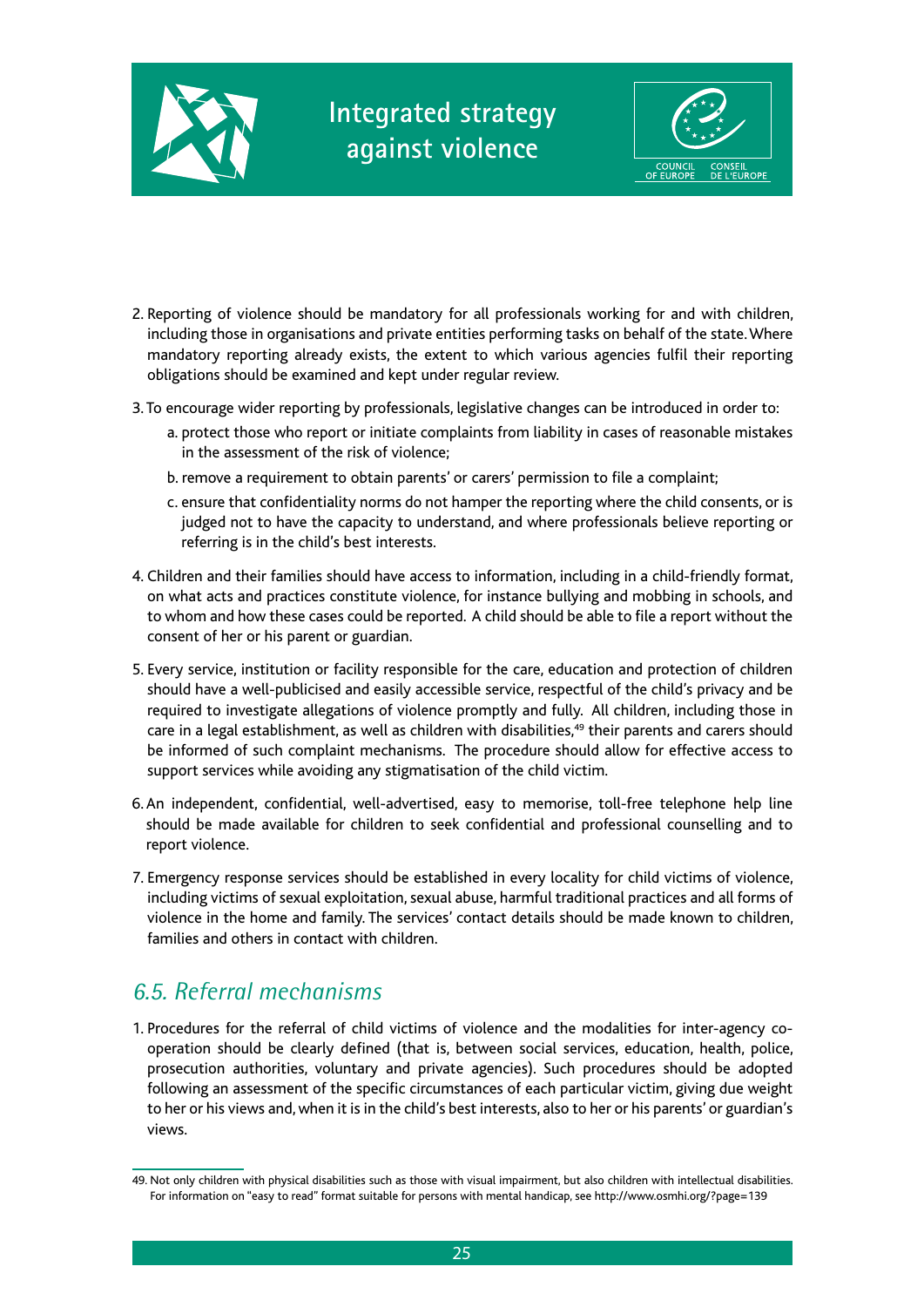



- 2. Reporting of violence should be mandatory for all professionals working for and with children, including those in organisations and private entities performing tasks on behalf of the state. Where mandatory reporting already exists, the extent to which various agencies fulfil their reporting obligations should be examined and kept under regular review.
- 3. To encourage wider reporting by professionals, legislative changes can be introduced in order to:
	- a. protect those who report or initiate complaints from liability in cases of reasonable mistakes in the assessment of the risk of violence;
	- b. remove a requirement to obtain parents' or carers' permission to file a complaint;
	- c. ensure that confidentiality norms do not hamper the reporting where the child consents, or is judged not to have the capacity to understand, and where professionals believe reporting or referring is in the child's best interests.
- 4. Children and their families should have access to information, including in a child-friendly format, on what acts and practices constitute violence, for instance bullying and mobbing in schools, and to whom and how these cases could be reported. A child should be able to file a report without the consent of her or his parent or guardian.
- 5. Every service, institution or facility responsible for the care, education and protection of children should have a well-publicised and easily accessible service, respectful of the child's privacy and be required to investigate allegations of violence promptly and fully. All children, including those in care in a legal establishment, as well as children with disabilities,<sup>49</sup> their parents and carers should be informed of such complaint mechanisms. The procedure should allow for effective access to support services while avoiding any stigmatisation of the child victim.
- 6. An independent, confidential, well-advertised, easy to memorise, toll-free telephone help line should be made available for children to seek confidential and professional counselling and to report violence.
- 7. Emergency response services should be established in every locality for child victims of violence, including victims of sexual exploitation, sexual abuse, harmful traditional practices and all forms of violence in the home and family. The services' contact details should be made known to children, families and others in contact with children.

### *6.5. Referral mechanisms*

1. Procedures for the referral of child victims of violence and the modalities for inter-agency cooperation should be clearly defined (that is, between social services, education, health, police, prosecution authorities, voluntary and private agencies). Such procedures should be adopted following an assessment of the specific circumstances of each particular victim, giving due weight to her or his views and, when it is in the child's best interests, also to her or his parents' or guardian's views.

<sup>49.</sup> Not only children with physical disabilities such as those with visual impairment, but also children with intellectual disabilities. For information on "easy to read" format suitable for persons with mental handicap, see http://www.osmhi.org/?page=139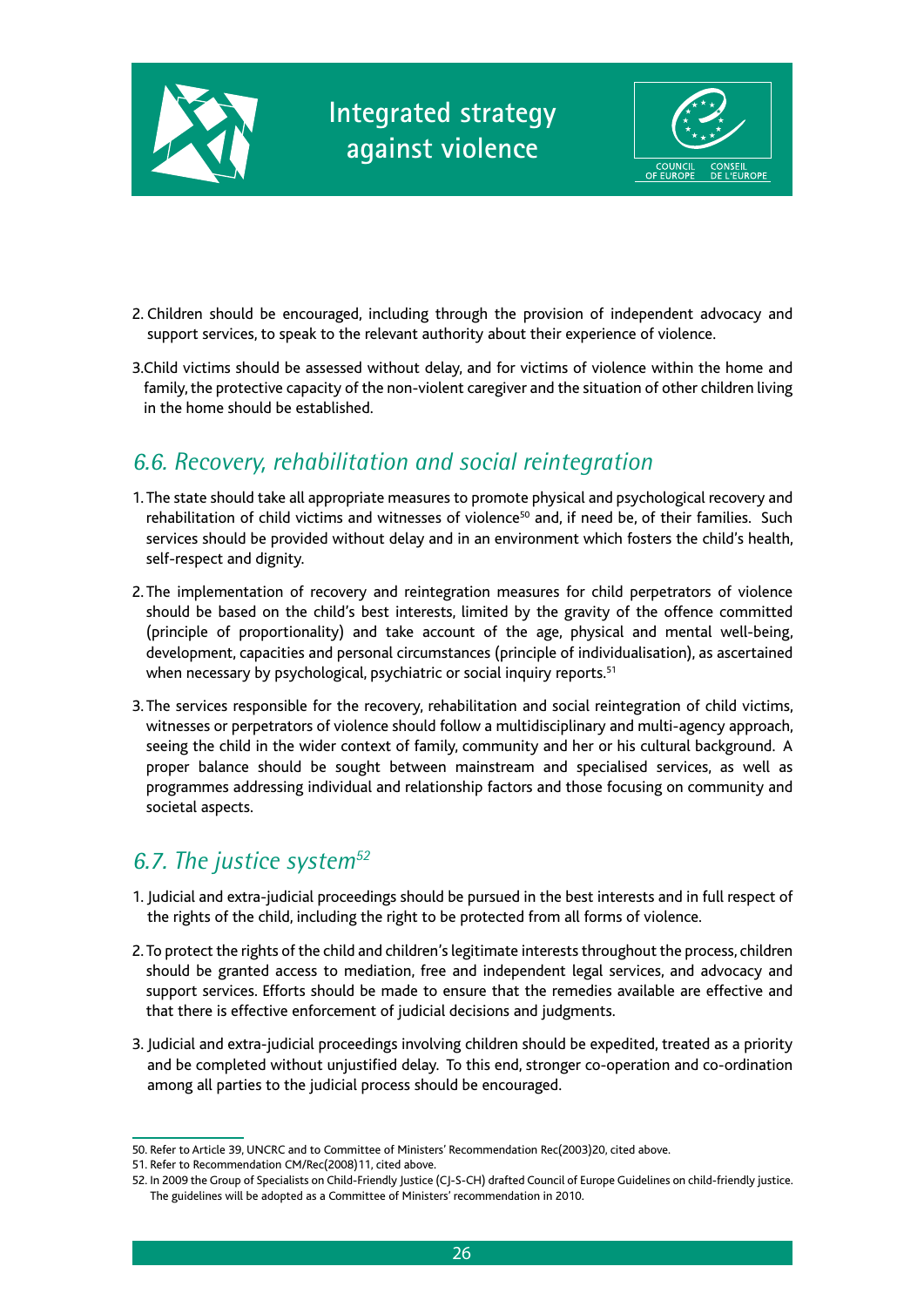



- 2. Children should be encouraged, including through the provision of independent advocacy and support services, to speak to the relevant authority about their experience of violence.
- 3.Child victims should be assessed without delay, and for victims of violence within the home and family, the protective capacity of the non-violent caregiver and the situation of other children living in the home should be established.

### *6.6. Recovery, rehabilitation and social reintegration*

- 1. The state should take all appropriate measures to promote physical and psychological recovery and rehabilitation of child victims and witnesses of violence<sup>50</sup> and, if need be, of their families. Such services should be provided without delay and in an environment which fosters the child's health, self-respect and dignity.
- 2. The implementation of recovery and reintegration measures for child perpetrators of violence should be based on the child's best interests, limited by the gravity of the offence committed (principle of proportionality) and take account of the age, physical and mental well-being, development, capacities and personal circumstances (principle of individualisation), as ascertained when necessary by psychological, psychiatric or social inquiry reports.<sup>51</sup>
- 3. The services responsible for the recovery, rehabilitation and social reintegration of child victims, witnesses or perpetrators of violence should follow a multidisciplinary and multi-agency approach, seeing the child in the wider context of family, community and her or his cultural background. A proper balance should be sought between mainstream and specialised services, as well as programmes addressing individual and relationship factors and those focusing on community and societal aspects.

### *6.7. The justice system52*

- 1. Judicial and extra-judicial proceedings should be pursued in the best interests and in full respect of the rights of the child, including the right to be protected from all forms of violence.
- 2. To protect the rights of the child and children's legitimate interests throughout the process, children should be granted access to mediation, free and independent legal services, and advocacy and support services. Efforts should be made to ensure that the remedies available are effective and that there is effective enforcement of judicial decisions and judgments.
- 3. Judicial and extra-judicial proceedings involving children should be expedited, treated as a priority and be completed without unjustified delay. To this end, stronger co-operation and co-ordination among all parties to the judicial process should be encouraged.

<sup>50.</sup> Refer to Article 39, UNCRC and to Committee of Ministers' Recommendation Rec(2003)20, cited above.

<sup>51.</sup> Refer to Recommendation CM/Rec(2008)11, cited above.

<sup>52.</sup> In 2009 the Group of Specialists on Child-Friendly Justice (CJ-S-CH) drafted Council of Europe Guidelines on child-friendly justice. The guidelines will be adopted as a Committee of Ministers' recommendation in 2010.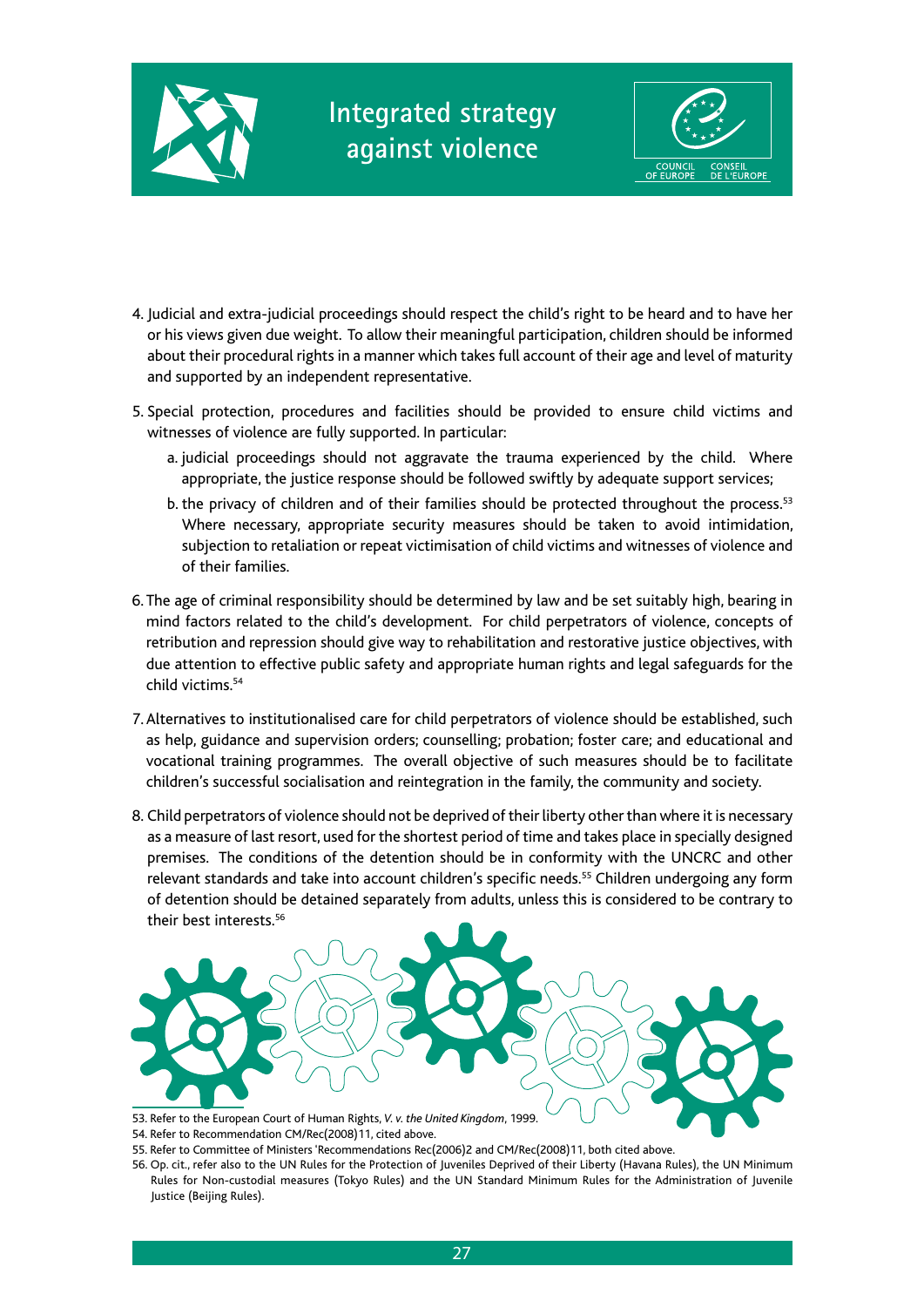



- 4. Judicial and extra-judicial proceedings should respect the child's right to be heard and to have her or his views given due weight. To allow their meaningful participation, children should be informed about their procedural rights in a manner which takes full account of their age and level of maturity and supported by an independent representative.
- 5. Special protection, procedures and facilities should be provided to ensure child victims and witnesses of violence are fully supported. In particular:
	- a. judicial proceedings should not aggravate the trauma experienced by the child. Where appropriate, the justice response should be followed swiftly by adequate support services;
	- b. the privacy of children and of their families should be protected throughout the process.<sup>53</sup> Where necessary, appropriate security measures should be taken to avoid intimidation, subjection to retaliation or repeat victimisation of child victims and witnesses of violence and of their families.
- 6. The age of criminal responsibility should be determined by law and be set suitably high, bearing in mind factors related to the child's development. For child perpetrators of violence, concepts of retribution and repression should give way to rehabilitation and restorative justice objectives, with due attention to effective public safety and appropriate human rights and legal safeguards for the child victims.<sup>54</sup>
- 7. Alternatives to institutionalised care for child perpetrators of violence should be established, such as help, guidance and supervision orders; counselling; probation; foster care; and educational and vocational training programmes. The overall objective of such measures should be to facilitate children's successful socialisation and reintegration in the family, the community and society.
- 8. Child perpetrators of violence should not be deprived of their liberty other than where it is necessary as a measure of last resort, used for the shortest period of time and takes place in specially designed premises. The conditions of the detention should be in conformity with the UNCRC and other relevant standards and take into account children's specific needs.<sup>55</sup> Children undergoing any form of detention should be detained separately from adults, unless this is considered to be contrary to their best interests.56



- 54. Refer to Recommendation CM/Rec(2008)11, cited above.
- 55. Refer to Committee of Ministers 'Recommendations Rec(2006)2 and CM/Rec(2008)11, both cited above.
- 56. Op. cit., refer also to the UN Rules for the Protection of Juveniles Deprived of their Liberty (Havana Rules), the UN Minimum Rules for Non-custodial measures (Tokyo Rules) and the UN Standard Minimum Rules for the Administration of Juvenile Justice (Beijing Rules).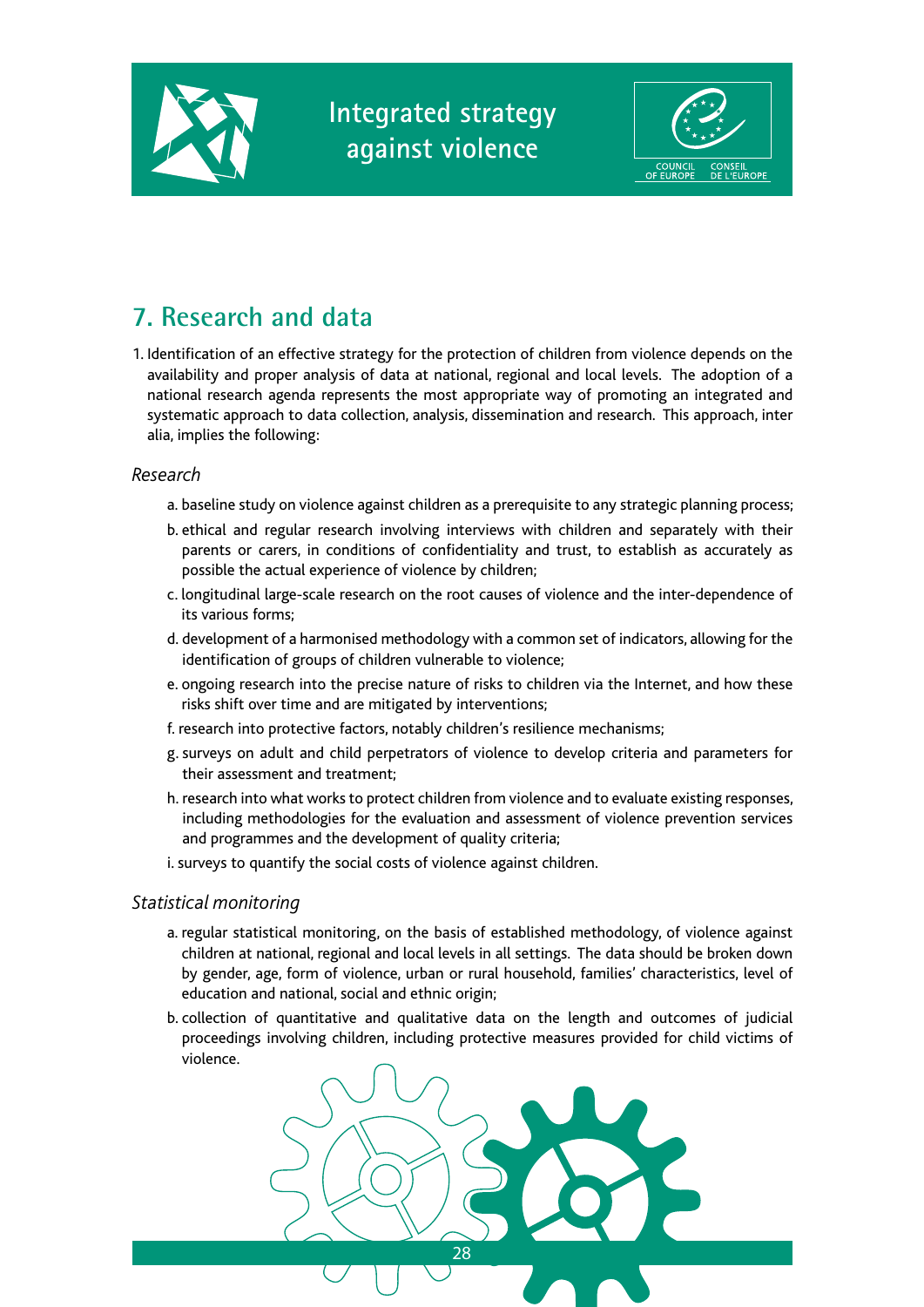



## **7. Research and data**

1. Identification of an effective strategy for the protection of children from violence depends on the availability and proper analysis of data at national, regional and local levels. The adoption of a national research agenda represents the most appropriate way of promoting an integrated and systematic approach to data collection, analysis, dissemination and research. This approach, inter alia, implies the following:

#### *Research*

- a. baseline study on violence against children as a prerequisite to any strategic planning process;
- b. ethical and regular research involving interviews with children and separately with their parents or carers, in conditions of confidentiality and trust, to establish as accurately as possible the actual experience of violence by children;
- c. longitudinal large-scale research on the root causes of violence and the inter-dependence of its various forms;
- d. development of a harmonised methodology with a common set of indicators, allowing for the identification of groups of children vulnerable to violence;
- e. ongoing research into the precise nature of risks to children via the Internet, and how these risks shift over time and are mitigated by interventions;
- f. research into protective factors, notably children's resilience mechanisms;
- g. surveys on adult and child perpetrators of violence to develop criteria and parameters for their assessment and treatment;
- h. research into what works to protect children from violence and to evaluate existing responses, including methodologies for the evaluation and assessment of violence prevention services and programmes and the development of quality criteria;
- i. surveys to quantify the social costs of violence against children.

#### *Statistical monitoring*

- a. regular statistical monitoring, on the basis of established methodology, of violence against children at national, regional and local levels in all settings. The data should be broken down by gender, age, form of violence, urban or rural household, families' characteristics, level of education and national, social and ethnic origin;
- b. collection of quantitative and qualitative data on the length and outcomes of judicial proceedings involving children, including protective measures provided for child victims of violence.

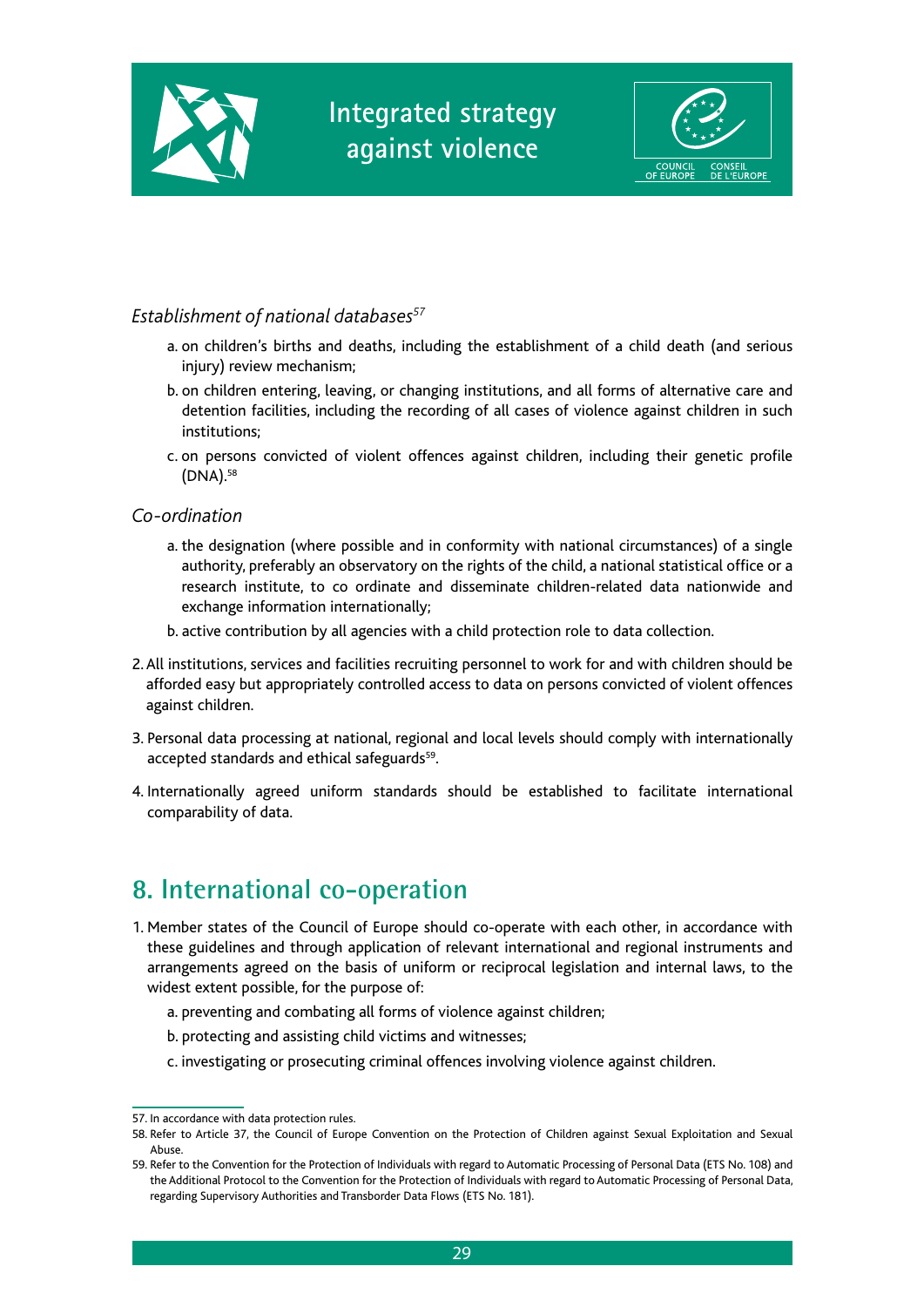



#### *Establishment of national databases57*

- a. on children's births and deaths, including the establishment of a child death (and serious injury) review mechanism;
- b. on children entering, leaving, or changing institutions, and all forms of alternative care and detention facilities, including the recording of all cases of violence against children in such institutions;
- c. on persons convicted of violent offences against children, including their genetic profile (DNA).58

#### *Co-ordination*

- a. the designation (where possible and in conformity with national circumstances) of a single authority, preferably an observatory on the rights of the child, a national statistical office or a research institute, to co ordinate and disseminate children-related data nationwide and exchange information internationally;
- b. active contribution by all agencies with a child protection role to data collection.
- 2. All institutions, services and facilities recruiting personnel to work for and with children should be afforded easy but appropriately controlled access to data on persons convicted of violent offences against children.
- 3. Personal data processing at national, regional and local levels should comply with internationally accepted standards and ethical safeguards<sup>59</sup>.
- 4. Internationally agreed uniform standards should be established to facilitate international comparability of data.

## **8. International co-operation**

- 1. Member states of the Council of Europe should co-operate with each other, in accordance with these guidelines and through application of relevant international and regional instruments and arrangements agreed on the basis of uniform or reciprocal legislation and internal laws, to the widest extent possible, for the purpose of:
	- a. preventing and combating all forms of violence against children;
	- b. protecting and assisting child victims and witnesses;
	- c. investigating or prosecuting criminal offences involving violence against children.

<sup>57.</sup> In accordance with data protection rules.

<sup>58.</sup> Refer to Article 37, the Council of Europe Convention on the Protection of Children against Sexual Exploitation and Sexual Abuse.

<sup>59.</sup> Refer to the Convention for the Protection of Individuals with regard to Automatic Processing of Personal Data (ETS No. 108) and the Additional Protocol to the Convention for the Protection of Individuals with regard to Automatic Processing of Personal Data, regarding Supervisory Authorities and Transborder Data Flows (ETS No. 181).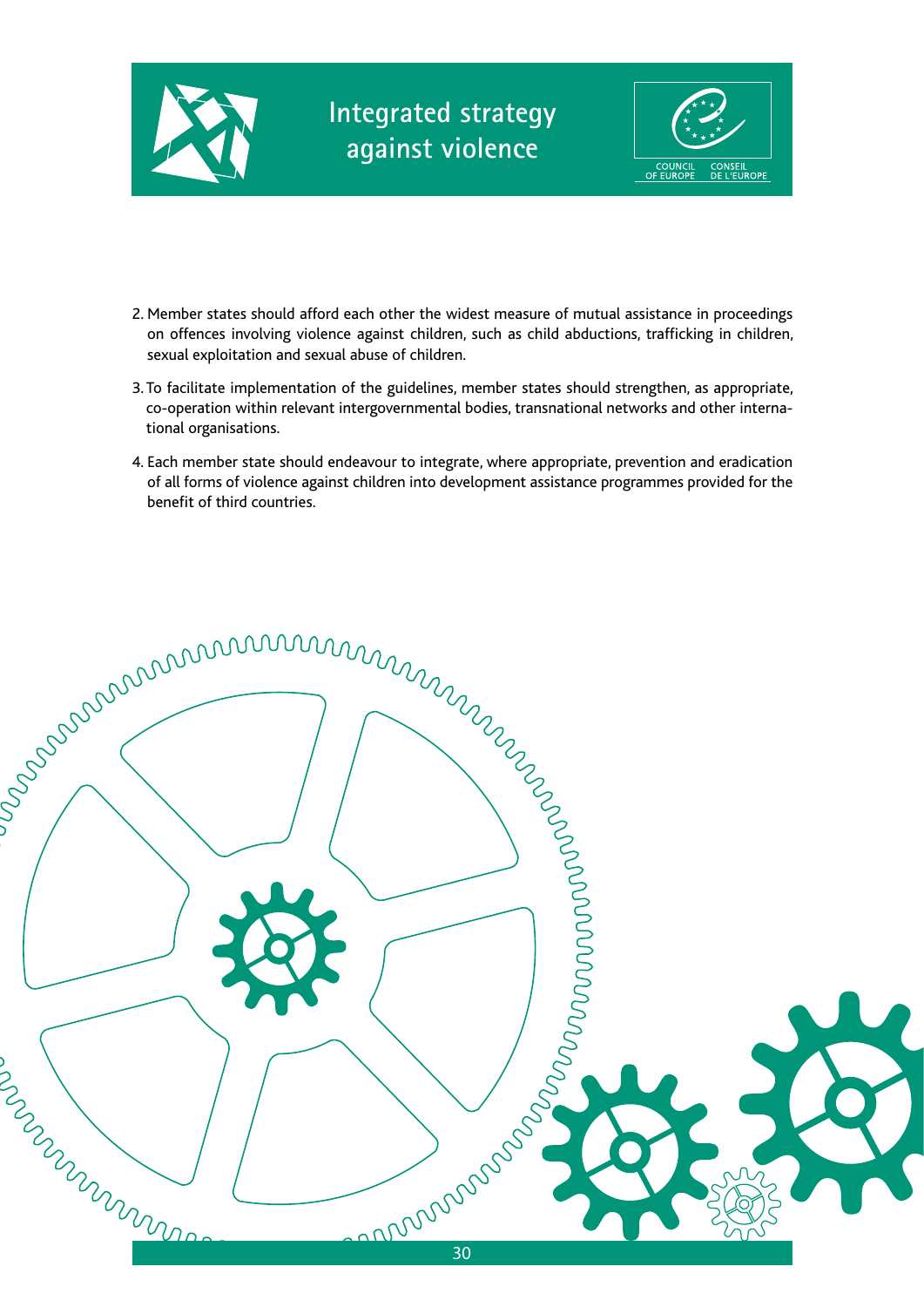



- 2. Member states should afford each other the widest measure of mutual assistance in proceedings on offences involving violence against children, such as child abductions, trafficking in children, sexual exploitation and sexual abuse of children.
- 3. To facilitate implementation of the guidelines, member states should strengthen, as appropriate, co-operation within relevant intergovernmental bodies, transnational networks and other international organisations.
- 4. Each member state should endeavour to integrate, where appropriate, prevention and eradication of all forms of violence against children into development assistance programmes provided for the benefit of third countries.

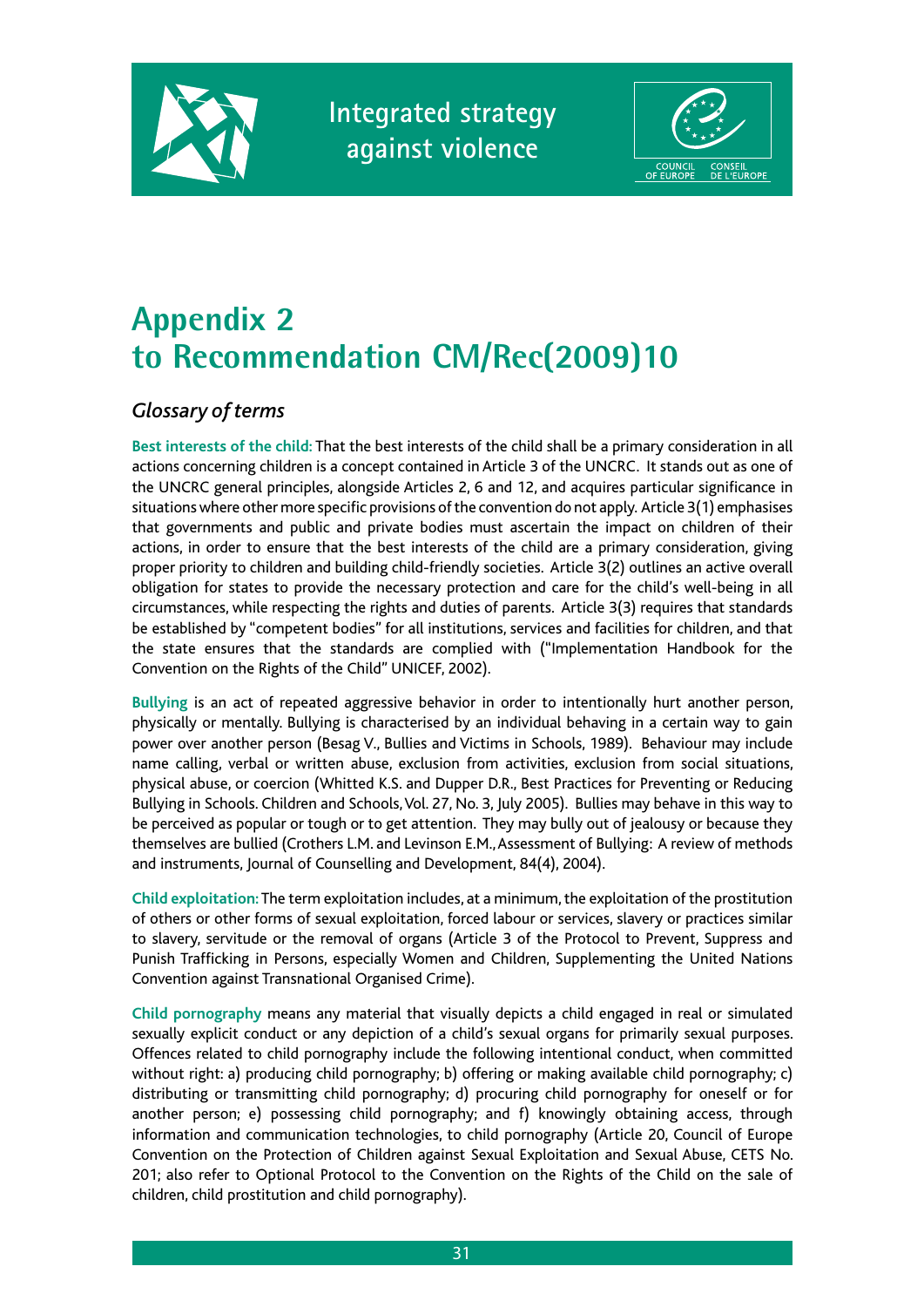



# **Appendix 2 to Recommendation CM/Rec(2009)10**

#### *Glossary of terms*

**Best interests of the child:** That the best interests of the child shall be a primary consideration in all actions concerning children is a concept contained in Article 3 of the UNCRC. It stands out as one of the UNCRC general principles, alongside Articles 2, 6 and 12, and acquires particular significance in situations where other more specific provisions of the convention do not apply. Article 3(1) emphasises that governments and public and private bodies must ascertain the impact on children of their actions, in order to ensure that the best interests of the child are a primary consideration, giving proper priority to children and building child-friendly societies. Article 3(2) outlines an active overall obligation for states to provide the necessary protection and care for the child's well-being in all circumstances, while respecting the rights and duties of parents. Article 3(3) requires that standards be established by "competent bodies" for all institutions, services and facilities for children, and that the state ensures that the standards are complied with ("Implementation Handbook for the Convention on the Rights of the Child" UNICEF, 2002).

**Bullying** is an act of repeated aggressive behavior in order to intentionally hurt another person, physically or mentally. Bullying is characterised by an individual behaving in a certain way to gain power over another person (Besag V., Bullies and Victims in Schools, 1989). Behaviour may include name calling, verbal or written abuse, exclusion from activities, exclusion from social situations, physical abuse, or coercion (Whitted K.S. and Dupper D.R., Best Practices for Preventing or Reducing Bullying in Schools. Children and Schools, Vol. 27, No. 3, July 2005). Bullies may behave in this way to be perceived as popular or tough or to get attention. They may bully out of jealousy or because they themselves are bullied (Crothers L.M. and Levinson E.M., Assessment of Bullying: A review of methods and instruments, Journal of Counselling and Development, 84(4), 2004).

**Child exploitation:** The term exploitation includes, at a minimum, the exploitation of the prostitution of others or other forms of sexual exploitation, forced labour or services, slavery or practices similar to slavery, servitude or the removal of organs (Article 3 of the Protocol to Prevent, Suppress and Punish Trafficking in Persons, especially Women and Children, Supplementing the United Nations Convention against Transnational Organised Crime).

**Child pornography** means any material that visually depicts a child engaged in real or simulated sexually explicit conduct or any depiction of a child's sexual organs for primarily sexual purposes. Offences related to child pornography include the following intentional conduct, when committed without right: a) producing child pornography; b) offering or making available child pornography; c) distributing or transmitting child pornography; d) procuring child pornography for oneself or for another person; e) possessing child pornography; and f) knowingly obtaining access, through information and communication technologies, to child pornography (Article 20, Council of Europe Convention on the Protection of Children against Sexual Exploitation and Sexual Abuse, CETS No. 201; also refer to Optional Protocol to the Convention on the Rights of the Child on the sale of children, child prostitution and child pornography).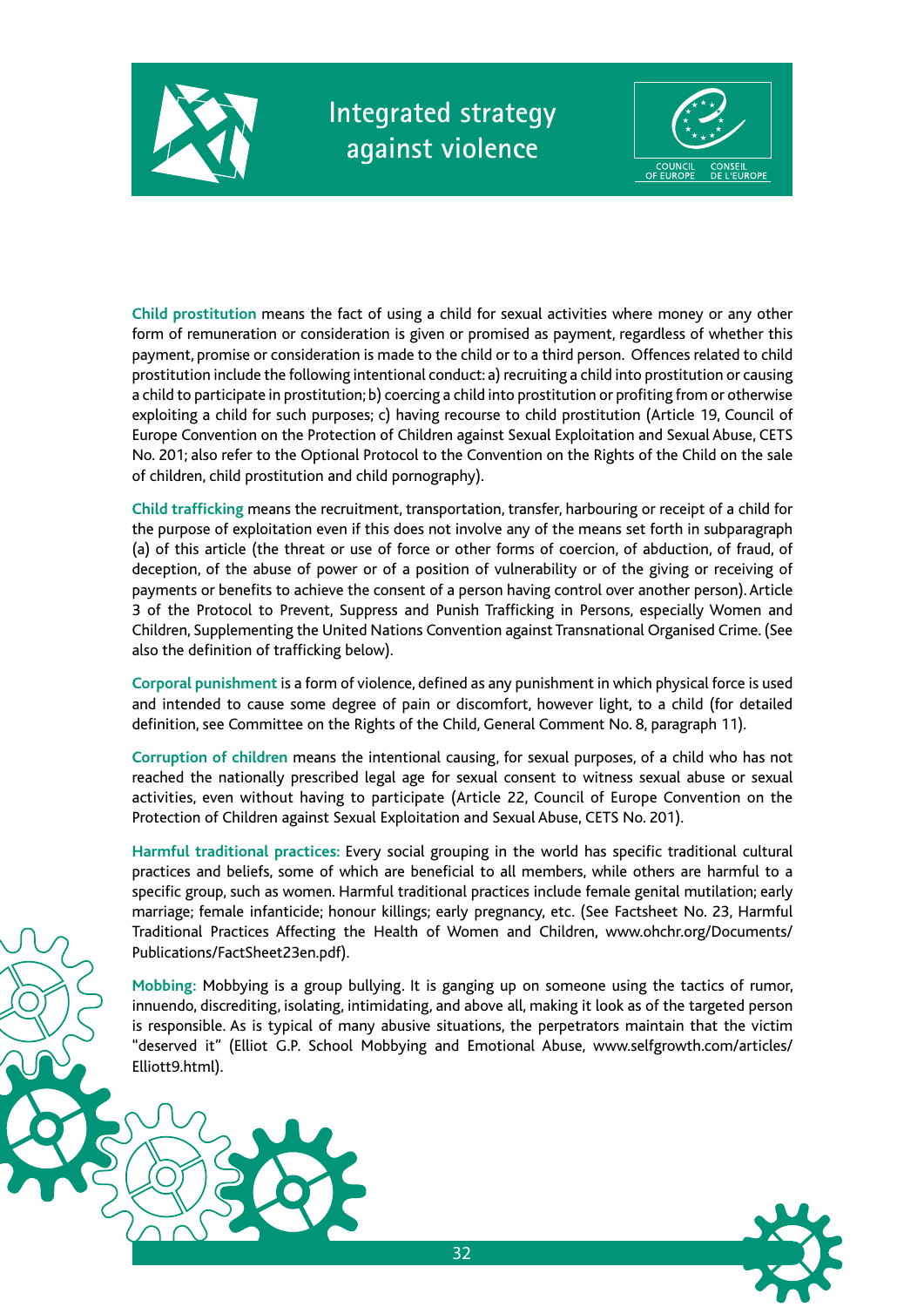



**Child prostitution** means the fact of using a child for sexual activities where money or any other form of remuneration or consideration is given or promised as payment, regardless of whether this payment, promise or consideration is made to the child or to a third person. Offences related to child prostitution include the following intentional conduct: a) recruiting a child into prostitution or causing a child to participate in prostitution; b) coercing a child into prostitution or profiting from or otherwise exploiting a child for such purposes; c) having recourse to child prostitution (Article 19, Council of Europe Convention on the Protection of Children against Sexual Exploitation and Sexual Abuse, CETS No. 201; also refer to the Optional Protocol to the Convention on the Rights of the Child on the sale of children, child prostitution and child pornography).

**Child trafficking** means the recruitment, transportation, transfer, harbouring or receipt of a child for the purpose of exploitation even if this does not involve any of the means set forth in subparagraph (a) of this article (the threat or use of force or other forms of coercion, of abduction, of fraud, of deception, of the abuse of power or of a position of vulnerability or of the giving or receiving of payments or benefits to achieve the consent of a person having control over another person). Article 3 of the Protocol to Prevent, Suppress and Punish Trafficking in Persons, especially Women and Children, Supplementing the United Nations Convention against Transnational Organised Crime. (See also the definition of trafficking below).

**Corporal punishment** is a form of violence, defined as any punishment in which physical force is used and intended to cause some degree of pain or discomfort, however light, to a child (for detailed definition, see Committee on the Rights of the Child, General Comment No. 8, paragraph 11).

**Corruption of children** means the intentional causing, for sexual purposes, of a child who has not reached the nationally prescribed legal age for sexual consent to witness sexual abuse or sexual activities, even without having to participate (Article 22, Council of Europe Convention on the Protection of Children against Sexual Exploitation and Sexual Abuse, CETS No. 201).

**Harmful traditional practices:** Every social grouping in the world has specific traditional cultural practices and beliefs, some of which are beneficial to all members, while others are harmful to a specific group, such as women. Harmful traditional practices include female genital mutilation; early marriage; female infanticide; honour killings; early pregnancy, etc. (See Factsheet No. 23, Harmful Traditional Practices Affecting the Health of Women and Children, www.ohchr.org/Documents/ Publications/FactSheet23en.pdf).

**Mobbing:** Mobbying is a group bullying. It is ganging up on someone using the tactics of rumor, innuendo, discrediting, isolating, intimidating, and above all, making it look as of the targeted person is responsible. As is typical of many abusive situations, the perpetrators maintain that the victim "deserved it" (Elliot G.P. School Mobbying and Emotional Abuse, www.selfgrowth.com/articles/ Elliott9.html).

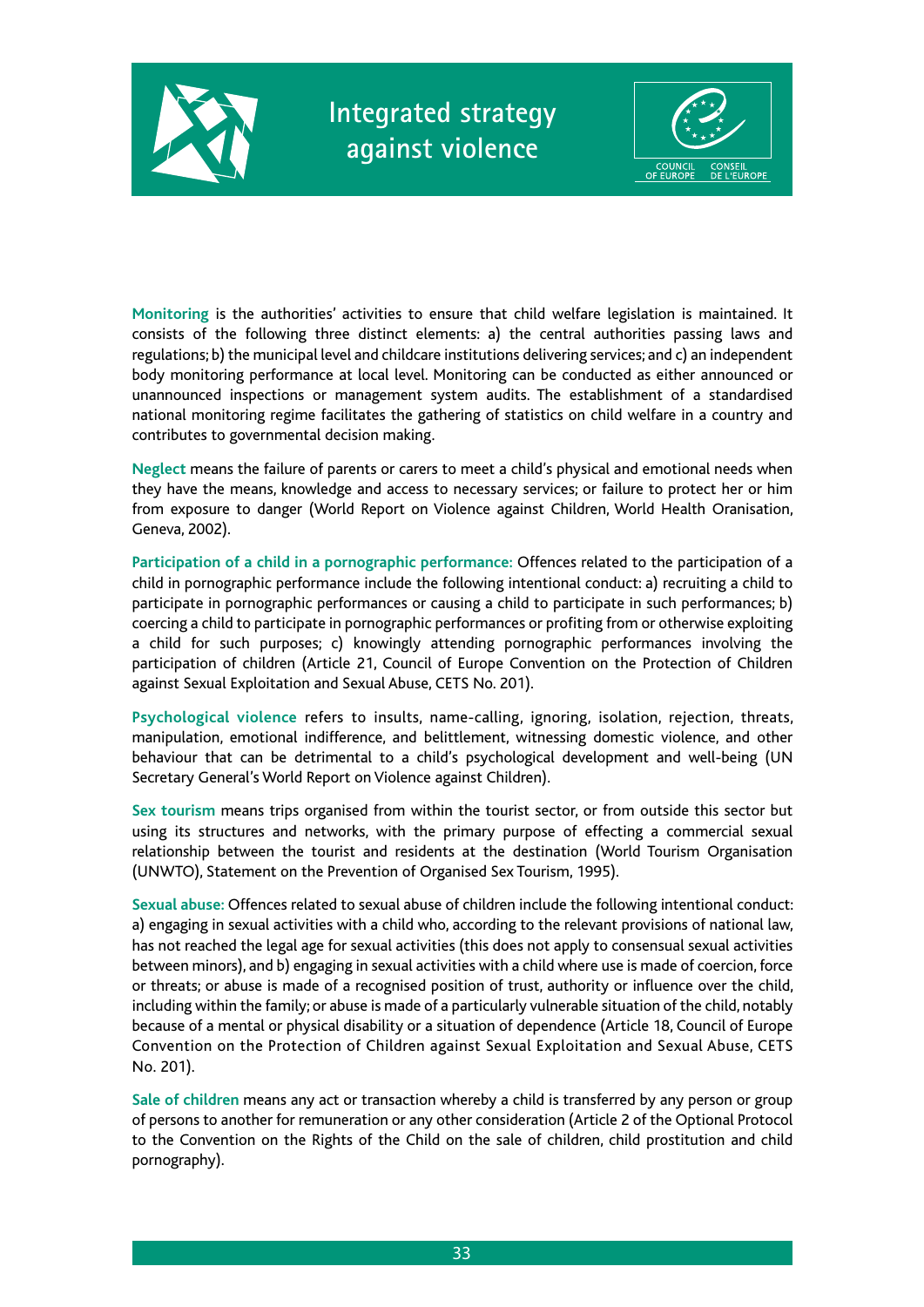



**Monitoring** is the authorities' activities to ensure that child welfare legislation is maintained. It consists of the following three distinct elements: a) the central authorities passing laws and regulations; b) the municipal level and childcare institutions delivering services; and c) an independent body monitoring performance at local level. Monitoring can be conducted as either announced or unannounced inspections or management system audits. The establishment of a standardised national monitoring regime facilitates the gathering of statistics on child welfare in a country and contributes to governmental decision making.

**Neglect** means the failure of parents or carers to meet a child's physical and emotional needs when they have the means, knowledge and access to necessary services; or failure to protect her or him from exposure to danger (World Report on Violence against Children, World Health Oranisation, Geneva, 2002).

**Participation of a child in a pornographic performance:** Offences related to the participation of a child in pornographic performance include the following intentional conduct: a) recruiting a child to participate in pornographic performances or causing a child to participate in such performances; b) coercing a child to participate in pornographic performances or profiting from or otherwise exploiting a child for such purposes; c) knowingly attending pornographic performances involving the participation of children (Article 21, Council of Europe Convention on the Protection of Children against Sexual Exploitation and Sexual Abuse, CETS No. 201).

**Psychological violence** refers to insults, name-calling, ignoring, isolation, rejection, threats, manipulation, emotional indifference, and belittlement, witnessing domestic violence, and other behaviour that can be detrimental to a child's psychological development and well-being (UN Secretary General's World Report on Violence against Children).

**Sex tourism** means trips organised from within the tourist sector, or from outside this sector but using its structures and networks, with the primary purpose of effecting a commercial sexual relationship between the tourist and residents at the destination (World Tourism Organisation (UNWTO), Statement on the Prevention of Organised Sex Tourism, 1995).

**Sexual abuse:** Offences related to sexual abuse of children include the following intentional conduct: a) engaging in sexual activities with a child who, according to the relevant provisions of national law, has not reached the legal age for sexual activities (this does not apply to consensual sexual activities between minors), and b) engaging in sexual activities with a child where use is made of coercion, force or threats; or abuse is made of a recognised position of trust, authority or influence over the child, including within the family; or abuse is made of a particularly vulnerable situation of the child, notably because of a mental or physical disability or a situation of dependence (Article 18, Council of Europe Convention on the Protection of Children against Sexual Exploitation and Sexual Abuse, CETS No. 201).

**Sale of children** means any act or transaction whereby a child is transferred by any person or group of persons to another for remuneration or any other consideration (Article 2 of the Optional Protocol to the Convention on the Rights of the Child on the sale of children, child prostitution and child pornography).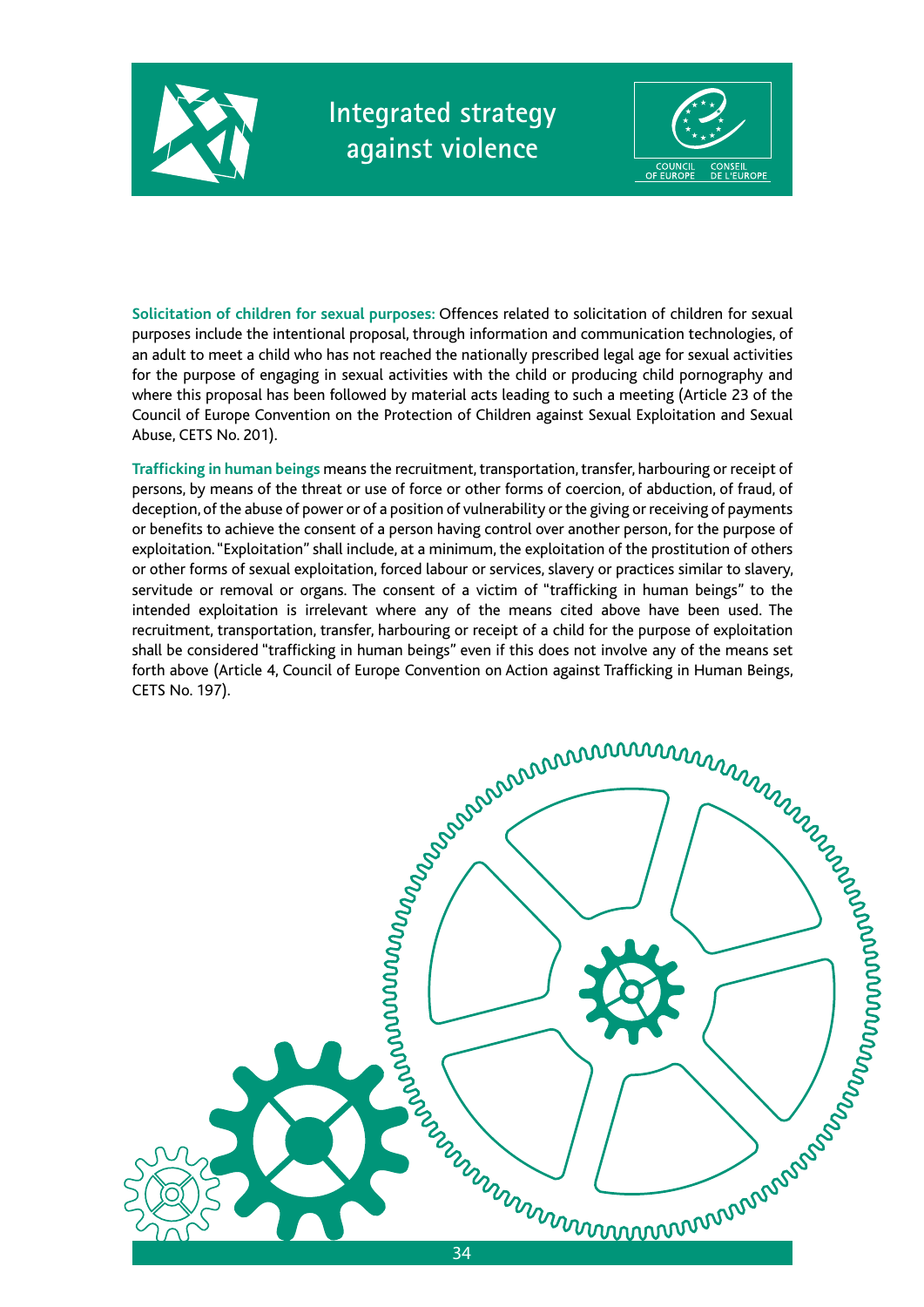



**Solicitation of children for sexual purposes:** Offences related to solicitation of children for sexual purposes include the intentional proposal, through information and communication technologies, of an adult to meet a child who has not reached the nationally prescribed legal age for sexual activities for the purpose of engaging in sexual activities with the child or producing child pornography and where this proposal has been followed by material acts leading to such a meeting (Article 23 of the Council of Europe Convention on the Protection of Children against Sexual Exploitation and Sexual Abuse, CETS No. 201).

**Trafficking in human beings** means the recruitment, transportation, transfer, harbouring or receipt of persons, by means of the threat or use of force or other forms of coercion, of abduction, of fraud, of deception, of the abuse of power or of a position of vulnerability or the giving or receiving of payments or benefits to achieve the consent of a person having control over another person, for the purpose of exploitation. "Exploitation" shall include, at a minimum, the exploitation of the prostitution of others or other forms of sexual exploitation, forced labour or services, slavery or practices similar to slavery, servitude or removal or organs. The consent of a victim of "trafficking in human beings" to the intended exploitation is irrelevant where any of the means cited above have been used. The recruitment, transportation, transfer, harbouring or receipt of a child for the purpose of exploitation shall be considered "trafficking in human beings" even if this does not involve any of the means set forth above (Article 4, Council of Europe Convention on Action against Trafficking in Human Beings, CETS No. 197).

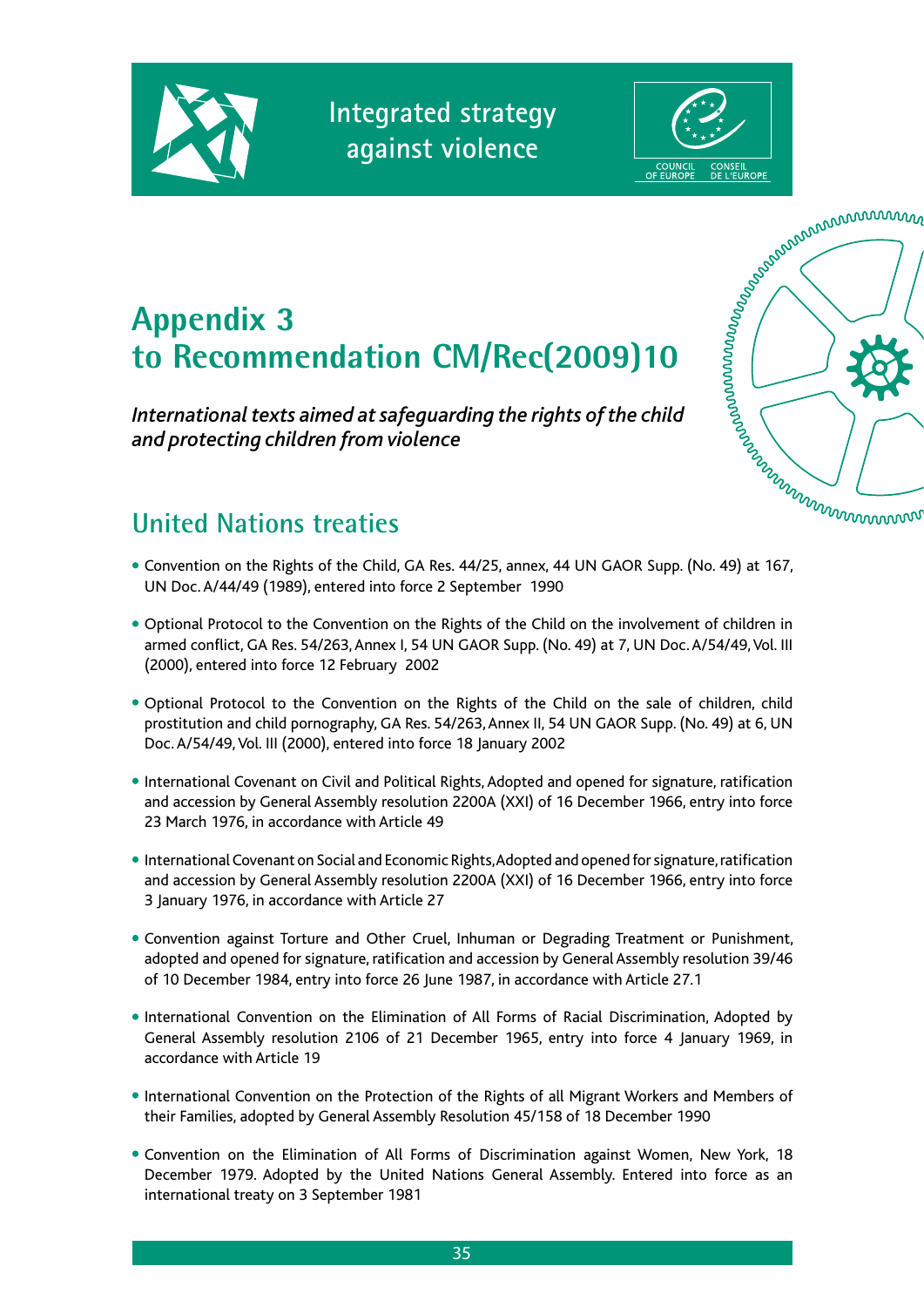

**Integrated strategy against violence**





# **Appendix 3 to Recommendation CM/Rec(2009)10**

*International texts aimed at safeguarding the rights of the child and protecting children from violence*



## **United Nations treaties**

- Convention on the Rights of the Child, GA Res. 44/25, annex, 44 UN GAOR Supp. (No. 49) at 167, UN Doc. A/44/49 (1989), entered into force 2 September 1990
- Optional Protocol to the Convention on the Rights of the Child on the involvement of children in armed conflict, GA Res. 54/263, Annex I, 54 UN GAOR Supp. (No. 49) at 7, UN Doc. A/54/49, Vol. III (2000), entered into force 12 February 2002
- Optional Protocol to the Convention on the Rights of the Child on the sale of children, child prostitution and child pornography, GA Res. 54/263, Annex II, 54 UN GAOR Supp. (No. 49) at 6, UN Doc. A/54/49, Vol. III (2000), entered into force 18 January 2002
- International Covenant on Civil and Political Rights, Adopted and opened for signature, ratification and accession by General Assembly resolution 2200A (XXI) of 16 December 1966, entry into force 23 March 1976, in accordance with Article 49
- International Covenant on Social and Economic Rights, Adopted and opened for signature, ratification and accession by General Assembly resolution 2200A (XXI) of 16 December 1966, entry into force 3 January 1976, in accordance with Article 27
- Convention against Torture and Other Cruel, Inhuman or Degrading Treatment or Punishment, adopted and opened for signature, ratification and accession by General Assembly resolution 39/46 of 10 December 1984, entry into force 26 June 1987, in accordance with Article 27.1
- International Convention on the Elimination of All Forms of Racial Discrimination, Adopted by General Assembly resolution 2106 of 21 December 1965, entry into force 4 January 1969, in accordance with Article 19
- International Convention on the Protection of the Rights of all Migrant Workers and Members of their Families, adopted by General Assembly Resolution 45/158 of 18 December 1990
- Convention on the Elimination of All Forms of Discrimination against Women, New York, 18 December 1979. Adopted by the United Nations General Assembly. Entered into force as an international treaty on 3 September 1981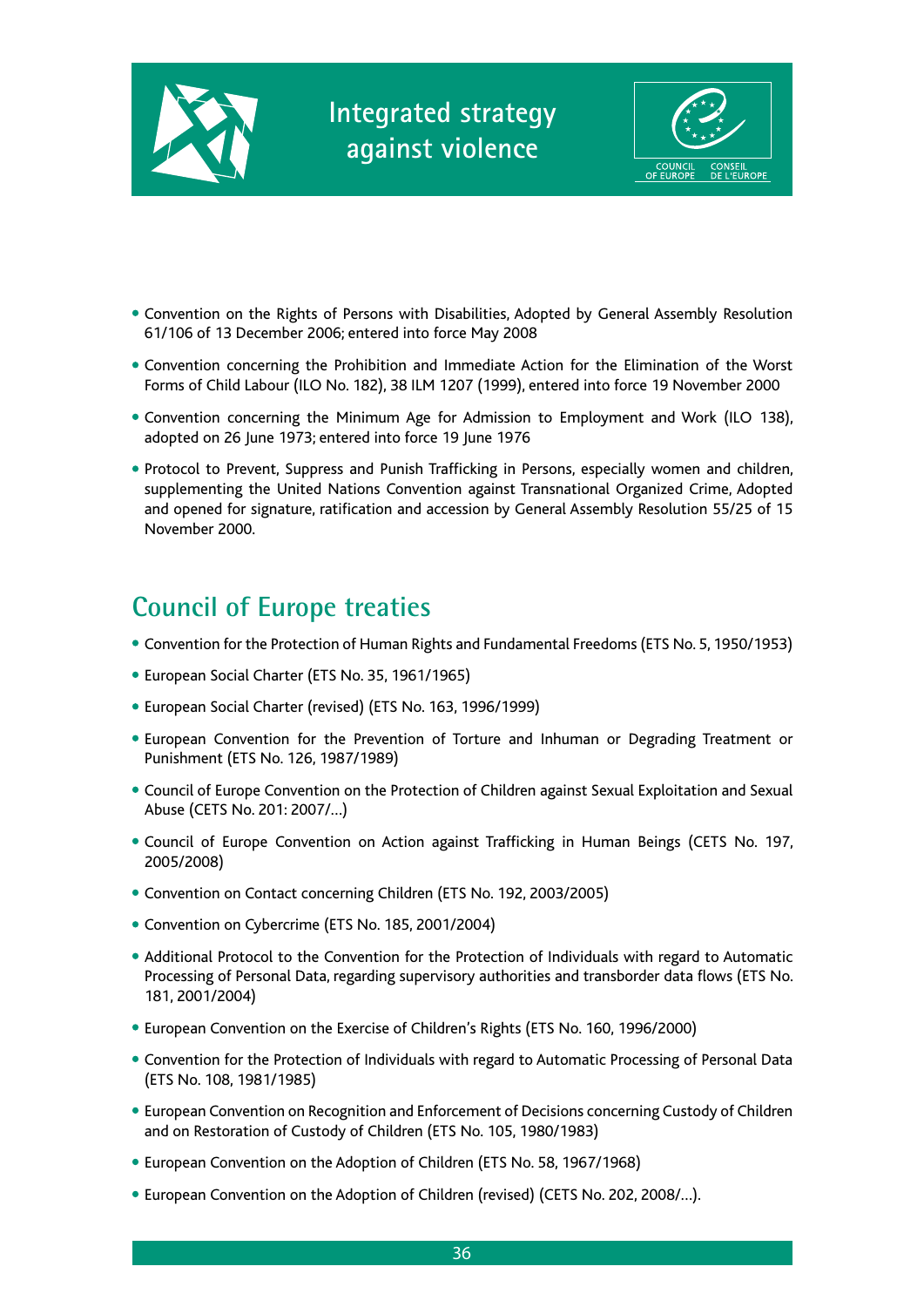



- Convention on the Rights of Persons with Disabilities, Adopted by General Assembly Resolution 61/106 of 13 December 2006; entered into force May 2008
- Convention concerning the Prohibition and Immediate Action for the Elimination of the Worst Forms of Child Labour (ILO No. 182), 38 ILM 1207 (1999), entered into force 19 November 2000
- Convention concerning the Minimum Age for Admission to Employment and Work (ILO 138), adopted on 26 June 1973; entered into force 19 June 1976
- Protocol to Prevent, Suppress and Punish Trafficking in Persons, especially women and children, supplementing the United Nations Convention against Transnational Organized Crime, Adopted and opened for signature, ratification and accession by General Assembly Resolution 55/25 of 15 November 2000.

## **Council of Europe treaties**

- Convention for the Protection of Human Rights and Fundamental Freedoms (ETS No. 5, 1950/1953)
- European Social Charter (ETS No. 35, 1961/1965)
- European Social Charter (revised) (ETS No. 163, 1996/1999)
- European Convention for the Prevention of Torture and Inhuman or Degrading Treatment or Punishment (ETS No. 126, 1987/1989)
- Council of Europe Convention on the Protection of Children against Sexual Exploitation and Sexual Abuse (CETS No. 201: 2007/…)
- Council of Europe Convention on Action against Trafficking in Human Beings (CETS No. 197, 2005/2008)
- Convention on Contact concerning Children (ETS No. 192, 2003/2005)
- Convention on Cybercrime (ETS No. 185, 2001/2004)
- Additional Protocol to the Convention for the Protection of Individuals with regard to Automatic Processing of Personal Data, regarding supervisory authorities and transborder data flows (ETS No. 181, 2001/2004)
- European Convention on the Exercise of Children's Rights (ETS No. 160, 1996/2000)
- Convention for the Protection of Individuals with regard to Automatic Processing of Personal Data (ETS No. 108, 1981/1985)
- European Convention on Recognition and Enforcement of Decisions concerning Custody of Children and on Restoration of Custody of Children (ETS No. 105, 1980/1983)
- European Convention on the Adoption of Children (ETS No. 58, 1967/1968)
- European Convention on the Adoption of Children (revised) (CETS No. 202, 2008/…).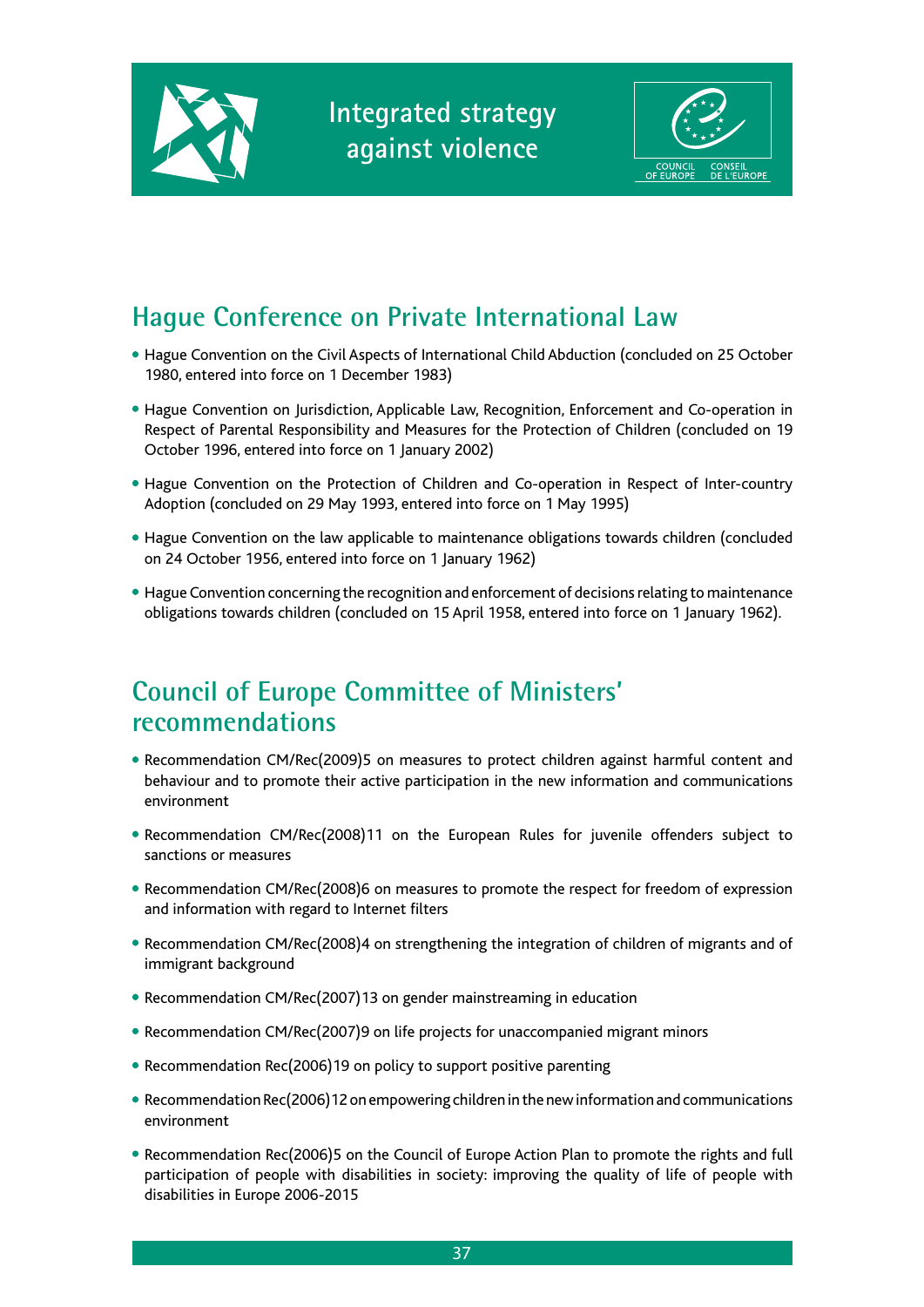



## **Hague Conference on Private International Law**

- Hague Convention on the Civil Aspects of International Child Abduction (concluded on 25 October 1980, entered into force on 1 December 1983)
- Hague Convention on Jurisdiction, Applicable Law, Recognition, Enforcement and Co-operation in Respect of Parental Responsibility and Measures for the Protection of Children (concluded on 19 October 1996, entered into force on 1 January 2002)
- Hague Convention on the Protection of Children and Co-operation in Respect of Inter-country Adoption (concluded on 29 May 1993, entered into force on 1 May 1995)
- Hague Convention on the law applicable to maintenance obligations towards children (concluded on 24 October 1956, entered into force on 1 January 1962)
- Hague Convention concerning the recognition and enforcement of decisions relating to maintenance obligations towards children (concluded on 15 April 1958, entered into force on 1 January 1962).

## **Council of Europe Committee of Ministers' recommendations**

- Recommendation CM/Rec(2009)5 on measures to protect children against harmful content and behaviour and to promote their active participation in the new information and communications environment
- Recommendation CM/Rec(2008)11 on the European Rules for juvenile offenders subject to sanctions or measures
- Recommendation CM/Rec(2008)6 on measures to promote the respect for freedom of expression and information with regard to Internet filters
- Recommendation CM/Rec(2008)4 on strengthening the integration of children of migrants and of immigrant background
- Recommendation CM/Rec(2007)13 on gender mainstreaming in education
- Recommendation CM/Rec(2007)9 on life projects for unaccompanied migrant minors
- Recommendation Rec(2006)19 on policy to support positive parenting
- Recommendation Rec(2006)12 on empowering children in the new information and communications environment
- Recommendation Rec(2006)5 on the Council of Europe Action Plan to promote the rights and full participation of people with disabilities in society: improving the quality of life of people with disabilities in Europe 2006-2015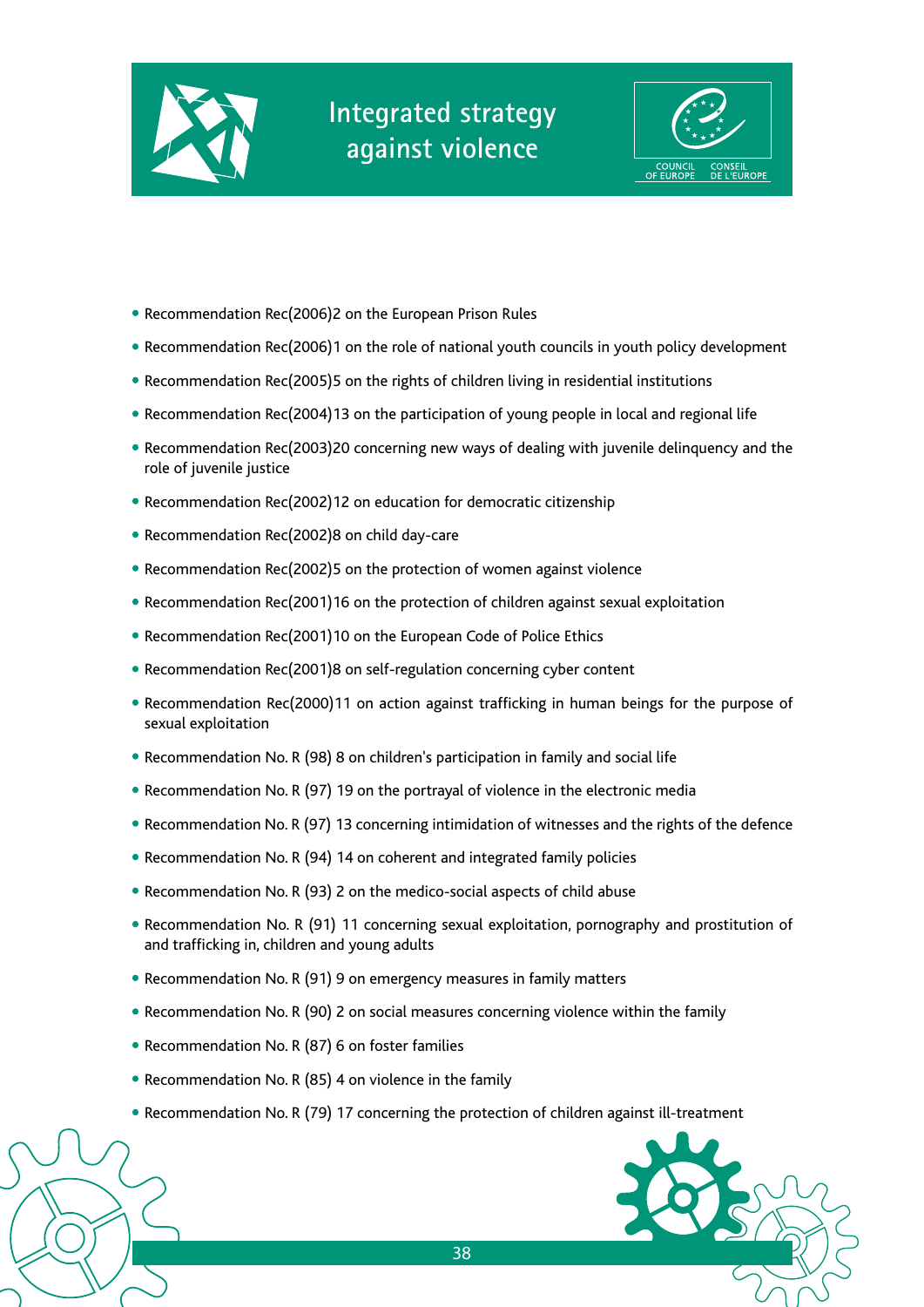



- Recommendation Rec(2006)2 on the European Prison Rules
- Recommendation Rec(2006)1 on the role of national youth councils in youth policy development
- Recommendation Rec(2005)5 on the rights of children living in residential institutions
- Recommendation Rec(2004)13 on the participation of young people in local and regional life
- Recommendation Rec(2003)20 concerning new ways of dealing with juvenile delinquency and the role of juvenile justice
- Recommendation Rec(2002)12 on education for democratic citizenship
- Recommendation Rec(2002)8 on child day-care
- Recommendation Rec(2002)5 on the protection of women against violence
- Recommendation Rec(2001)16 on the protection of children against sexual exploitation
- Recommendation Rec(2001)10 on the European Code of Police Ethics
- Recommendation Rec(2001)8 on self-regulation concerning cyber content
- Recommendation Rec(2000)11 on action against trafficking in human beings for the purpose of sexual exploitation
- Recommendation No. R (98) 8 on children's participation in family and social life
- Recommendation No. R (97) 19 on the portrayal of violence in the electronic media
- Recommendation No. R (97) 13 concerning intimidation of witnesses and the rights of the defence
- Recommendation No. R (94) 14 on coherent and integrated family policies
- Recommendation No. R (93) 2 on the medico-social aspects of child abuse
- Recommendation No. R (91) 11 concerning sexual exploitation, pornography and prostitution of and trafficking in, children and young adults
- Recommendation No. R (91) 9 on emergency measures in family matters
- Recommendation No. R (90) 2 on social measures concerning violence within the family
- Recommendation No. R (87) 6 on foster families
- Recommendation No. R (85) 4 on violence in the family
- Recommendation No. R (79) 17 concerning the protection of children against ill-treatment

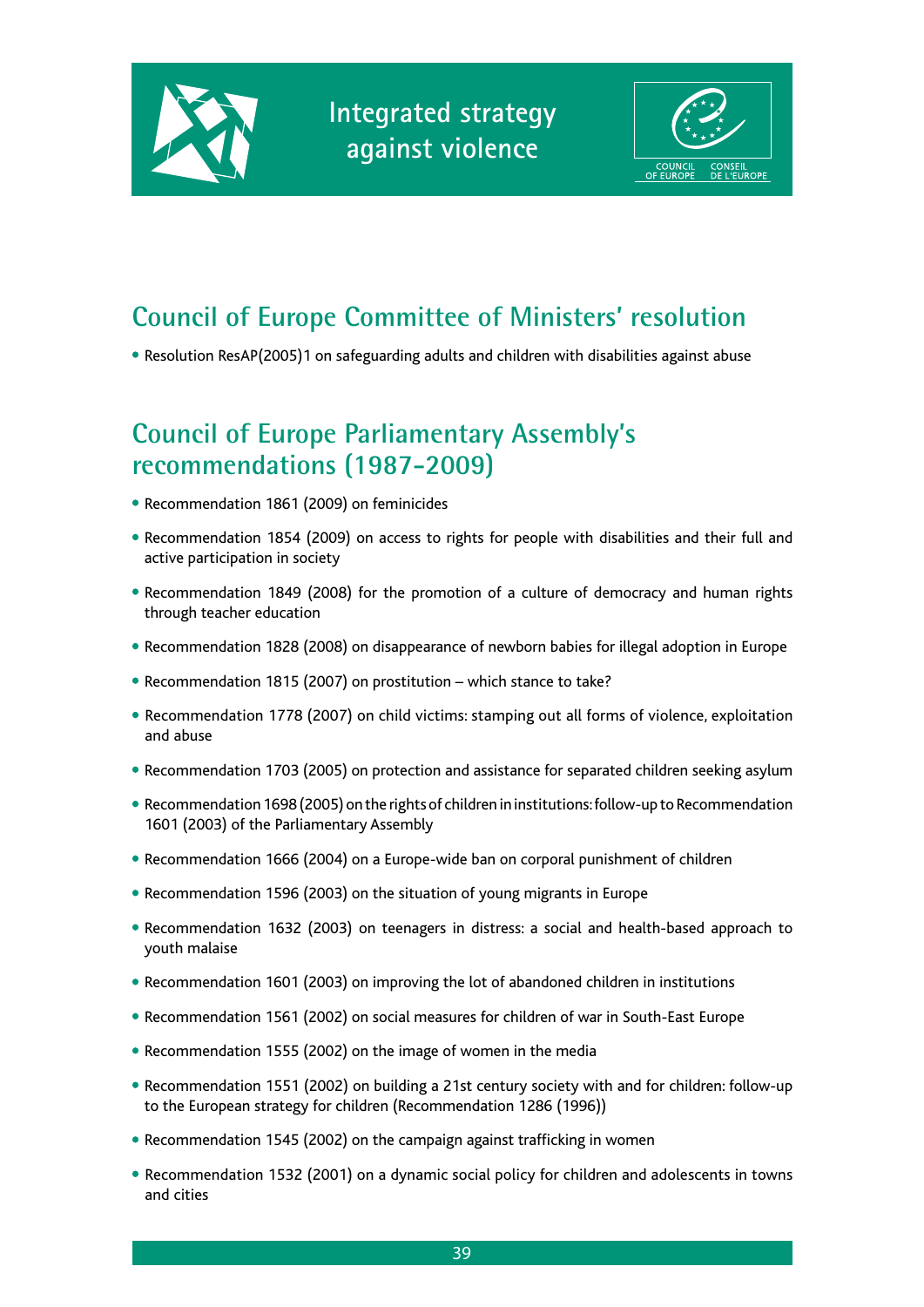



## **Council of Europe Committee of Ministers' resolution**

• Resolution ResAP(2005)1 on safeguarding adults and children with disabilities against abuse

## **Council of Europe Parliamentary Assembly's recommendations (1987-2009)**

- Recommendation 1861 (2009) on feminicides
- Recommendation 1854 (2009) on access to rights for people with disabilities and their full and active participation in society
- Recommendation 1849 (2008) for the promotion of a culture of democracy and human rights through teacher education
- Recommendation 1828 (2008) on disappearance of newborn babies for illegal adoption in Europe
- Recommendation 1815 (2007) on prostitution which stance to take?
- Recommendation 1778 (2007) on child victims: stamping out all forms of violence, exploitation and abuse
- Recommendation 1703 (2005) on protection and assistance for separated children seeking asylum
- Recommendation 1698 (2005) on the rights of children in institutions: follow-up to Recommendation 1601 (2003) of the Parliamentary Assembly
- Recommendation 1666 (2004) on a Europe-wide ban on corporal punishment of children
- Recommendation 1596 (2003) on the situation of young migrants in Europe
- Recommendation 1632 (2003) on teenagers in distress: a social and health-based approach to youth malaise
- Recommendation 1601 (2003) on improving the lot of abandoned children in institutions
- Recommendation 1561 (2002) on social measures for children of war in South-East Europe
- Recommendation 1555 (2002) on the image of women in the media
- Recommendation 1551 (2002) on building a 21st century society with and for children: follow-up to the European strategy for children (Recommendation 1286 (1996))
- Recommendation 1545 (2002) on the campaign against trafficking in women
- Recommendation 1532 (2001) on a dynamic social policy for children and adolescents in towns and cities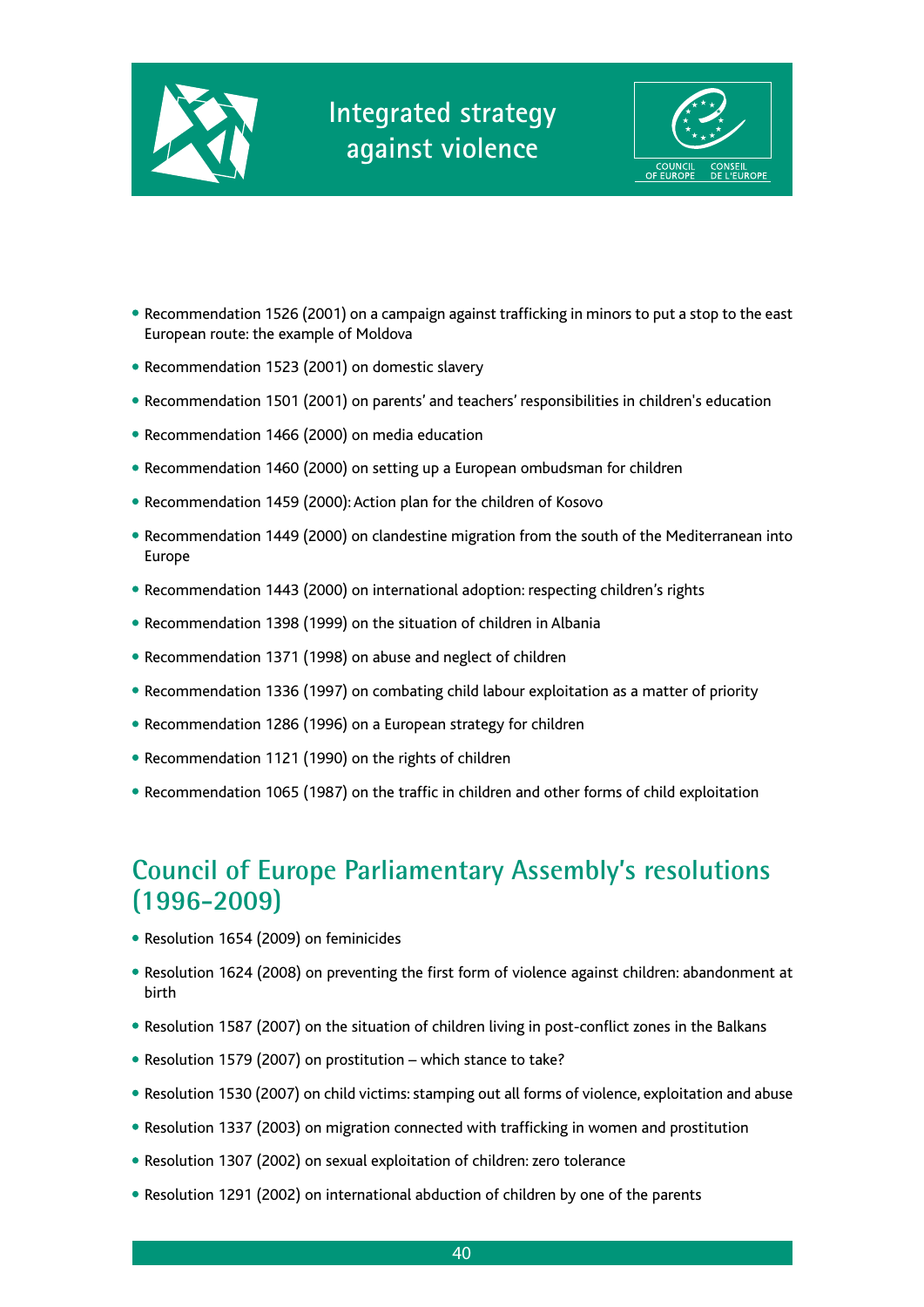



- Recommendation 1526 (2001) on a campaign against trafficking in minors to put a stop to the east European route: the example of Moldova
- Recommendation 1523 (2001) on domestic slavery
- Recommendation 1501 (2001) on parents' and teachers' responsibilities in children's education
- Recommendation 1466 (2000) on media education
- Recommendation 1460 (2000) on setting up a European ombudsman for children
- Recommendation 1459 (2000): Action plan for the children of Kosovo
- Recommendation 1449 (2000) on clandestine migration from the south of the Mediterranean into Europe
- Recommendation 1443 (2000) on international adoption: respecting children's rights
- Recommendation 1398 (1999) on the situation of children in Albania
- Recommendation 1371 (1998) on abuse and neglect of children
- Recommendation 1336 (1997) on combating child labour exploitation as a matter of priority
- Recommendation 1286 (1996) on a European strategy for children
- Recommendation 1121 (1990) on the rights of children
- Recommendation 1065 (1987) on the traffic in children and other forms of child exploitation

## **Council of Europe Parliamentary Assembly's resolutions (1996-2009)**

- Resolution 1654 (2009) on feminicides
- Resolution 1624 (2008) on preventing the first form of violence against children: abandonment at birth
- Resolution 1587 (2007) on the situation of children living in post-conflict zones in the Balkans
- Resolution 1579 (2007) on prostitution which stance to take?
- Resolution 1530 (2007) on child victims: stamping out all forms of violence, exploitation and abuse
- Resolution 1337 (2003) on migration connected with trafficking in women and prostitution
- Resolution 1307 (2002) on sexual exploitation of children: zero tolerance
- Resolution 1291 (2002) on international abduction of children by one of the parents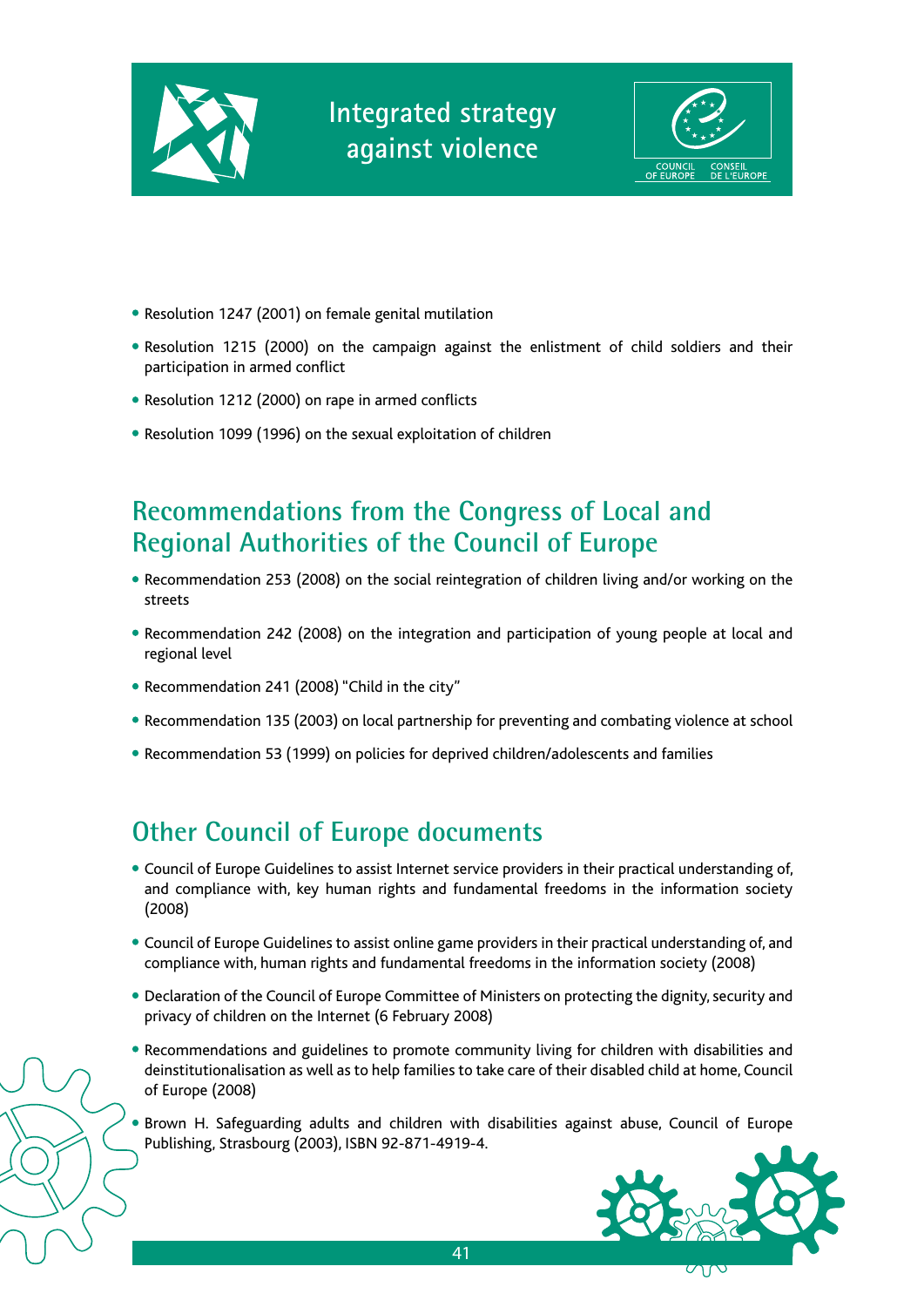



- Resolution 1247 (2001) on female genital mutilation
- Resolution 1215 (2000) on the campaign against the enlistment of child soldiers and their participation in armed conflict
- Resolution 1212 (2000) on rape in armed conflicts
- Resolution 1099 (1996) on the sexual exploitation of children

## **Recommendations from the Congress of Local and Regional Authorities of the Council of Europe**

- Recommendation 253 (2008) on the social reintegration of children living and/or working on the streets
- Recommendation 242 (2008) on the integration and participation of young people at local and regional level
- Recommendation 241 (2008) "Child in the city"
- Recommendation 135 (2003) on local partnership for preventing and combating violence at school
- Recommendation 53 (1999) on policies for deprived children/adolescents and families

## **Other Council of Europe documents**

- Council of Europe Guidelines to assist Internet service providers in their practical understanding of, and compliance with, key human rights and fundamental freedoms in the information society (2008)
- Council of Europe Guidelines to assist online game providers in their practical understanding of, and compliance with, human rights and fundamental freedoms in the information society (2008)
- Declaration of the Council of Europe Committee of Ministers on protecting the dignity, security and privacy of children on the Internet (6 February 2008)
- Recommendations and guidelines to promote community living for children with disabilities and deinstitutionalisation as well as to help families to take care of their disabled child at home, Council of Europe (2008)
- Brown H. Safeguarding adults and children with disabilities against abuse, Council of Europe Publishing, Strasbourg (2003), ISBN 92-871-4919-4.

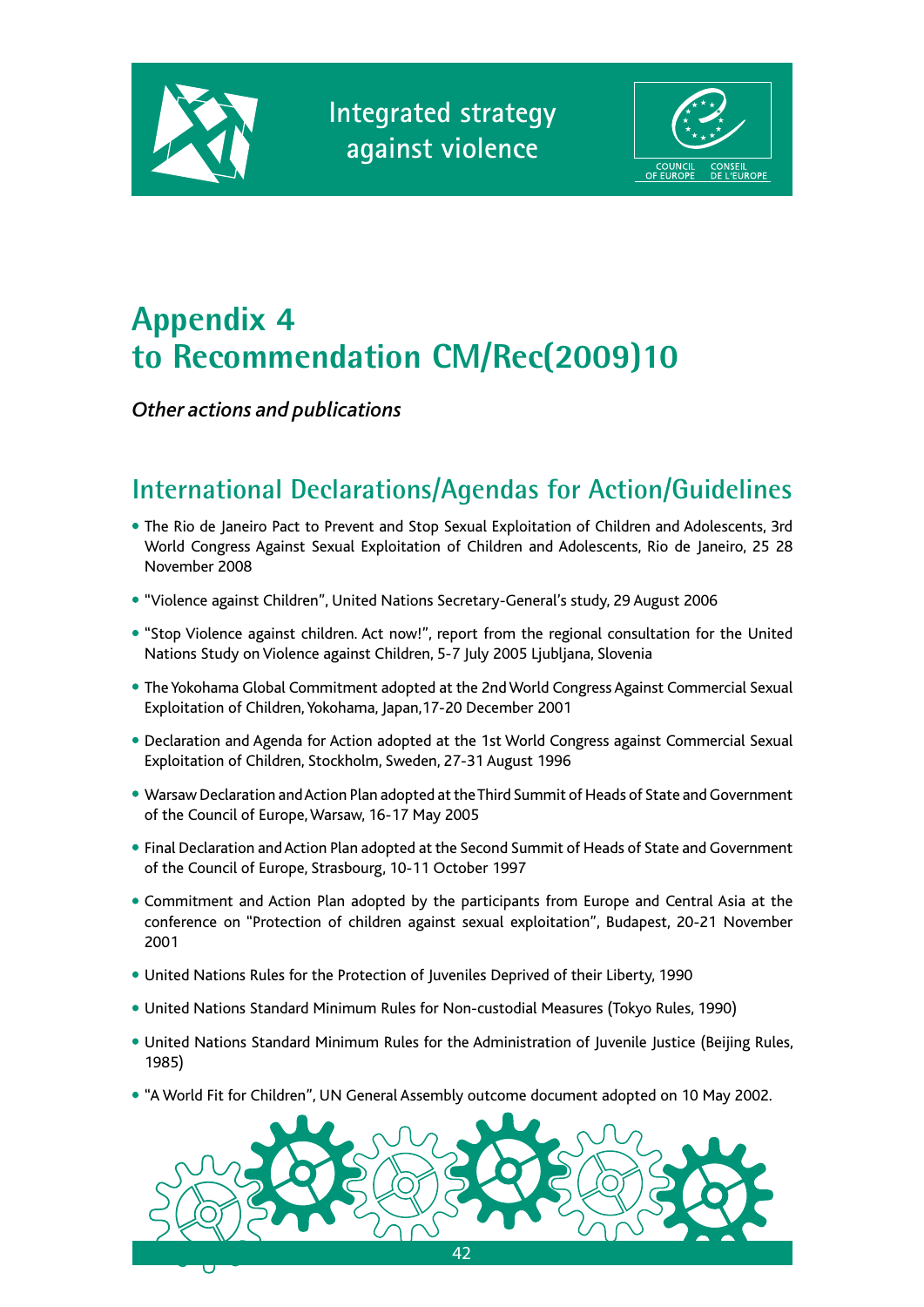



# **Appendix 4 to Recommendation CM/Rec(2009)10**

*Other actions and publications*

# **International Declarations/Agendas for Action/Guidelines**

- The Rio de Janeiro Pact to Prevent and Stop Sexual Exploitation of Children and Adolescents, 3rd World Congress Against Sexual Exploitation of Children and Adolescents, Rio de Janeiro, 25 28 November 2008
- "Violence against Children", United Nations Secretary-General's study, 29 August 2006
- "Stop Violence against children. Act now!", report from the regional consultation for the United Nations Study on Violence against Children, 5-7 July 2005 Ljubljana, Slovenia
- The Yokohama Global Commitment adopted at the 2nd World Congress Against Commercial Sexual Exploitation of Children, Yokohama, Japan,17-20 December 2001
- Declaration and Agenda for Action adopted at the 1st World Congress against Commercial Sexual Exploitation of Children, Stockholm, Sweden, 27-31 August 1996
- Warsaw Declaration and Action Plan adopted at the Third Summit of Heads of State and Government of the Council of Europe, Warsaw, 16-17 May 2005
- Final Declaration and Action Plan adopted at the Second Summit of Heads of State and Government of the Council of Europe, Strasbourg, 10-11 October 1997
- Commitment and Action Plan adopted by the participants from Europe and Central Asia at the conference on "Protection of children against sexual exploitation", Budapest, 20-21 November 2001
- United Nations Rules for the Protection of Juveniles Deprived of their Liberty, 1990
- United Nations Standard Minimum Rules for Non-custodial Measures (Tokyo Rules, 1990)
- United Nations Standard Minimum Rules for the Administration of Juvenile Justice (Beijing Rules, 1985)
- "A World Fit for Children", UN General Assembly outcome document adopted on 10 May 2002.

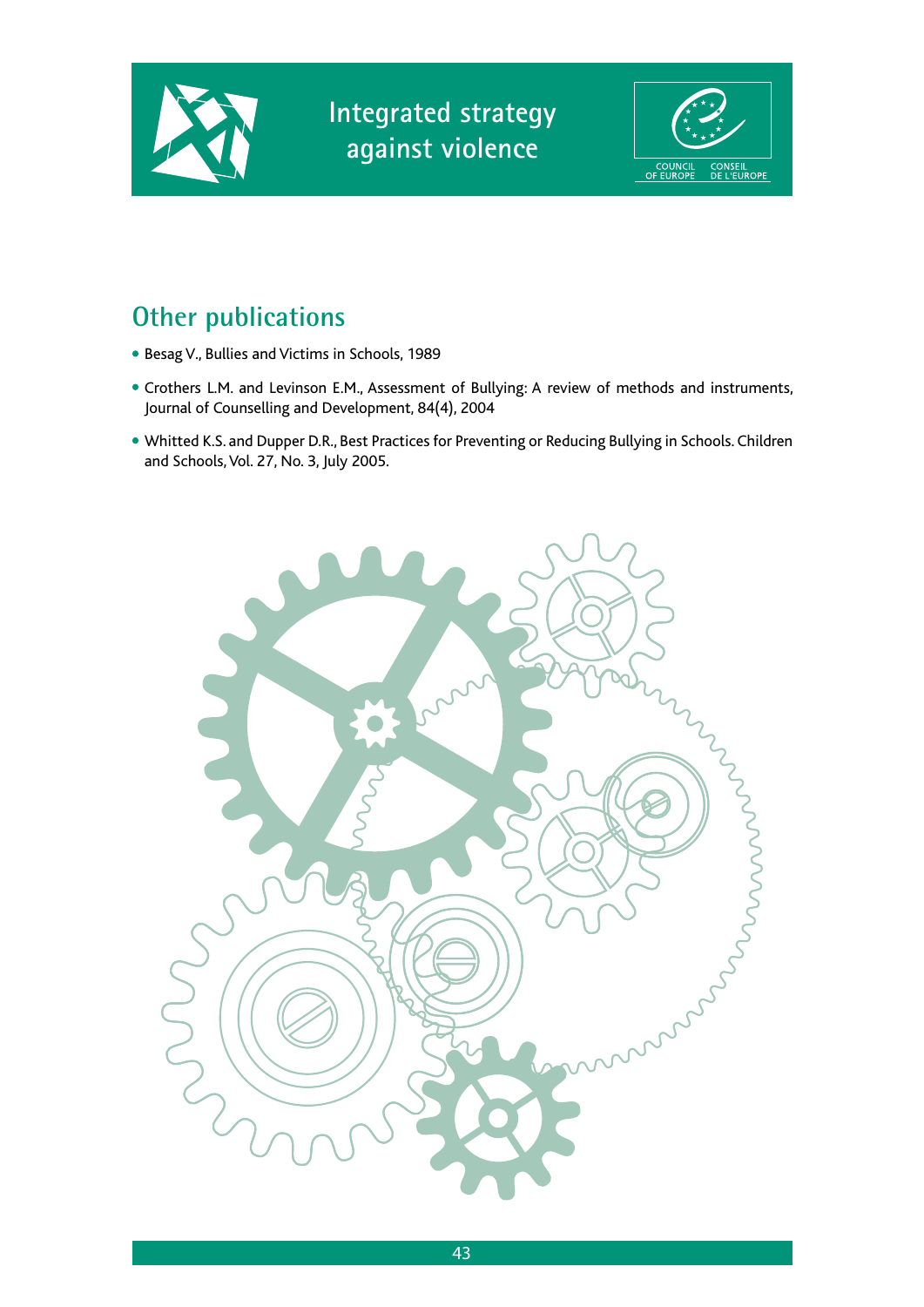



## **Other publications**

- Besag V., Bullies and Victims in Schools, 1989
- Crothers L.M. and Levinson E.M., Assessment of Bullying: A review of methods and instruments, Journal of Counselling and Development, 84(4), 2004
- Whitted K.S. and Dupper D.R., Best Practices for Preventing or Reducing Bullying in Schools. Children and Schools, Vol. 27, No. 3, July 2005.